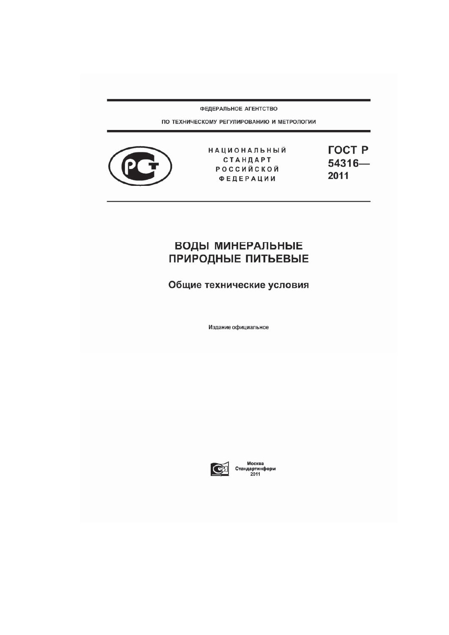ФЕДЕРАЛЬНОЕ АГЕНТСТВО

ПО ТЕХНИЧЕСКОМУ РЕГУЛИРОВАНИЮ И МЕТРОЛОГИИ



НАЦИОНАЛЬНЫЙ СТАНДАРТ РОССИЙСКОЙ **ФЕДЕРАЦИИ** 

**FOCT P** 54316-2011

# **ВОДЫ МИНЕРАЛЬНЫЕ ПРИРОДНЫЕ ПИТЬЕВЫЕ**

Общие технические условия

Издание официальное



Москва<br>Стандартинформ<br>2011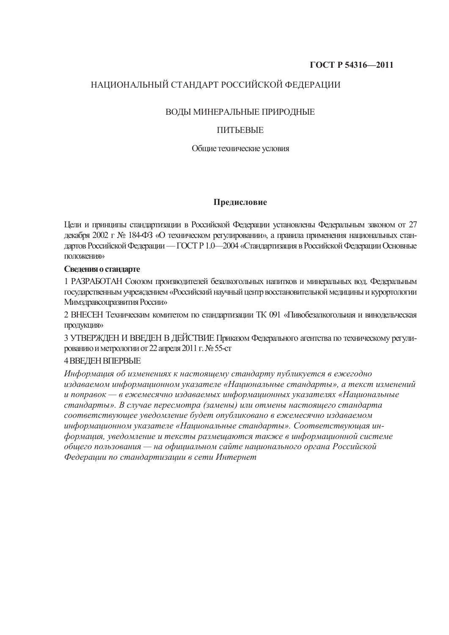### **ȽɈɋɌ Ɋ 54316—2011**

### НАЦИОНАЛЬНЫЙ СТАНДАРТ РОССИЙСКОЙ ФЕДЕРАЦИИ

### ВОДЫ МИНЕРАЛЬНЫЕ ПРИРОДНЫЕ

### **UNLERFIE**

### Общие технические условия

### Предисловие

Цели и принципы стандартизации в Российской Федерации установлены Федеральным законом от 27 декабря 2002 г № 184-ФЗ «О техническом регулировании», а правила применения национальных стандартов Российской Федерации — ГОСТ Р 1.0—2004 «Стандартизация в Российской Федерации Основные положения»

### Сведения о стандарте

1 РАЗРАБОТАН Союзом производителей безалкогольных напитков и минеральных вод. Федеральным государственным учреждением «Российский научный центр восстановительной медицины и курортологии Мимзлюавсопразвития России»

2 ВНЕСЕН Техническим комитетом по стандартизации ТК 091 «Пивобезалкогольиая и винодельческая προдукция»

3 УТВЕРЖДЕН И ВВЕДЕН В ДЕЙСТВИЕ Приказом Федерального агентства по техническому регулированию и метрологии от 22 апреля 2011 г. № 55-ст

### 4 ВВЕЛЕН ВПЕРВЫЕ

Информация об изменениях к настоящему стандарту публикуется в ежегодно  $u$ здаваемом информашионном указателе «Нашиональные стандарты», а текст изменений  $u$  поправок — в ежемесячно издаваемых информационных указателях «Национальные  $\alpha$ *квандарты». В случае пересмотра (замены) или отмены настоящего стандарта*  $coomememey\o$ *щее уведомление будет опубликовано в ежемесячно издаваемом*  $u$ нформационном указателе «Национальные стандарты». Соответствующая ин- $\phi$ формация, уведомление и тексты размещаются также в информационной системе  $\delta$ бшего пользования — на официальном сайте национального органа Российской *Ɏɟɞɟɪɚɰɢɢ ɩɨ ɫɬɚɧɞɚɪɬɢɡɚɰɢɢ ɜ ɫɟɬɢ ɂɧɬɟɪɧɟɬ*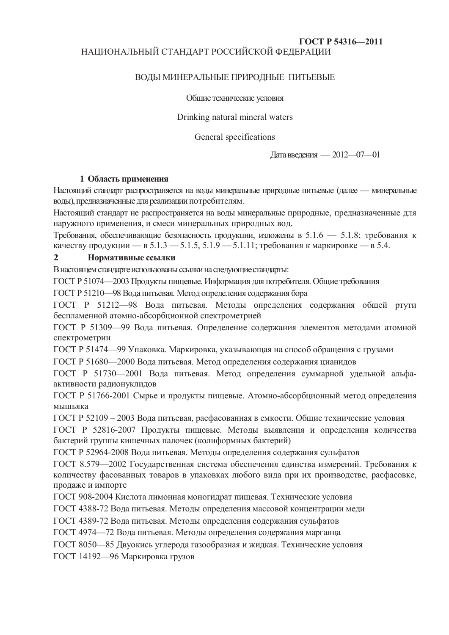### **ȽɈɋɌ Ɋ 54316—2011** НАЦИОНАЛЬНЫЙ СТАНДАРТ РОССИЙСКОЙ ФЕДЕРАЦИИ

### ВОДЫ МИНЕРАЛЬНЫЕ ПРИРОДНЫЕ ПИТЬЕВЫЕ

Обшие технические условия

Drinking natural mineral waters

General specifications

Дата введения — 2012—07—01

### **1 Область применения**

Настоящий стандарт распространяется на воды минеральные природные питьевые (далее — минеральные воды), предназначенные для реализации потребителям.

Настоящий стандарт не распространяется на воды минеральные природные, предназначенные для наружного применения, и смеси минеральных природных вод.

Требования, обеспечивающие безопасность продукции, изложены в 5.1.6 — 5.1.8; требования к качеству продукции — в 5.1.3 — 5.1.5, 5.1.9 — 5.1.11; требования к маркировке — в 5.4.

### **2 HOPMATHBHLE ССЫЛКИ**

В настоящем стандарте использованы ссылки на следующие стандарты:

ГОСТ Р 51074—2003 Продукты пищевые. Информация для потребителя. Общие требования

ГОСТ Р 51210—98 Вода питьевая. Метод определения содержания бора

ГОСТ Р 51212—98 Вода питьевая. Методы определения содержания общей ртути беспламенной атомно-абсорбционной спектрометрией

ГОСТ Р 51309—99 Вода питьевая. Определение содержания элементов методами атомной спектрометрии

ГОСТ Р 51474—99 Упаковка. Маркировка, указывающая на способ обращения с грузами

ГОСТ Р 51680—2000 Вода питьевая. Метод определения содержания цианидов

ГОСТ Р 51730—2001 Вода питьевая. Метод определения суммарной удельной альфаактивности радионуклидов

ГОСТ Р 51766-2001 Сырье и продукты пищевые. Атомно-абсорбционный метод определения мышьяка

ГОСТ Р 52109 – 2003 Вода питьевая, расфасованная в емкости. Общие технические условия

ГОСТ Р 52816-2007 Продукты пищевые. Методы выявления и определения количества бактерий группы кишечных палочек (колиформных бактерий)

ГОСТ Р 52964-2008 Вода питьевая. Методы определения содержания сульфатов

ГОСТ 8.579—2002 Государственная система обеспечения единства измерений. Требования к количеству фасованных товаров в упаковках любого вида при их производстве, расфасовке, продаже и импорте

ГОСТ 908-2004 Кислота лимонная моногидрат пищевая. Технические условия

ГОСТ 4388-72 Вода питьевая. Методы определения массовой концентрации меди

ГОСТ 4389-72 Вода питьевая. Методы определения содержания сульфатов

ГОСТ 4974—72 Вода питьевая. Методы определения содержания марганца

ГОСТ 8050—85 Двуокись углерода газообразная и жидкая. Технические условия

ГОСТ 14192—96 Маркировка грузов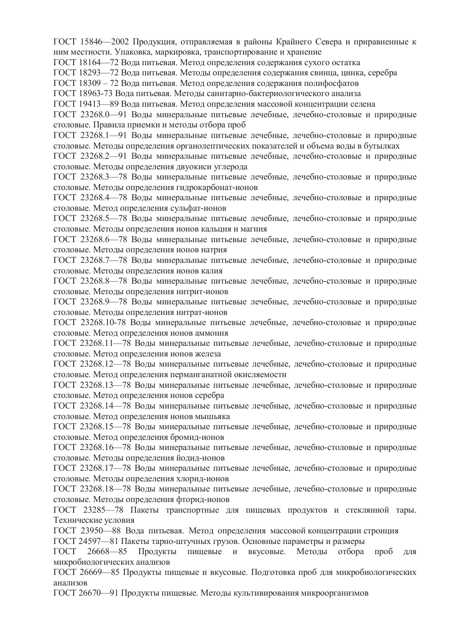ГОСТ 15846—2002 Продукция, отправляемая в районы Крайнего Севера и приравненные к ним местности. Упаковка, маркировка, транспортирование и хранение

ГОСТ 18164—72 Вода питьевая. Метод определения содержания сухого остатка

ГОСТ 18293—72 Вода питьевая. Методы определения содержания свинца, цинка, серебра

ГОСТ 18309 – 72 Вода питьевая. Метод определения содержания полифосфатов

ГОСТ 18963-73 Вода питьевая. Методы санитарно-бактериологического анализа

ГОСТ 19413—89 Вода питьевая. Метод определения массовой концентрации селена

ГОСТ 23268.0—91 Волы минеральные питьевые лечебные, лечебно-столовые и природные столовые. Правила приемки и методы отбора проб

ГОСТ 23268.1—91 Воды минеральные питьевые лечебные, лечебно-столовые и природные столовые. Метолы определения органолептических показателей и объема воды в бутылках

ГОСТ 23268.2—91 Воды минеральные питьевые лечебные, лечебно-столовые и природные столовые. Методы определения двуокиси углерода

ГОСТ 23268.3—78 Воды минеральные питьевые лечебные, лечебно-столовые и природные столовые. Методы определения гидрокарбонат-ионов

ГОСТ 23268.4—78 Воды минеральные питьевые лечебные, лечебно-столовые и природные столовые. Метод определения сульфат-ионов

ГОСТ 23268.5—78 Воды минеральные питьевые лечебные, лечебно-столовые и природные столовые. Методы определения ионов кальция и магния

ГОСТ 23268.6—78 Воды минеральные питьевые лечебные, лечебно-столовые и природные столовые. Методы определения ионов натрия

ГОСТ 23268.7—78 Воды минеральные питьевые лечебные, лечебно-столовые и природные столовые. Метолы определения ионов калия

ГОСТ 23268.8—78 Воды минеральные питьевые лечебные, лечебно-столовые и природные столовые. Методы определения нитрит-ионов

ГОСТ 23268.9—78 Воды минеральные питьевые лечебные, лечебно-столовые и природные столовые. Методы определения нитрат-ионов

ГОСТ 23268.10-78 Воды минеральные питьевые лечебные, лечебно-столовые и природные столовые. Метод определения ионов аммония

ГОСТ 23268.11—78 Волы минеральные питьевые лечебные, лечебно-столовые и природные столовые. Метод определения ионов железа

ГОСТ 23268.12—78 Воды минеральные питьевые лечебные, лечебно-столовые и природные столовые. Метод определения перманганатной окисляемости

ГОСТ 23268.13—78 Воды минеральные питьевые лечебные, лечебно-столовые и природные столовые. Метод определения ионов серебра

ГОСТ 23268.14—78 Воды минеральные питьевые лечебные, лечебно-столовые и природные столовые. Метод определения ионов мышьяка

ГОСТ 23268.15—78 Волы минеральные питьевые лечебные, лечебно-столовые и природные столовые. Метод определения бромид-ионов

ГОСТ 23268.16—78 Воды минеральные питьевые лечебные, лечебно-столовые и природные столовые. Методы определения йодид-ионов

ГОСТ 23268.17—78 Воды минеральные питьевые лечебные, лечебно-столовые и природные столовые. Методы определения хлорид-ионов

ГОСТ 23268.18—78 Воды минеральные питьевые лечебные, лечебно-столовые и природные столовые. Метолы определения фторид-ионов

ГОСТ 23285—78 Пакеты транспортные для пищевых продуктов и стеклянной тары. Технические условия

ГОСТ 23950—88 Вода питьевая. Метод определения массовой концентрации стронция

ГОСТ 24597—81 Пакеты тарно-штучных грузов. Основные параметры и размеры

ГОСТ 26668—85 Пролукты пишевые и вкусовые. Метолы отбора проб для микробиологических анализов

ГОСТ 26669—85 Продукты пищевые и вкусовые. Подготовка проб для микробиологических анализов

ГОСТ 26670—91 Продукты пищевые. Методы культивирования микроорганизмов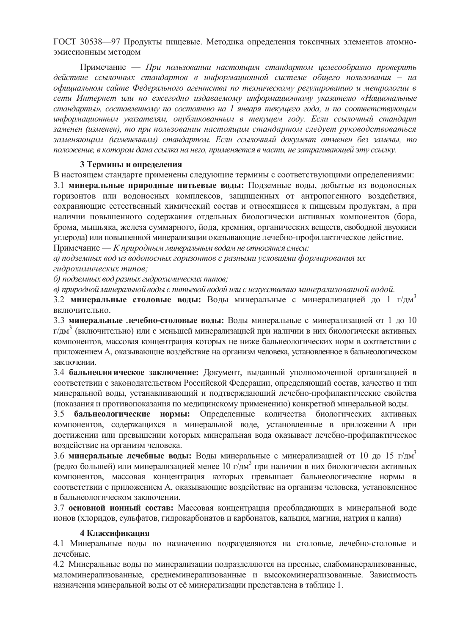ГОСТ 30538—97 Продукты пищевые. Методика определения токсичных элементов атомноэмиссионным методом

Примечание — *При пользовании настоящим стандартом иелесообразно проверить* действие ссылочных стандартов в информационной системе общего пользования – на  $\delta$ фициальном сайте Федерального агентства по техническому регулированию и метрологии в сети Интернет или по ежегодно издаваемому информационному указателю «Национальные  $c$ *явндарты», составленному по состоянию на 1 января текушего года, и по соответствующим*  $u$ нформационным указателям, опубликованным в текущем году. Если ссылочный стандарт заменен (изменен), то при пользовании настояшим стандартом следует руководствоваться  $3a$ меняющим (измененным) стандартом. Если ссылочный документ отменен без замены, то лоложение, в котором дана ссылка на него, применяется в части, не затрагивающей эту ссылку.

### **3 Термины и определения**

В настоящем стандарте применены следующие термины с соответствующими определениями: 3.1 минеральные природные питьевые воды: Подземные воды, добытые из водоносных горизонтов или водоносных комплексов, защищенных от антропогенного воздействия, сохраняющие естественный химический состав и относящиеся к пищевым продуктам, а при наличии повышенного содержания отдельных биологически активных компонентов (бора, брома, мышьяка, железа суммарного, йода, кремния, органических веществ, свободной двуокиси үглерода) или повышенной минерализации оказывающие лечебно-профилактическое действие. Примечание — *К* природным минеральным водам не относятся смеси:

 $a)$  подземных вод из водоносных горизонтов с разными условиями формирования их гидрохимических типов:

 $\tilde{\theta}$ ) подземных вод разных гидрохимических типов:

*ɜ) ɩɪɢɪɨɞɧɨɣɦɢɧɟɪɚɥɶɧɨɣ ɜɨɞɵɫ ɩɢɬɶɟɜɨɣ ɜɨɞɨɣ ɢɥɢ ɫ ɢɫɤɭɫɫɬɜɟɧɧɨ ɦɢɧɟɪɚɥɢɡɨɜɚɧɧɨɣ ɜɨɞɨɣ.*

3.2 **минеральные столовые воды:** Воды минеральные с минерализацией до 1 г/дм<sup>3</sup> включительно.

3.3 минеральные лечебно-столовые воды: Воды минеральные с минерализацией от 1 до 10 г/дм<sup>3</sup> (включительно) или с меньшей минерализацией при наличии в них биологически активных компонентов, массовая концентрация которых не ниже бальнеологических норм в соответствии с приложением А, оказывающие воздействие на организм человека, установленное в бальнеологическом заключении.

3.4 **бальнеологическое заключение:** Документ, выданный уполномоченной организацией в соответствии с законодательством Российской Федерации, определяющий состав, качество и тип минеральной воды, устанавливающий и подтверждающий лечебно-профилактические свойства (показания и противопоказания по медицинскому применению) конкретной минеральной воды.

3.5 **бальнеологические нормы:** Определенные количества биологических активных компонентов, содержащихся в минеральной воде, установленные в приложении А при достижении или превышении которых минеральная вода оказывает лечебно-профилактическое воздействие на организм человека.

3.6 минеральные лечебные воды: Воды минеральные с минерализацией от 10 до 15 г/дм<sup>3</sup> (редко большей) или минерализацией менее 10 г/дм<sup>3</sup> при наличии в них биологически активных компонентов, массовая концентрация которых превышает бальнеологические нормы в соответствии с приложением А, оказывающие воздействие на организм человека, установленное в бальнеологическом заключении.

3.7 **основной ионный состав:** Массовая концентрация преобладающих в минеральной воде ионов (хлоридов, сульфатов, гидрокарбонатов и карбонатов, кальция, магния, натрия и калия)

### **4 Классификания**

4.1 Минеральные воды по назначению подразделяются на столовые, лечебно-столовые и лечебные.

4.2 Минеральные воды по минерализации подразделяются на пресные, слабоминерализованные, маломинерализованные, среднеминерализованные и высокоминерализованные. Зависимость назначения минеральной воды от её минерализации представлена в таблице 1.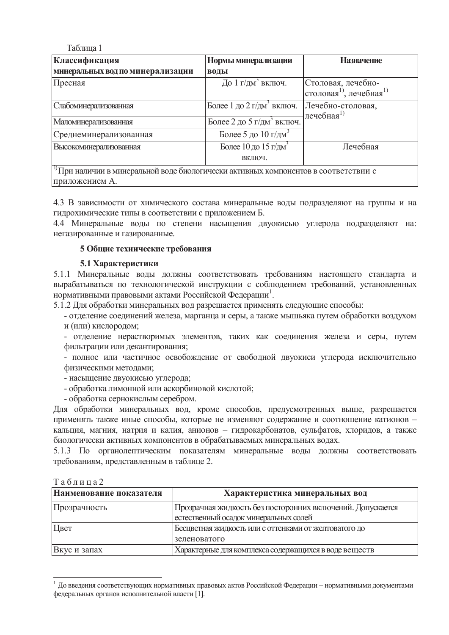Таблина 1

| Классификация                                                                                     | Нормы минерализации                        | <b>Назначение</b>                                                     |  |  |  |  |  |  |
|---------------------------------------------------------------------------------------------------|--------------------------------------------|-----------------------------------------------------------------------|--|--|--|--|--|--|
| минеральных вод по минерализации                                                                  | воды                                       |                                                                       |  |  |  |  |  |  |
| Пресная                                                                                           | До 1 г/дм <sup>3</sup> включ.              | Столовая, лечебно-<br>столовая <sup>1)</sup> , лечебная <sup>1)</sup> |  |  |  |  |  |  |
| Слабоминерализованная                                                                             | Более 1 до 2 г/дм <sup>3</sup> включ.      | Лечебно-столовая,<br>лечебная $^{1)}$                                 |  |  |  |  |  |  |
| Маломинерализованная                                                                              | Более 2 до 5 г/дм <sup>3</sup> включ.      |                                                                       |  |  |  |  |  |  |
| Среднеминерализованная                                                                            | Более 5 до 10 г/дм <sup>3</sup>            |                                                                       |  |  |  |  |  |  |
| <b>Высокоминерализованная</b>                                                                     | Более 10 до 15 г/дм <sup>3</sup><br>ВКЛЮЧ. | Лечебная                                                              |  |  |  |  |  |  |
| <sup>  1)</sup> При наличии в минеральной воде биологически активных компонентов в соответствии с |                                            |                                                                       |  |  |  |  |  |  |

приложением А.

4.3 В зависимости от химического состава минеральные волы полразлеляют на группы и на гидрохимические типы в соответствии с приложением Б.

4.4 Минеральные воды по степени насыщения двуокисью углерода подразделяют на: негазированные и газированные.

### $5$  Общие технические требования

### **5.1 Характеристики**

5.1.1 Минеральные воды должны соответствовать требованиям настоящего стандарта и вырабатываться по технологической инструкции с соблюдением требований, установленных нормативными правовыми актами Российской Федерации<sup>1</sup>.

5.1.2 Для обработки минеральных вод разрешается применять следующие способы:

- отделение соединений железа, марганца и серы, а также мышьяка путем обработки воздухом и (или) кислородом;

- отделение нерастворимых элементов, таких как соединения железа и серы, путем фильтрации или декантирования:

- полное или частичное освобождение от свободной двуокиси углерода исключительно физическими методами;

- насыщение двуокисью углерода;

- обработка лимонной или аскорбиновой кислотой;

- обработка сернокислым серебром.

Для обработки минеральных вод, кроме способов, предусмотренных выше, разрешается применять также иные способы, которые не изменяют содержание и соотношение катионов кальция, магния, натрия и калия, анионов – гидрокарбонатов, сульфатов, хлоридов, а также биологически активных компонентов в обрабатываемых минеральных водах.

5.1.3 По органолептическим показателям минеральные волы лолжны соответствовать требованиям, представленным в таблице 2.

| таолица∠                |                                                            |
|-------------------------|------------------------------------------------------------|
| Наименование показателя | Характеристика минеральных вод                             |
| Прозрачность            | Прозрачная жидкость без посторонних включений. Допускается |
|                         | естественный осадок минеральных солей                      |
| Цвет                    | Бесцветная жидкость или с оттенками от желтоватого до      |
|                         | зеленоватого                                               |
| Вкус и запах            | Характерные для комплекса содержащихся в воде веществ      |

### $T_96$  $T_97$

 $^{-1}$  До введения соответствующих нормативных правовых актов Российской Федерации – нормативными документами федеральных органов исполнительной власти [1].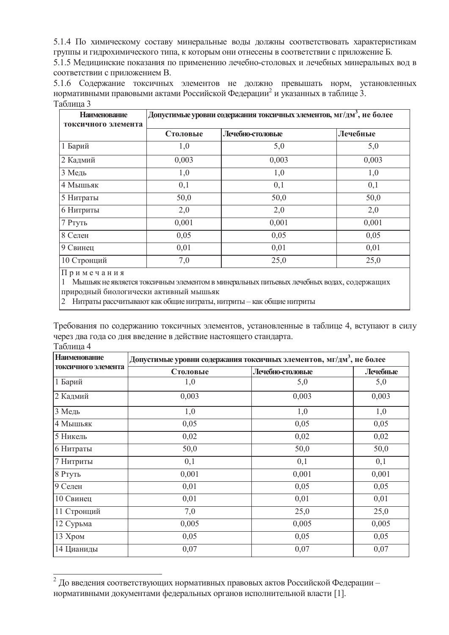5.1.4 По химическому составу минеральные воды должны соответствовать характеристикам группы и гидрохимического типа, к которым они отнесены в соответствии с приложение Б.

5.1.5 Медицинские показания по применению лечебно-столовых и лечебных минеральных вод в соответствии с приложением В.

5.1.6 Содержание токсичных элементов не должно превышать норм, установленных нормативными правовыми актами Российской Федерации<sup>2</sup> и указанных в таблице 3. Таблина 3

| Допустимые уровни содержания токсичных элементов, мг/дм <sup>3</sup> , не более |          |                  |  |  |  |
|---------------------------------------------------------------------------------|----------|------------------|--|--|--|
| Столовые                                                                        | Лечебные |                  |  |  |  |
| 1,0                                                                             | 5,0      | 5,0              |  |  |  |
| 0,003                                                                           | 0,003    | 0,003            |  |  |  |
| 1,0                                                                             | 1,0      | 1,0              |  |  |  |
| 0,1                                                                             | 0,1      | 0,1              |  |  |  |
| 50,0                                                                            | 50,0     | 50,0             |  |  |  |
| 2,0                                                                             | 2,0      | 2,0              |  |  |  |
| 0,001                                                                           | 0,001    | 0,001            |  |  |  |
| 0,05                                                                            | 0,05     | 0,05             |  |  |  |
| 0,01                                                                            | 0,01     | 0,01             |  |  |  |
| 7,0                                                                             | 25,0     | 25,0             |  |  |  |
|                                                                                 |          | Лечебно-столовые |  |  |  |

 $\Pi$ римечания

1 Мышьяк не является токсичным элементом в минеральных питьевых лечебных водах, содержащих природный биологически активный мышьяк

2 Нитраты рассчитывают как общие нитраты, нитриты – как общие нитриты

Требования по содержанию токсичных элементов, установленные в таблице 4, вступают в силу через два года со дня введение в действие настоящего стандарта.  $Ta\bar{6}$ 

| <b>Наименование</b> | Допустимые уровни содержания токсичных элементов, мг/дм <sup>3</sup> , не более |                  |          |  |  |  |  |
|---------------------|---------------------------------------------------------------------------------|------------------|----------|--|--|--|--|
| токсичного элемента | Столовые                                                                        | Лечебно-столовые | Лечебные |  |  |  |  |
| 1 Барий             | 1,0                                                                             | 5,0              | 5,0      |  |  |  |  |
| 2 Кадмий            | 0,003                                                                           | 0,003            | 0,003    |  |  |  |  |
| 3 Медь              | 1,0                                                                             | 1,0              | 1,0      |  |  |  |  |
| 4 Мышьяк            | 0,05                                                                            | 0,05             | 0,05     |  |  |  |  |
| 5 Никель            | 0,02                                                                            | 0,02             | 0,02     |  |  |  |  |
| 6 Нитраты           | 50,0                                                                            | 50,0             | 50,0     |  |  |  |  |
| 7 Нитриты           | 0,1                                                                             | 0,1              | 0,1      |  |  |  |  |
| 8 Ртуть             | 0,001                                                                           | 0,001            | 0,001    |  |  |  |  |
| 9 Селен             | 0,01                                                                            | 0,05             | 0,05     |  |  |  |  |
| 10 Свинец           | 0,01                                                                            | 0,01             | 0,01     |  |  |  |  |
| 11 Стронций         | 7,0                                                                             | 25,0             | 25,0     |  |  |  |  |
| 12 Сурьма           | 0,005                                                                           | 0,005            | 0,005    |  |  |  |  |
| 13 Хром             | 0,05                                                                            | 0,05             | 0,05     |  |  |  |  |
| 14 Цианиды          | 0,07                                                                            | 0,07             | 0,07     |  |  |  |  |

 $^2$  До введения соответствующих нормативных правовых актов Российской Федерации – нормативными документами федеральных органов исполнительной власти [1].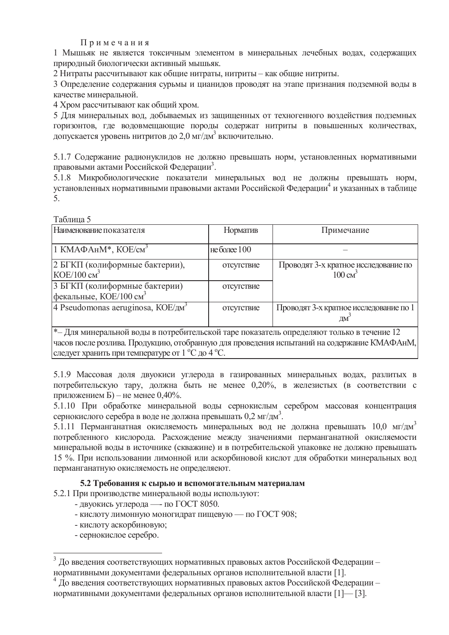Примечания

1 Мышьяк не является токсичным элементом в минеральных лечебных водах, содержащих приролный биологически активный мышьяк.

2 Нитраты рассчитывают как общие нитраты, нитриты – как общие нитриты,

3 Определение содержания сурьмы и цианидов проводят на этапе признания подземной воды в качестве минеральной.

4 Хром рассчитывают как общий хром.

5 Для минеральных вод, добываемых из защищенных от техногенного воздействия подземных горизонтов, где водовмещающие породы содержат нитриты в повышенных количествах, допускается уровень нитритов до 2,0 мг/дм<sup>3</sup> включительно.

5.1.7 Содержание радионуклидов не должно превышать норм, установленных нормативными правовыми актами Российской Федерации<sup>3</sup>.

5.1.8 Микробиологические показатели минеральных вод не должны превышать норм. установленных нормативными правовыми актами Российской Федерации<sup>4</sup> и указанных в таблице 5.

Таблина 5

| Наименование показателя                                                                                                               | Норматив       | Примечание                                                 |  |  |  |  |  |
|---------------------------------------------------------------------------------------------------------------------------------------|----------------|------------------------------------------------------------|--|--|--|--|--|
| 1 КМАФАнМ <sup>*</sup> , КОЕ/см <sup>3</sup>                                                                                          | не более $100$ |                                                            |  |  |  |  |  |
| 2 БГКП (колиформные бактерии),<br>$KOE/100 \text{ cm}^3$                                                                              | отсутствие     | Проводят 3-х кратное исследование по<br>$100 \text{ cm}^3$ |  |  |  |  |  |
| 3 БГКП (колиформные бактерии)<br>фекальные, $KOE/100 \text{ cm}^3$                                                                    | отсутствие     |                                                            |  |  |  |  |  |
|                                                                                                                                       | отсутствие     | Проводят 3-х кратное исследование по 1<br>$\mathbf{M}^3$   |  |  |  |  |  |
| <sup>*</sup> – Для минеральной воды в потребительской таре показатель определяют только в течение 12                                  |                |                                                            |  |  |  |  |  |
| 4 Pseudomonas aeruginosa, $KOE/\mu M^3$<br>часов после розлива. Продукцию, отобранную для проведения испытаний на содержание КМАФАнМ, |                |                                                            |  |  |  |  |  |

следует хранить при температуре от 1 °С до 4 °С.

5.1.9 Массовая доля двуокиси углерода в газированных минеральных водах, разлитых в потребительскую тару, должна быть не менее 0,20%, в железистых (в соответствии с приложением Б) – не менее 0,40%.

5.1.10 При обработке минеральной воды сернокислым серебром массовая концентрация сернокислого серебра в воде не должна превышать 0,2 мг/дм<sup>3</sup>.

5.1.11 Перманганатная окисляемость минеральных вод не должна превышать 10.0 мг/дм<sup>3</sup> потребленного кислорода. Расхождение между значениями перманганатной окисляемости минеральной воды в источнике (скважине) и в потребительской упаковке не должно превышать 15 %. При использовании лимонной или аскорбиновой кислот для обработки минеральных вод перманганатную окисляемость не определяеют.

### 5.2 Требования к сырью и вспомогательным материалам

- 5.2.1 При производстве минеральной воды используют:
	- двуокись углерода по ГОСТ 8050.
	- кислоту лимонную моногидрат пищевую по ГОСТ 908;
	- кислоту аскорбиновую:
	- сернокислое серебро.

 $3$  До введения соответствующих нормативных правовых актов Российской Федерации – нормативными документами федеральных органов исполнительной власти [1].

 $^{4}$  До введения соответствующих нормативных правовых актов Российской Федерации – нормативными документами федеральных органов исполнительной власти [1]— [3].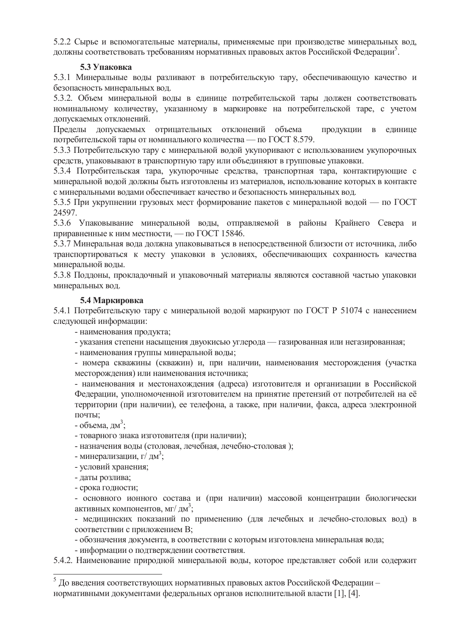5.2.2 Сырье и вспомогательные материалы, применяемые при производстве минеральных вод, должны соответствовать требованиям нормативных правовых актов Российской Федерации<sup>5</sup>.

### **5.3 Упаковка**

5.3.1 Минеральные воды разливают в потребительскую тару, обеспечивающую качество и безопасность минеральных вод.

5.3.2. Объем минеральной воды в единице потребительской тары должен соответствовать номинальному количеству, указанному в маркировке на потребительской таре, с учетом допускаемых отклонений.

Пределы допускаемых отрицательных отклонений объема продукции в единице потребительской тары от номинального количества — по ГОСТ 8.579.

5.3.3 Потребительскую тару с минеральной водой укупоривают с использованием укупорочных средств, упаковывают в транспортную тару или объединяют в групповые упаковки.

5.3.4 Потребительская тара, укупорочные средства, транспортная тара, контактирующие с минеральной водой должны быть изготовлены из материалов, использование которых в контакте с минеральными водами обеспечивает качество и безопасность минеральных вод.

5.3.5 При укрупнении грузовых мест формирование пакетов с минеральной водой — по ГОСТ 24597.

5.3.6 Упаковывание минеральной воды, отправляемой в районы Крайнего Севера и приравненные к ним местности, — по ГОСТ 15846.

5.3.7 Минеральная вола лолжна упаковываться в непосредственной близости от источника, либо транспортироваться к месту упаковки в условиях, обеспечивающих сохранность качества минеральной воды.

5.3.8 Поддоны, прокладочный и упаковочный материалы являются составной частью упаковки минеральных вод.

### **5.4 Маркировка**

5.4.1 Потребительскую тару с минеральной водой маркируют по ГОСТ Р 51074 с нанесением следующей информации:

- наименования продукта;

- указания степени насыщения двуокисью углерода — газированная или негазированная;

- наименования группы минеральной волы:

- номера скважины (скважин) и, при наличии, наименования месторождения (участка месторождения) или наименования источника;

- наименования и местонахождения (адреса) изготовителя и организации в Российской Федерации, уполномоченной изготовителем на принятие претензий от потребителей на её территории (при наличии), ее телефона, а также, при наличии, факса, адреса электронной почты:

- объема, дм<sup>3</sup>;

- товарного знака изготовителя (при наличии);

- назначения воды (столовая, лечебная, лечебно-столовая);

- минерализации, г $\overrightarrow{I}$ дм<sup>3</sup>;

- условий хранения;

- даты розлива;

- срока годности;

- основного ионного состава и (при наличии) массовой концентрации биологически активных компонентов, мг/ дм $^3\!;$ 

- медицинских показаний по применению (для лечебных и лечебно-столовых вод) в соответствии с приложением В;

- обозначения документа, в соответствии с которым изготовлена минеральная вода;

- информации о подтверждении соответствия.

5.4.2. Наименование природной минеральной воды, которое представляет собой или содержит

 $^5$  До введения соответствующих нормативных правовых актов Российской Федерации – нормативными документами федеральных органов исполнительной власти [1], [4].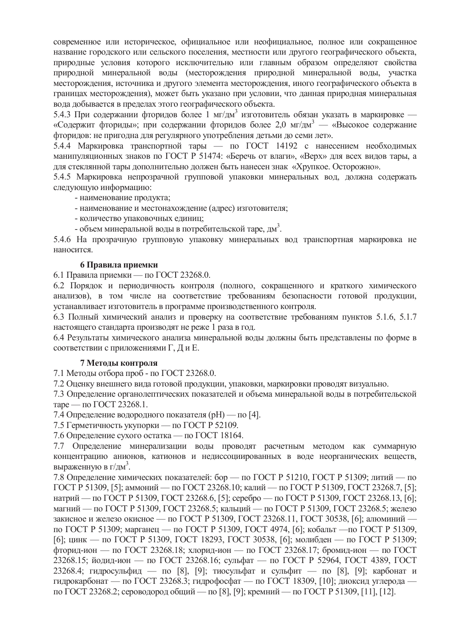современное или историческое, официальное или неофициальное, полное или сокращенное название городского или сельского поселения, местности или другого географического объекта, природные условия которого исключительно или главным образом определяют свойства природной минеральной воды (месторождения природной минеральной воды, участка месторождения, источника и другого элемента месторождения, иного географического объекта в границах месторождения), может быть указано при условии, что данная природная минеральная вола лобывается в прелелах этого географического объекта.

5.4.3 При содержании фторидов более 1 мг/дм<sup>3</sup> изготовитель обязан указать в маркировке — «Содержит фториды»; при содержании фторидов более 2,0 мг/дм<sup>3</sup> — «Высокое содержание фторидов: не пригодна для регулярного употребления детьми до семи лет».

5.4.4 Маркировка транспортной тары — по ГОСТ 14192 с нанесением необходимых манипуляционных знаков по ГОСТ Р 51474: «Беречь от влаги», «Верх» для всех видов тары, а для стеклянной тары дополнительно должен быть нанесен знак «Хрупкое. Осторожно».

5.4.5 Маркировка непрозрачной групповой упаковки минеральных вод, должна содержать следующую информацию:

- наименование продукта;

- наименование и местонахождение (адрес) изготовителя;

- количество упаковочных единиц;

- объем минеральной воды в потребительской таре, дм<sup>3</sup>.

5.4.6 На прозрачную групповую упаковку минеральных вод транспортная маркировка не наносится.

### **6 Правила приемки**

6.1 Правила приемки — по ГОСТ 23268.0.

6.2 Порядок и периодичность контроля (полного, сокращенного и краткого химического анализов), в том числе на соответствие требованиям безопасности готовой продукции, устанавливает изготовитель в программе производственного контроля.

6.3 Полный химический анализ и проверку на соответствие требованиям пунктов 5.1.6, 5.1.7 настоящего стандарта производят не реже 1 раза в год.

6.4 Результаты химического анализа минеральной воды должны быть представлены по форме в соответствии с приложениями Г, Д и Е.

### **7 Методы контроля**

7.1 Методы отбора проб - по ГОСТ 23268.0.

7.2 Оценку внешнего вида готовой продукции, упаковки, маркировки проводят визуально.

7.3 Определение органолептических показателей и объема минеральной воды в потребительской таре — по ГОСТ 23268.1.

7.4 Определение водородного показателя (pH) — по [4].

7.5 Герметичность укупорки — по ГОСТ Р 52109.

7.6 Определение сухого остатка — по ГОСТ 18164.

7.7 Определение минерализации воды проводят расчетным методом как суммарную концентрацию анионов, катионов и недиссоциированных в воде неорганических веществ, выраженную в г/дм<sup>3</sup>.

7.8 Определение химических показателей: бор — по ГОСТ Р 51210, ГОСТ Р 51309; литий — по ГОСТ Р 51309, [5]; аммоний — по ГОСТ 23268.10; калий — по ГОСТ Р 51309, ГОСТ 23268.7, [5]; натрий — по ГОСТ Р 51309, ГОСТ 23268.6, [5]; серебро — по ГОСТ Р 51309, ГОСТ 23268.13, [6]; магний — по ГОСТ Р 51309, ГОСТ 23268.5; кальций — по ГОСТ Р 51309, ГОСТ 23268.5; железо закисное и железо окисное — по ГОСТ Р 51309, ГОСТ 23268.11, ГОСТ 30538, [6]; алюминий по ГОСТ Р 51309; марганец — по ГОСТ Р 51309, ГОСТ 4974, [6]; кобальт —по ГОСТ Р 51309, [6]; цинк — по ГОСТ Р 51309, ГОСТ 18293, ГОСТ 30538, [6]; молибден — по ГОСТ Р 51309;  $\Phi$ торид-ион — по ГОСТ 23268.18; хлорид-ион — по ГОСТ 23268.17; бромид-ион — по ГОСТ 23268.15; йодид-ион — по ГОСТ 23268.16; сульфат — по ГОСТ Р 52964, ГОСТ 4389, ГОСТ 23268.4; гидросульфид — по [8], [9]; тиосульфат и сульфит — по [8], [9]; карбонат и гидрокарбонат — по ГОСТ 23268.3; гидрофосфат — по ГОСТ 18309, [10]; диоксид углерода по ГОСТ 23268.2; сероводород общий — по [8], [9]; кремний — по ГОСТ Р 51309, [11], [12].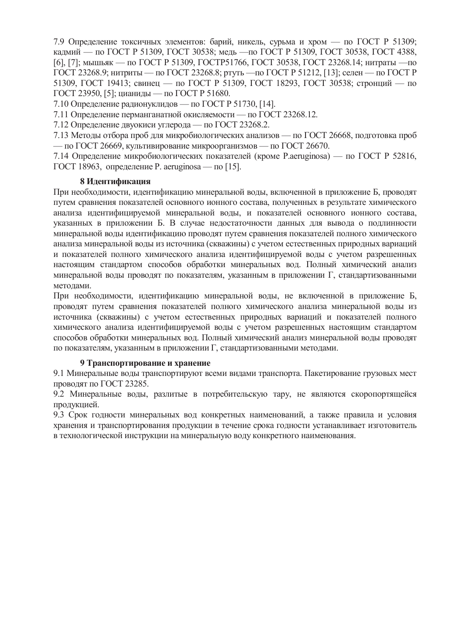7.9 Определение токсичных элементов: барий, никель, сурьма и хром — по ГОСТ Р 51309; кадмий — по ГОСТ Р 51309, ГОСТ 30538; медь — по ГОСТ Р 51309, ГОСТ 30538, ГОСТ 4388, [6], [7]; мышьяк — по ГОСТ Р 51309, ГОСТР51766, ГОСТ 30538, ГОСТ 23268.14; нитраты — по ГОСТ 23268.9; нитриты — по ГОСТ 23268.8; ртуть —по ГОСТ Р 51212, [13]; селен — по ГОСТ Р 51309, ГОСТ 19413; свинец — по ГОСТ Р 51309, ГОСТ 18293, ГОСТ 30538; стронций — по ГОСТ 23950, [5]; цианиды — по ГОСТ Р 51680.

7.10 Определение радионуклидов — по ГОСТ Р 51730, [14].

7.11 Определение перманганатной окисляемости — по ГОСТ 23268.12.

7.12 Определение двуокиси углерода — по ГОСТ 23268.2.

7.13 Методы отбора проб для микробиологических анализов — по ГОСТ 26668, подготовка проб — по ГОСТ 26669, культивирование микроорганизмов — по ГОСТ 26670.

7.14 Определение микробиологических показателей (кроме P.aeruginosa) — по ГОСТ Р 52816, ГОСТ 18963, определение Р. aeruginosa — по [15].

### **8 Идентификация**

При необходимости, идентификацию минеральной воды, включенной в приложение Б, проводят путем сравнения показателей основного ионного состава, полученных в результате химического анализа идентифицируемой минеральной воды, и показателей основного ионного состава, указанных в приложении Б. В случае недостаточности данных для вывода о подлинности минеральной воды идентификацию проводят путем сравнения показателей полного химического анализа минеральной воды из источника (скважины) с учетом естественных природных вариаций и показателей полного химического анализа идентифицируемой воды с учетом разрешенных настоящим стандартом способов обработки минеральных вод. Полный химический анализ минеральной воды проводят по показателям, указанным в приложении  $\Gamma$ , стандартизованными метолами.

При необхолимости, илентификацию минеральной волы, не включенной в приложение Б. проводят путем сравнения показателей полного химического анализа минеральной воды из источника (скважины) с учетом естественных природных вариаций и показателей полного химического анализа идентифицируемой воды с учетом разрешенных настоящим стандартом способов обработки минеральных вод. Полный химический анализ минеральной воды проводят по показателям, указанным в приложении Г, стандартизованными методами.

### **9 Транспортирование и хранение**

9.1 Минеральные воды транспортируют всеми видами транспорта. Пакетирование грузовых мест ПРОВОДЯТ ПО ГОСТ 23285.

9.2 Минеральные воды, разлитые в потребительскую тару, не являются скоропортящейся продукцией.

9.3 Срок годности минеральных вод конкретных наименований, а также правила и условия хранения и транспортирования продукции в течение срока годности устанавливает изготовитель в технологической инструкции на минеральную воду конкретного наименования.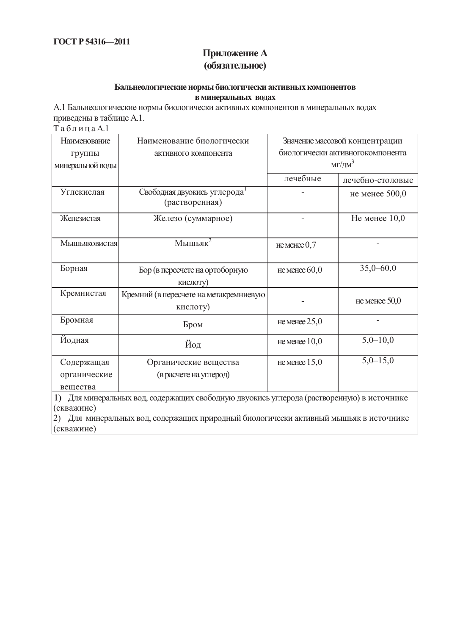## Приложение А **(обязательное)**

### **Бальнеологические нормы биологически активных компонентов в минеральных водах**

А.1 Бальнеологические нормы биологически активных компонентов в минеральных водах приведены в таблице А.1.  $Ta 6 \pi 1$ 

| Наименование     | Наименование биологически                                                                 |                 | Значение массовой концентрации   |  |  |  |  |  |  |  |  |
|------------------|-------------------------------------------------------------------------------------------|-----------------|----------------------------------|--|--|--|--|--|--|--|--|
| группы           | активного компонента                                                                      |                 | биологически активногокомпонента |  |  |  |  |  |  |  |  |
| минеральной воды |                                                                                           |                 | $MT/\text{µM}^3$                 |  |  |  |  |  |  |  |  |
|                  |                                                                                           | лечебные        | лечебно-столовые                 |  |  |  |  |  |  |  |  |
| Углекислая       | Свободная двуокись углерода<br>(растворенная)                                             |                 | не менее 500,0                   |  |  |  |  |  |  |  |  |
| Железистая       | Железо (суммарное)                                                                        |                 | Не менее $10,0$                  |  |  |  |  |  |  |  |  |
| Мышьяковистая    | Мышьяк $2$                                                                                | не менее $0,7$  |                                  |  |  |  |  |  |  |  |  |
| Борная           | Бор (в пересчете на ортоборную<br>кислоту)                                                | не менее $60,0$ | $35,0 - 60,0$                    |  |  |  |  |  |  |  |  |
| Кремнистая       | Кремний (в пересчете на метакремниевую<br>кислоту)                                        |                 | не менее $50,0$                  |  |  |  |  |  |  |  |  |
| Бромная          | Бром                                                                                      | не менее $25,0$ |                                  |  |  |  |  |  |  |  |  |
| Йодная           | Йод                                                                                       | не менее $10,0$ | $5,0-10,0$                       |  |  |  |  |  |  |  |  |
| Содержащая       | Органические вещества                                                                     | не менее $15,0$ | $5,0-15,0$                       |  |  |  |  |  |  |  |  |
| органические     | (в расчете на углерод)                                                                    |                 |                                  |  |  |  |  |  |  |  |  |
| вещества         |                                                                                           |                 |                                  |  |  |  |  |  |  |  |  |
|                  | 1) Для минеральных вод, содержащих свободную двуокись углерода (растворенную) в источнике |                 |                                  |  |  |  |  |  |  |  |  |

 $\begin{pmatrix} 1 & \text{if } \\ \text{if } (k \text{ is a}) \\ \text{if } (k \text{ is a}) \end{pmatrix}$ 

 $|2)$  Для минеральных вод, содержащих природный биологически активный мышьяк в источнике (скважине)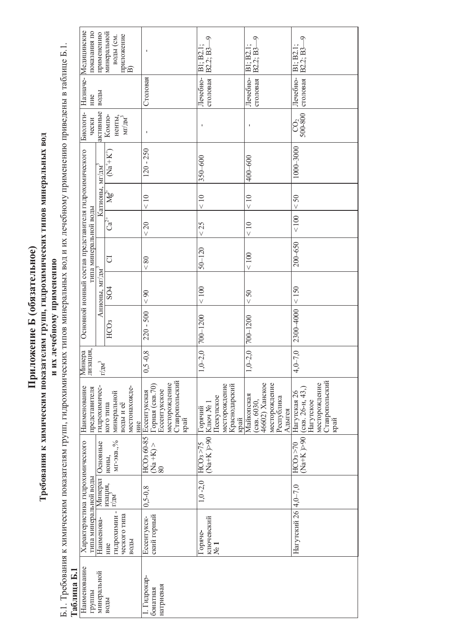Приложение Б (обязательное) **Ь** (обязательное) Приложение

# Tребования Требования к химическим показателям групп, гидрохимических типов минеральных вод **ҡ химическим показателям групп, гидрохимических типов минеральных вод**

и их лечебному применению и их лечебному применению

Б.1. Требования ɤк химическим показателям групп, гидрохимических типов минеральных вод ɢи их лечебному применению приведены в таблице .<br>ها Taблица **Ȼ.1**

| Назначе- Медицинские<br>показания по                     | применению     | минеральной<br> приложение<br> B)<br>воды (см.                 | п                                                                                            | B2.2: B3<br>l: B2<br>$\Xi$                                                    | B2.2: B3<br>B1: B2                                                                   | $\tilde{P}$<br>B2.2: B3<br>$\overline{EB}$<br>$\Xi$                                          |
|----------------------------------------------------------|----------------|----------------------------------------------------------------|----------------------------------------------------------------------------------------------|-------------------------------------------------------------------------------|--------------------------------------------------------------------------------------|----------------------------------------------------------------------------------------------|
| ние                                                      | воды           |                                                                | Столовая                                                                                     | столовая<br>Лечебно-                                                          | Лечебно-<br>столовая                                                                 | Лечебно-<br>столовая                                                                         |
| Биологи-<br>чески                                        | активные       | KOMIIO-<br>ненты.<br>MIYAM <sup>-</sup>                        | J.                                                                                           | I.                                                                            |                                                                                      | 500-800                                                                                      |
| Основной ионный состав представителя гидрохимического    |                | $(Na^+K)$                                                      | $120 - 250$                                                                                  | 350-600                                                                       | 400-600                                                                              | 1000-3000                                                                                    |
|                                                          | Катионы, мг/дм | ৡ৸                                                             | $\frac{10}{5}$                                                                               | < 10                                                                          | < 10                                                                                 | 50                                                                                           |
|                                                          |                | $\mathrm{C}^\ddag$                                             | < 20                                                                                         | $<$ 25                                                                        | < 10                                                                                 | $<100$                                                                                       |
| типа минеральной воды                                    |                | J                                                              | < 80                                                                                         | $50 - 120$                                                                    | $<100$                                                                               | $200 - 650$                                                                                  |
|                                                          | Анионы, мг/дм  | $\mathcal{S}^{\mathcal{A}}$                                    | < 90                                                                                         | < 100                                                                         | < 50                                                                                 | < 150                                                                                        |
|                                                          |                | HCO <sub>3</sub>                                               | $220 - 500$                                                                                  | 700-1200                                                                      | $700 - 1200$                                                                         | 2300-4000                                                                                    |
| Минера<br>лизация,                                       |                | $\ensuremath{\mathrm{r}/\mathrm{nm}}^3$                        | $-0,8$<br>0,5                                                                                | $L_{2,0}$<br>$\Xi$                                                            | $0 - 2, 0$<br>$\tilde{1}$                                                            | $-7,0$<br>$\frac{1}{4}$                                                                      |
| Наименование<br>представителя                            | гидрохимичес-  | местонахожде-<br>минеральной<br>воды и её<br>кого типа<br>HINC | Ставропольский<br>месторождение<br>Горная (скв. 70)<br>Ессентукское<br>Ессентукская<br>'край | месторождение<br>Краснодарский<br>Псекупское<br> Горячий<br> Ключ № 1<br>край | 46602) Ханское<br>месторождение<br>Майкопская<br>Республика<br>(скв. 6030,<br>Адыгея | Ставропольский<br>край<br>месторождение<br>$($ CKB. $26-H, 43,$<br>Нагутская 26<br>Нагутское |
|                                                          | Основные       | мг-экв.,%<br>ионы,                                             | HCO <sub>3</sub> 60-85<br>$\begin{array}{c} (Na + K) > 0 \\ 80 \end{array}$                  | $(Na+K) > 90$<br>HCOs > 75                                                    |                                                                                      | $(Na+K) > 90$<br>HCO3 > 70                                                                   |
|                                                          | Минерал        | изация,<br>г/дм <sup>-</sup>                                   | $0, 5 - 0, 8$                                                                                | $1,0 -2,0$                                                                    |                                                                                      |                                                                                              |
| Характеристика гидрохимического<br>типа минеральной воды | Наименова-     | гидрохимии-<br>ческого типа<br>воды<br>ние                     | ский горный<br>Ессентукск-                                                                   | ключевский<br> № 1<br>оряче-                                                  |                                                                                      | Haryrcкий 26  4,0-7,0                                                                        |
| Наименование<br>1 аолица ь.1<br>группы                   | минеральной    | воды                                                           | - 1 идрокар-<br>натриевая<br>бонатная                                                        |                                                                               |                                                                                      |                                                                                              |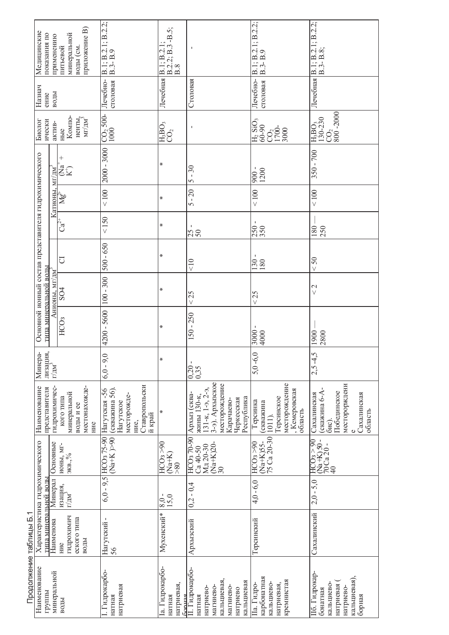|                        | приложение В)<br>Медицинские<br>показания по<br>применению                     |                        | минеральной<br>воды (см.<br>питьевой                                | $B.1; \overline{B.2.1}; B.2.2;$<br>$B.3- B.9$                                                  | $\frac{B \cdot 2 \cdot 2}{B \cdot 8}$ : B.3 - B.5;<br>B.I:B.2 | $\blacksquare$                                                                                                                         | B.1; B.2.1; B.2.2;<br>$B.3 - B.9$                                                            | B.1; B.2.1; B.2.2;<br>B.3-B.8;                                                                                                         |
|------------------------|--------------------------------------------------------------------------------|------------------------|---------------------------------------------------------------------|------------------------------------------------------------------------------------------------|---------------------------------------------------------------|----------------------------------------------------------------------------------------------------------------------------------------|----------------------------------------------------------------------------------------------|----------------------------------------------------------------------------------------------------------------------------------------|
|                        | Назнач<br>ение                                                                 | воды                   |                                                                     | Лечебно-<br>столовая                                                                           | Лечебная                                                      | Столовая                                                                                                                               | Лечебно-<br>столовая                                                                         | Лечебная                                                                                                                               |
|                        | ически<br>Биолог                                                               | актив-                 | Komno-<br>ненты, $\text{m}/\text{m}^3$<br>HЫC                       | $\frac{CO_2}{1000}$ 500-                                                                       | $\rm H_3BO_3$ CO <sub>2</sub>                                 | $\mathbf I$                                                                                                                            | $H_2$ SiO <sub>3</sub><br>60-90<br>$\frac{CO_2}{1700}$                                       | $\begin{array}{c c} {\rm CO_2} & \ & 800 - 2000 \end{array}$<br>H <sub>3</sub> BO <sub>3</sub><br>130-230                              |
|                        |                                                                                |                        | $^{+}$<br>ta<br>EE                                                  | $2000 - 3000$                                                                                  | ∗                                                             | 30<br>$\mathbf I$<br>5                                                                                                                 | - 006<br>1200                                                                                | $350 - 700$                                                                                                                            |
|                        |                                                                                |                        | Катионы, мг/дм <sup>-</sup><br>  Mg <sup>2+</sup>   (N <sub>8</sub> | $<100$                                                                                         | ⋇                                                             | $-20$<br>$\sim$                                                                                                                        | $<100$                                                                                       | $<100$                                                                                                                                 |
|                        |                                                                                |                        | $\rm Ca^{2+}$                                                       | $<150$                                                                                         | ⋇                                                             | 250                                                                                                                                    | $\frac{250}{350}$                                                                            | 180<br>250                                                                                                                             |
|                        |                                                                                |                        | J                                                                   | $500 - 650$                                                                                    | ₩                                                             | $rac{1}{\sqrt{2}}$                                                                                                                     | ı<br>$\frac{130}{180}$                                                                       | $50\,$<br>$\vee$                                                                                                                       |
|                        |                                                                                | Анионы, мг/дм          | SO <sub>4</sub>                                                     | $100 - 300$                                                                                    | ⋇                                                             | 25<br>$\vee$                                                                                                                           | < 25                                                                                         | $\frac{2}{\sqrt{2}}$                                                                                                                   |
|                        | Основной ионный состав представителя гидрохимического<br>типа минеральной воды |                        | HCO <sub>3</sub>                                                    | 4200 - 5600                                                                                    | ⋇                                                             | $150 - 250$                                                                                                                            | $3000 -$<br>4000                                                                             | 1900<br>2800                                                                                                                           |
|                        | лизация,<br>Минера-                                                            | $\Gamma/\mathrm{HM}^3$ |                                                                     | $\circ$<br>$6,0-9,$                                                                            | ∗                                                             | Ţ<br>$\frac{0,20}{0,35}$                                                                                                               | $5,0-6,0$                                                                                    | $2,5 - 4,5$                                                                                                                            |
|                        | Наименование<br>представителя                                                  | гидрохимичес-          | местонахожде-<br>минеральной<br>кого типа<br>воды и ее<br>ние       | Ставропольски<br>(скважина 56).<br>Нагутская -56<br>месторожде-<br>Нагутское<br>й край<br>ние, | ∗                                                             | 3-э). Архызское<br>месторождение<br>$131-x$ , $1-9$ , $2-9$ ,<br>Архыз (сква-<br>жины 130-к,<br>Республика<br>Черкесская<br>Карачаево- | месторождение<br> , Кемеровская<br> область<br>Герсинское<br>Герсинка<br>(скважина<br>1011). | месторорждени<br>(скажина 6-А<br>Побединское<br>Сахалинская<br>Сахалинская<br>область<br>$6nc$ ).                                      |
|                        |                                                                                | Основные               | ионы, мг-<br>экв., $\%$                                             | $(Na+K) > 90$<br>HCO <sub>3</sub> 75-90                                                        | 06 <sub>5</sub><br>$(Ma+K)$<br>$>80$                          | HCO <sub>3</sub> 70-90<br>$(Na+K)20-30$<br>Мд 20-30<br>Ca 40-50                                                                        | $(Na+K)55-$<br>$HCO3$ >90                                                                    | $\begin{array}{c} \n\left(\text{Na}+\text{K}\right)50 \\ \hline\n70 \text{Ca } 20 \\ \hline\n40\n\end{array}$<br>HCO <sub>3</sub> > 90 |
|                        |                                                                                | Минерал                | изация,<br>$\Gamma/\text{HM}^2$                                     | $6, 0 - 9, 5$                                                                                  | 15,0<br>8,0                                                   | $-0,4$<br>0,2                                                                                                                          | $4,0 - 6,0$                                                                                  | $2,0 - 5,0$                                                                                                                            |
| ᡪ                      | Характеристика гидрохимического<br>типа минеральной воды                       | Наименова              | гидрохимич<br>еского типа<br>воды<br>ние                            | л,<br>Нагутский<br>56                                                                          | Мухенский*                                                    | Архызский                                                                                                                              | Терсинский                                                                                   | Сахалинский                                                                                                                            |
| Продолжение таблицы Б. | Наименование<br>группы                                                         | минеральной            | воды                                                                | Гидрокарбо-<br>натриевая<br>натная                                                             | Іа. Гидрокарбо-<br>натриевая,<br>борная<br>натная             | П. Гидрокарбо-<br>кальциевая,<br>кальциевая<br>магниево-<br>магниево-<br>натриево-<br>натриево<br>натная                               | карбонатная<br>кремнистая<br>кальциево-<br>натриевая,<br>Па. Гидро-                          | Пб. Гидрокар-<br>кальциевая),<br>натриевая<br>кальциево<br>натриево-<br>бонатная<br>борная                                             |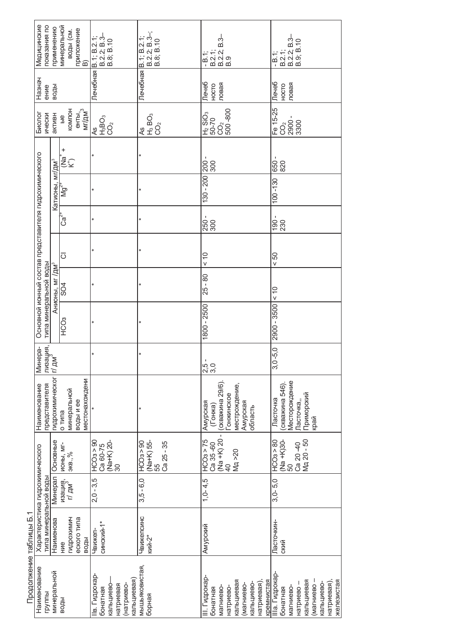| Медицинские                                           | показания по<br>применению         |                             | минеральной<br>приложение<br>В)<br>воды (см.           |                                                                                 | Лечебная <u>  В. 1; В. 2.1;</u><br>  В. 2.2; В. 3-;<br>  В. 8; В. 10<br>  В. 8; В. 10 | B 2.1;<br>B 2.2; B 3-<br>B 3<br>$-B.1$ ;                                                                                   | B 2 1;<br>B 2 2; B 3<br>B 3 3; B 10<br>B 3; B 10<br>- B.1:                                                                  |
|-------------------------------------------------------|------------------------------------|-----------------------------|--------------------------------------------------------|---------------------------------------------------------------------------------|---------------------------------------------------------------------------------------|----------------------------------------------------------------------------------------------------------------------------|-----------------------------------------------------------------------------------------------------------------------------|
| Назнач                                                | воды<br>ение                       |                             |                                                        |                                                                                 |                                                                                       | Лечеб<br>ловая<br>HOCTO                                                                                                    | Лечеб<br>ловая<br>HOCTO                                                                                                     |
| Биолог                                                | ически<br>активн                   |                             | KOMNOH<br>енты,<br>мг/дм <sup>3</sup><br>$\frac{6}{5}$ | $\begin{array}{c} 450 \\ 450 \\ 102 \end{array}$                                | $H_3$ BO <sub>3</sub><br>CO <sub>2</sub><br>4S                                        | 500-800<br>H <sub>2</sub> SiO <sub>3</sub><br>50-70<br>CO <sub>2</sub>                                                     | Fe 15-25<br>Co <sub>2</sub><br>2900 -<br>3300                                                                               |
|                                                       |                                    |                             | +<br>֞֞֟׆֦֬֞֞֞֞֞֬<br>֞֞֞֞֞֞֞֟                          |                                                                                 |                                                                                       |                                                                                                                            | 820<br>650                                                                                                                  |
|                                                       |                                    | Катионы, мг/дм <sup>3</sup> | ,<br>Σ                                                 |                                                                                 |                                                                                       | 130 - 200 200 -<br>300                                                                                                     | $100 - 130$                                                                                                                 |
|                                                       |                                    |                             | ಸ್<br>೦                                                |                                                                                 | $\star$                                                                               | 250<br>300                                                                                                                 | $\frac{90}{230}$                                                                                                            |
|                                                       |                                    |                             | $\overline{\circ}$                                     | $\star$                                                                         | ×                                                                                     | $\frac{0}{x}$                                                                                                              | SO<br>V                                                                                                                     |
|                                                       |                                    | Анионы, мг /дм <sup>3</sup> | SO <sub>4</sub>                                        |                                                                                 |                                                                                       | $25 - 80$                                                                                                                  | $\frac{0}{x}$                                                                                                               |
| Основной ионный состав представителя гидрохимического | типа минеральной воды              |                             | <b>CO3</b>                                             | $\star$                                                                         | $\star$                                                                               | 1800 - 2500                                                                                                                | 2900 - 3500                                                                                                                 |
| Минера-                                               | лизация,<br>$T/$ ДМ $\degree$      |                             |                                                        | $\star$                                                                         | $\ast$                                                                                | 2.5<br>2.0                                                                                                                 | $3,0 -5,0$                                                                                                                  |
| Наименование                                          | гидрохимическог<br>представителя   |                             | местонахождени<br>минеральной<br>воды и ее<br>о типа   |                                                                                 |                                                                                       | (скважина 29/6).<br>местрождение,<br>-онжинское<br>Амурская<br>Амурская<br>(Гонжа)<br>область                              | Месторождение<br>скважина 546)<br><b>Приморский</b><br>Ласточка<br>Пасточка,,<br>қрай                                       |
|                                                       | Основные                           |                             | <b>NOHbI, MI-</b><br>экв., $%$                         | HCO <sub>3</sub> > 90<br>Ca 60-75<br>$\frac{\text{(Na+K)} 20}{30}$              | (Na+K) 55-<br>55<br>HCO <sub>3</sub> > 90<br>$Ca25 - 35$                              | $\frac{(Na + K) 20 -}{40}$<br>HCO3 > 75<br>Ca 35-60<br>$M_A > 20$                                                          | Ca 20-40<br>Mg 20 - 50<br>$\frac{(Na + K)30-}{50}$<br>HCOs > 80                                                             |
|                                                       | <b>Минерал</b>                     |                             | изация,<br>г/ дм <sup>3,</sup>                         | $2,0 - 3,5$                                                                     | $3,5 - 6,0$                                                                           | $1, 0 - 4, 5$                                                                                                              | $3,0-5,0$                                                                                                                   |
| Характеристика гидрохимического<br>נ<br>הב            | гипа минеральной воды<br>Наименова |                             | гидрохимич<br>еского типа<br>воды<br>HNe               | синский-1*<br>Чвижеп-                                                           | Чвижепсинс<br>кий-2*                                                                  | Амурский                                                                                                                   | Пасточкин-<br>ский                                                                                                          |
| Наименование<br>ミコントン                                 | минеральной<br>группы              |                             | воды                                                   | lв. Гидрокар-<br>кальциевая)<br>натриево-<br>кальциево<br>натриевая<br>бонатная | мышьяковистая,<br>борная                                                              | III. Гидрокар-<br>кальциевая<br>натриевая),<br>кремнистая<br>кальциево-<br>(магниево-<br>натриево-<br>магниево<br>бонатная | IIIa. Гидрокар<br>кальциевая<br>натриевая),<br>иагниево-<br>железистая<br>кальциево-<br>- овэмдтвн<br>магниево-<br>бонатная |

Продолжение таблицы Б.1 Продолжение таблицы Б.1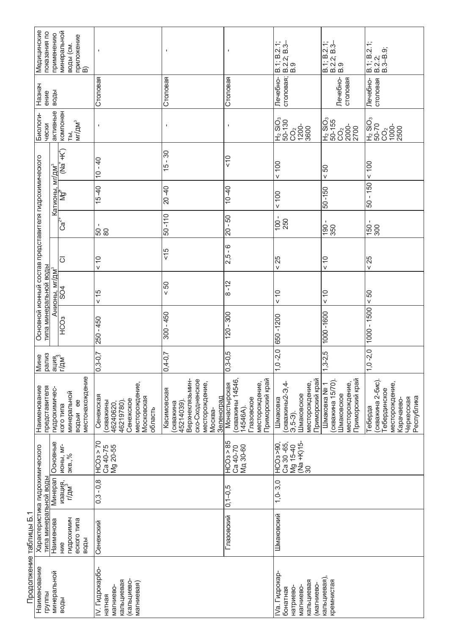|                        | Медицинские<br>показания по                                                    | применению                                                        | минеральной<br>приложение<br>В)<br>воды (см.                   | $\mathbf I$                                                                                             | J.                                                                                                                     |                                                                                                | B.1; B.2.1;<br>B.2.2; B.3–<br>B.3.9                                                                 | B.1; B.2.1;<br>B.2.2; B.3–<br>B.9                                                    | B.1; B.2.1;<br>B.2.2;<br>B.3–B.9;                                                                              |
|------------------------|--------------------------------------------------------------------------------|-------------------------------------------------------------------|----------------------------------------------------------------|---------------------------------------------------------------------------------------------------------|------------------------------------------------------------------------------------------------------------------------|------------------------------------------------------------------------------------------------|-----------------------------------------------------------------------------------------------------|--------------------------------------------------------------------------------------|----------------------------------------------------------------------------------------------------------------|
|                        | Назнач<br>ение                                                                 | воды                                                              |                                                                | Столовая                                                                                                | Столовая                                                                                                               | Столовая                                                                                       | столовая;<br>Лечебно-                                                                               | Печебно-<br>столовая                                                                 | Лечебно-<br>столовая                                                                                           |
|                        | Биологи-<br>чески                                                              | активные                                                          | компонен<br>MT/AM <sup>3</sup><br>ТЫ,                          | $\mathbf I$                                                                                             | $\mathbf I$                                                                                                            |                                                                                                | 021-09<br><sup>2</sup> OIS <sub>7</sub> H<br>CO <sub>2</sub><br>1200-<br>3600                       | H <sub>2</sub> SiO <sub>3</sub><br>50-155<br>CO2<br>2000-<br>2700                    | 02-09<br>POIS <sup>7</sup> H<br>1000-<br>2500<br>CO <sub>2</sub>                                               |
|                        |                                                                                |                                                                   | - 大门<br>宫<br>巴                                                 | $10 - 40$                                                                                               | $-30$<br>15                                                                                                            | $rac{0}{x}$                                                                                    | 100                                                                                                 | $\overline{50}$                                                                      | 100                                                                                                            |
|                        |                                                                                | Катионы, мг/дм <sup>з</sup>                                       | ΪÅ                                                             | $15 - 40$                                                                                               | $20 - 40$                                                                                                              | $-40$                                                                                          | $< 100$                                                                                             | $-150$                                                                               | $-150$<br>50                                                                                                   |
|                        |                                                                                |                                                                   | ೆ<br>೦                                                         | $\frac{1}{50}$                                                                                          | $50 - 110$                                                                                                             | $-50-$<br>$\overline{20}$                                                                      | $\frac{100}{250}$                                                                                   | $\blacksquare$<br>$\frac{190}{350}$                                                  | 150 -                                                                                                          |
|                        |                                                                                |                                                                   | $\overline{\circ}$                                             | $\frac{1}{2}$                                                                                           | $rac{6}{5}$                                                                                                            | ە<br>-<br>2,5                                                                                  | 25<br>$\vee$                                                                                        | $\stackrel{\circ}{\cdot}$<br>$\checkmark$                                            | 25<br>V                                                                                                        |
|                        |                                                                                | Анионы, мг/дм <sup>з</sup>                                        | SO4                                                            | 15                                                                                                      | 50                                                                                                                     | $-12$<br>$\infty$                                                                              | $\frac{0}{x}$                                                                                       | $\frac{0}{x}$                                                                        | $< 50$                                                                                                         |
|                        | Основной ионный состав представителя гидрохимического<br>типа минеральной воды |                                                                   | HC <sub>O3</sub>                                               | 250 - 450                                                                                               | $300 - 450$                                                                                                            | $120 - 300$                                                                                    | 650-1200                                                                                            | 1000-1600                                                                            | $1000 - 1500$                                                                                                  |
|                        | рализ<br>Мине                                                                  |                                                                   | ация.<br>Г/дм <sup>3</sup>                                     | $0,3 - 0,7$                                                                                             | $0,4 - 0,7$                                                                                                            | $0,3 - 0,5$                                                                                    | $-2,0$<br>$\frac{1}{2}$                                                                             | $1,3-2,5$                                                                            | $-2,0$<br>$\tilde{c}$                                                                                          |
|                        | Наименование<br>представителя                                                  | гидрохимичес-                                                     | местонахождение<br>минеральной<br>e<br>e<br>кого типа<br>водыи | месторождение<br>Сенежская<br>Московская<br>Сенежское<br>(скважины<br>46240620,<br>46219780)<br>область | ско-Сходненское<br>Верхнеклязьмин-<br>месторождение,<br>Касимовская<br>Зеленоград<br>45214039)<br>(скважина<br>Москва- | Приморский край<br>(скважины 14546,<br>месторождение,<br>Монастырская<br>Глазовское<br>14546A) | Приморский край<br>месторождение,<br>(скважины2-Э,4<br>Шмаковское<br>Шмаковка<br>$3,5-3$ .          | Приморский край<br>(скважина 15/70).<br>месторождение,<br>Шмаковка № 1<br>Шмаковское | (скважина 2-бис)<br>месторождение,<br>Тебердинское<br>Республика<br>Черкесская<br>Карачаево-<br><b>Теберда</b> |
|                        |                                                                                | Основные                                                          | <b>MOHbI, MI-</b><br>экв., $%$                                 | 02 < 50<br>Ca 40-75<br>Mg 20-55                                                                         |                                                                                                                        | HCOa > 85<br>Ca 40-70<br>M <sub>A</sub> 30-60                                                  | Ca 30 -65,<br>Mg 15-40<br>$\frac{(\overline{Na} + \overline{K})15 -}{30}$<br>$\overline{HC}O3 > 90$ |                                                                                      |                                                                                                                |
|                        |                                                                                | Минерал                                                           | изация,<br>г/дм <sup>3</sup>                                   | $0,3 - 0,8$                                                                                             |                                                                                                                        | $0,1 - 0,5$                                                                                    | $1, 0 - 3, 0$                                                                                       |                                                                                      |                                                                                                                |
| $\overline{ }$         | Характеристика гидрохимического<br>типа минеральной воды                       | гидрохимич<br>еского типа<br>Наименова<br>Сенежский<br>воды<br>WБ |                                                                |                                                                                                         | Глазовский                                                                                                             | Шмаковский                                                                                     |                                                                                                     |                                                                                      |                                                                                                                |
| Продолжение таблицы Б. | Наименование<br>группы                                                         | минеральной                                                       | воды                                                           | IV. Гидрокарбо-<br>кальциевая<br>(кальциево-<br>магниевая)<br>магниево-<br>натная                       |                                                                                                                        |                                                                                                | IVa. Гидрокар-<br>кальциевая<br>(магниево-<br>натриево-<br>магниево<br>бонатная                     | кальциевая)<br>кремнистая                                                            |                                                                                                                |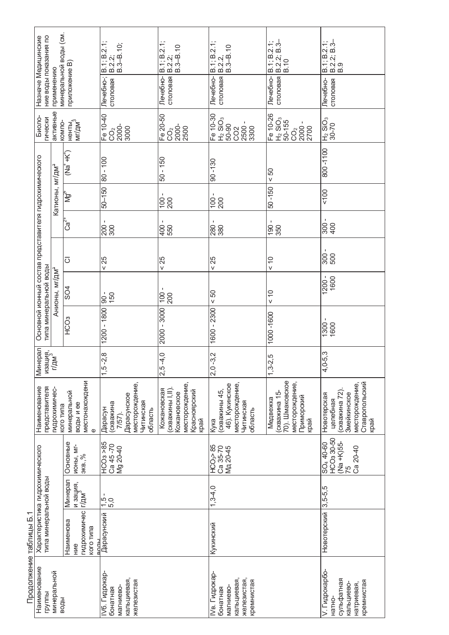|                        | минеральной воды (см.<br>ние воды показания по<br>Назначе Медицинские<br>приложение В)<br>применению |                                                                                             |                                                             | Лечебно-;<br>столовая                                                                  | B.1; B.2.1;<br>$\frac{8.2.2}{3 - 8.10}$<br>Лечебно-<br>столовая                                      | $\begin{array}{c} 8.1; B.2.1; \\ B.2.2. \end{array}$<br>$B.3 - B.10$<br>столовая<br>Лечебно-     | B.2.2; B.3-<br>B.10<br>$B.1$ ; $B.2.1$ ;<br>столовая<br>Лечебно-                     | B.1; B.2.1;<br>B.2.2; B.3–<br>B.9<br>Лечебно-<br>столовая                                           |                                                    |        |
|------------------------|------------------------------------------------------------------------------------------------------|---------------------------------------------------------------------------------------------|-------------------------------------------------------------|----------------------------------------------------------------------------------------|------------------------------------------------------------------------------------------------------|--------------------------------------------------------------------------------------------------|--------------------------------------------------------------------------------------|-----------------------------------------------------------------------------------------------------|----------------------------------------------------|--------|
|                        | Биоло-<br><b>ГИЧЕСКИ</b>                                                                             | активные<br>KOMNO-                                                                          | ненты,<br>мг/дм <sup>3</sup>                                | Fe 10-40<br>C <sub>2</sub><br>2000-<br>3000                                            | Fe 20-50<br>CO <sub>2</sub><br>2500                                                                  | Fe 10-30<br>$H_2$ SiO <sub>3</sub><br>2500 -<br>3300<br>50-90<br>CO <sub>2</sub>                 | Fe 10-26<br>$H2$ SiO <sub>3</sub><br>50-155<br>2000 -<br>2700<br>$\rm CO_2$          | $\frac{ H_2 \text{ SiO}_3 }{30-70}$                                                                 |                                                    |        |
|                        |                                                                                                      |                                                                                             | $(Na^++K^+)$                                                | $80 - 100$                                                                             | $50 - 150$                                                                                           | $90 - 130$                                                                                       | 50<br>$\vee$                                                                         | 0011-008                                                                                            |                                                    |        |
|                        |                                                                                                      | Катионы, мг/дм <sup>з</sup>                                                                 | ¶≱                                                          | $50 - 150$                                                                             | $100 -$<br>200                                                                                       | 100<br>200                                                                                       | $50 - 150$                                                                           | 100                                                                                                 |                                                    |        |
|                        |                                                                                                      |                                                                                             | ن<br>ن                                                      | <u>ខ្ញុំ</u><br>ខ្លួ                                                                   | $rac{100}{50}$                                                                                       | 280                                                                                              | 190<br>350                                                                           | 300                                                                                                 |                                                    |        |
|                        |                                                                                                      |                                                                                             | $\overline{\circ}$                                          | < 25                                                                                   | < 25                                                                                                 | < 25                                                                                             | $\frac{0}{x}$                                                                        | $\frac{1}{300}$                                                                                     |                                                    |        |
|                        | Основной ионный состав представителя гидрохимического<br>типа минеральной воды                       |                                                                                             |                                                             | Анионы, мг/дм <sup>з</sup>                                                             | SO4                                                                                                  | $-06$<br>150                                                                                     | $100 -$<br>200                                                                       | 50<br>$\vee$                                                                                        | $\overset{\circ}{\phantom{\circ}}$<br>$\mathsf{v}$ | 1200 - |
|                        |                                                                                                      |                                                                                             | HC <sub>O3</sub>                                            | 1200 - 1800                                                                            | 2000 - 3000                                                                                          | 1600 - 2300                                                                                      | 1000-1600                                                                            | 1300 -                                                                                              |                                                    |        |
|                        | Минерал                                                                                              | изация,<br>г/дм <sup>3</sup>                                                                |                                                             | $-2,8$<br>1,5                                                                          | $-4,0$<br>2,5                                                                                        | $-3,2$<br>2,0                                                                                    | $1,3-2,5$                                                                            | $4,0-5,3$                                                                                           |                                                    |        |
|                        | представителя<br>Наименование                                                                        | гидрохимичес-<br>кого типа                                                                  | местонахождени<br>минеральной<br>воды и ее<br>$\mathbf 0$   | месторождение,<br>Дарасунское<br>Читинская<br>(скважина<br>Дарасун<br>область<br>7/57) | месторождение,<br>Кожановская<br>$($ CKBa $x$ KMHbl $ $ , $ $<br>Красноярский<br>Кожановское<br>край | месторождение,<br>46). Кукинское<br>(скважины 45,<br>Читинская<br>область<br>Кука                | 70). Шмаковское<br>месторождение,<br>(скважина 15-<br>Приморский<br>Медвежка<br>қрай | Ставропольский<br>край<br>месторождение,<br>(скважина 72)<br>Змейкинское<br>Новотерская<br>целебная |                                                    |        |
|                        |                                                                                                      |                                                                                             | Основные<br><b>NOHbI, MI-</b><br>экв., $%$                  | HCO <sub>3</sub> >85<br>Ca 45-70<br>Mg 20-40                                           |                                                                                                      | HCO <sub>3</sub> > 85<br>Ca 35-70<br>Mg 20-45                                                    |                                                                                      | HCO <sub>3</sub> 30-50<br>(Na +K)55-<br>SO <sub>4</sub> 40-60<br>Ca 20-40<br>75                     |                                                    |        |
|                        |                                                                                                      |                                                                                             | Минерал<br>и зация,<br>г/дм <sup>3</sup>                    | 1<br>$-50$                                                                             |                                                                                                      | $1,3-4,0$                                                                                        |                                                                                      |                                                                                                     |                                                    |        |
| ↽                      | Характеристика гидрохимического<br>типа минеральной воды                                             |                                                                                             | гидрохимичес<br>Наименова<br>кого типа<br><b>ROJL</b><br>₩e | Дарасунский                                                                            |                                                                                                      | Кукинский                                                                                        |                                                                                      | Новотерский 3,5-5,5                                                                                 |                                                    |        |
| Продолжение таблицы Б. | Наименование<br>группы                                                                               | минеральной<br>IV6. Гидрокар-<br>кальциевая,<br>железистая<br>магниево-<br>бонатная<br>воды |                                                             |                                                                                        |                                                                                                      | IV <sub>B</sub> . Гидрокар-<br>кальциевая,<br>железистая,<br>кремнистая<br>магниево-<br>бонатная |                                                                                      | V. Гидрокарбо-<br>сульфатная<br>кремнистая<br>кальциево-<br>натриевая,<br>натно-                    |                                                    |        |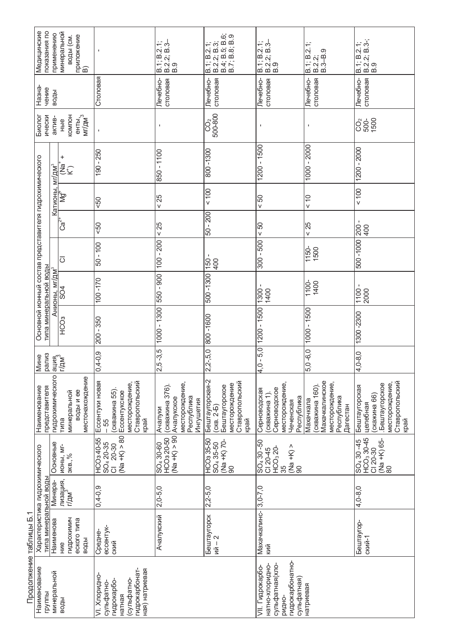|                        | Медицинские<br>показания по                                                    | применению                       | минеральной<br>приложение<br>В)<br>воды (см.         |                                                                                                         | $B.2.2$ ; $B.3-$<br>$B.9$<br>B.1; B.2.1;                                              | B.1; B.2.1;<br>B.2.2; B.3;<br>B.4; B.5; B.9;<br>B.7; B.8; B.9                                 | ÷<br>$B.3-$<br>B.1; B.2;<br>B.2, 2; B.3<br>B.9                                                      | B.1; B.2.1;<br>တ<br>$B.2.2$<br>$B.3 - B.3$                                                 | B.1; B.2.1;<br> B.2.2; B.3-;<br> B.9                                                                   |
|------------------------|--------------------------------------------------------------------------------|----------------------------------|------------------------------------------------------|---------------------------------------------------------------------------------------------------------|---------------------------------------------------------------------------------------|-----------------------------------------------------------------------------------------------|-----------------------------------------------------------------------------------------------------|--------------------------------------------------------------------------------------------|--------------------------------------------------------------------------------------------------------|
|                        | Назна-<br>чение                                                                | воды                             |                                                      | Столовая                                                                                                | Лечебно-<br>столовая                                                                  | столовая<br>Лечебно-                                                                          | Лечебно-<br>столовая                                                                                | Лечебно-<br>столовая                                                                       | Лечебно-<br>столовая                                                                                   |
|                        | Биолог<br>ически                                                               | актив-                           | <b>KOMIDH</b><br>енты,<br>мг/дм <sup>3</sup><br>Hble |                                                                                                         | $\blacksquare$                                                                        | $rac{C}{500-800}$                                                                             | $\blacksquare$                                                                                      | $\mathbf{I}$                                                                               | $rac{0}{1500}$                                                                                         |
|                        |                                                                                | ″д<br>Д<br>ξ                     | +<br>_a<br>E⊊                                        | $190 - 250$                                                                                             | $-1100$<br>850                                                                        | 800-1300                                                                                      | $1200 - 1500$                                                                                       | 1000 - 2000                                                                                | 1200 - 2000                                                                                            |
|                        |                                                                                | Катионы                          | Āξ                                                   | 50                                                                                                      | < 25                                                                                  | 100                                                                                           | 50<br>$\mathsf{V}$                                                                                  | $\frac{0}{x}$                                                                              | $< 100$                                                                                                |
|                        |                                                                                |                                  | $C\overline{\overline{a}}^{\overline{z}^+}$          | $\overline{50}$                                                                                         | < 25                                                                                  | $-200$<br>50                                                                                  | 50<br>$\checkmark$                                                                                  | < 25                                                                                       | 200<br>400                                                                                             |
|                        |                                                                                |                                  | $\overline{O}$                                       | $50 - 100$                                                                                              | $100 - 200$                                                                           | $\mathbf I$<br>400<br>150                                                                     | $-500$<br>300                                                                                       | 1150-<br>1500                                                                              | 500-1000                                                                                               |
|                        | Основной ионный состав представителя гидрохимического<br>типа минеральной воды | <u>Анионы, мг/дм<sup>з</sup></u> | SO4                                                  | 100-170                                                                                                 | 550 - 900                                                                             | 0081-009                                                                                      | 1300<br>1400                                                                                        | 1100-<br>1400                                                                              | 1100 -<br>2000                                                                                         |
|                        |                                                                                |                                  | HC <sub>O3</sub>                                     | $-350$<br>200                                                                                           | 1000 - 1300                                                                           | 800-1600                                                                                      | $1200 - 1500$                                                                                       | $000 - 1500$                                                                               | 1300-2300                                                                                              |
|                        | рализ<br>ине<br>Σ                                                              |                                  | ация<br>Г/дм <sup>3</sup>                            | $ 0,4-0,9 $                                                                                             | $2,5-3,5$                                                                             | $2 - 5.0$<br>$\ddot{\sim}$                                                                    | $-5,0$<br>$\frac{1}{4}$                                                                             | $0 -6, 0$<br>ΓÓ,                                                                           | $ 4,0-8,0$                                                                                             |
|                        | представителя<br>Наименование                                                  | гидрохимического                 | местонахождение<br>воды и ее<br>минеральной<br>типа  | Ставропольский<br>Ессентуки новая<br>месторождение,<br>(скважина 55)<br>Ессентукское<br>край<br>- 55    | месторождение,<br>(скважина 376).<br>Республика<br>Ачалукское<br>Ингушетия<br>Ачалуки | Бештаугорская-2<br>Ставропольский<br>край<br>месторождение<br>Бештаугорское<br>$(CKB. 2 - 5)$ | месторождение,<br>Серноводское<br>Серноводская<br>(скважина 1)<br>Республика<br>Чеченская           | Махачкалинское<br>месторождение,<br>(скважина 160).<br>Республика<br>Махачкала<br>Дагестан | Ставропольский<br>месторождение,<br>Бештаугорское<br>Бештаугорская<br>(скажина 66)<br>целебная<br>край |
|                        |                                                                                | Основные                         | <b>MOHbI, MI-</b><br>экв., $%$                       | $Na + K$ ) > 80<br>HCO340-55<br>SO <sub>4</sub> 20-35<br>20-30<br>$\overline{\circ}$                    | $(Na + K) > 90$<br>HCO3 20-50<br>SO <sub>4</sub> 30-60                                | HCO335-50<br>(Na +K) 70-<br>SO <sub>4</sub> 35-50<br>8                                        | $SO4$ 30 -50<br>$(Na + K)$<br>HCO <sub>3</sub> 20-<br>CI 20-45<br>35<br>. 90                        |                                                                                            | HCO <sub>3</sub> 30-45<br>(Na +K) 65-<br>80<br>$SO4$ 30 -45<br>$C120-30$                               |
|                        |                                                                                | Минера-                          | лизация,<br>г/дм <sup>3</sup>                        | $0,4-0,9$                                                                                               | $2,0-5,0$                                                                             | $2,2 - 5,0$                                                                                   | $3, 0 - 7, 0$                                                                                       |                                                                                            | $4,0-8,0$                                                                                              |
| ↽                      | Характеристика гидрохимического<br>типа минеральной воды                       | Наименова                        | гидрохимич<br>еского типа<br>воды<br>HNe             | ессентук-<br>Средне-<br>СКИЙ                                                                            | Ачалукский                                                                            | Бештаугорск<br>ий – 2                                                                         | Махачкалинс-<br>КИЙ                                                                                 |                                                                                            | Бештаугор-<br>ский-1                                                                                   |
| Продолжение таблицы Б. | Наименование<br>группы                                                         | минеральной                      | воды                                                 | гидрокарбонат-<br>ная) натриевая<br>VI. Хлоридно-<br>(сульфатно-<br>гидрокарбо-<br>сульфатно-<br>натная |                                                                                       |                                                                                               | гидрокарбонатно-<br>натно-хлоридно-<br>сульфатная(хло-<br>VII. Гидрокарбо-<br>сульфатная)<br>ридно- | натриевая                                                                                  |                                                                                                        |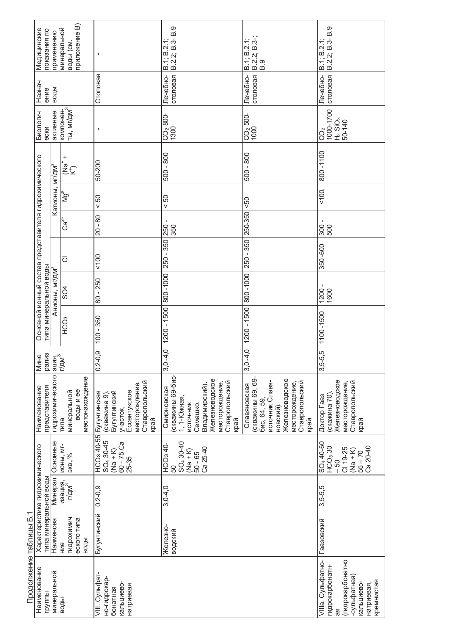|                        | Медицинские<br>показания по                              | применению                  | приложение В)<br>минеральной<br>воды (см.           | $\mathbf I$                                                                                                           | B.9<br>$\begin{array}{c} B.1; B.2.1; \\ B.2.2; B.3 - E \end{array}$                                                                                    | B.2.2; B.3-;<br>B.9<br>$B.1$ ; $B.2.1$ ;                                                                                                        | $\overline{B}$ .<br>B.2.2; B.3-<br>B.1; B.2.1;                                                                          |
|------------------------|----------------------------------------------------------|-----------------------------|-----------------------------------------------------|-----------------------------------------------------------------------------------------------------------------------|--------------------------------------------------------------------------------------------------------------------------------------------------------|-------------------------------------------------------------------------------------------------------------------------------------------------|-------------------------------------------------------------------------------------------------------------------------|
|                        | Назнач<br>ение                                           | воды                        |                                                     | Столовая                                                                                                              | столовая<br>Лечебно-                                                                                                                                   | столовая<br>Лечебно-                                                                                                                            | столовая<br>Лечебно-                                                                                                    |
|                        | Биологич<br>ески                                         | активные                    | компонен-<br>ты, мг/дм <sup>3</sup>                 | $\mathbf I$                                                                                                           | $CO2 800-$<br>1300                                                                                                                                     | $\frac{CO_2}{1000}$ 500-                                                                                                                        | 1000-1700<br>$H2$ SiO <sub>3</sub><br>50-140<br>Ŝ                                                                       |
|                        |                                                          |                             | $\ddot{}$<br>_a<br>E⊊                               | $50 - 200$                                                                                                            | $-800$<br>500                                                                                                                                          | 008 - 009                                                                                                                                       | 800-1100                                                                                                                |
|                        |                                                          | Катионы, мг/дм <sup>3</sup> | δĻ                                                  | 50<br>V                                                                                                               | 50<br>V                                                                                                                                                | 50                                                                                                                                              | < 100,                                                                                                                  |
|                        |                                                          |                             | ်ဒီ                                                 | $-80$<br>$\overline{20}$                                                                                              | $\blacksquare$<br>250<br>350                                                                                                                           | 250-350                                                                                                                                         | $\blacksquare$<br>300<br>500                                                                                            |
|                        |                                                          |                             | $\overline{\circ}$                                  | 100                                                                                                                   | $-350$<br>$\frac{1}{250}$                                                                                                                              | 250 - 350                                                                                                                                       | 350 - 600                                                                                                               |
|                        | Основной ионный состав представителя гидрохимического    | Анионы, мг/дм <sup>3</sup>  | SO4                                                 | 250<br>$\mathbf{I}$<br>80                                                                                             | 800-1000                                                                                                                                               | 800-1000                                                                                                                                        | $1200 -$<br>1600                                                                                                        |
|                        | типа минеральной воды                                    |                             | HC <sub>O3</sub>                                    | $-350$<br>100                                                                                                         | $-1500$<br>1200                                                                                                                                        | $1200 - 1500$                                                                                                                                   | 1100-1500                                                                                                               |
|                        | Мине<br>рализ                                            | ация,<br>Г/дм <sup>3</sup>  |                                                     | 0,6<br>$0,2-$                                                                                                         | $-4,0$<br>3.0                                                                                                                                          | $3,0 -4,0$                                                                                                                                      | $3,5-5,5$                                                                                                               |
|                        | представителя<br>Наименование                            | гидрохимического            | местонахождение<br>воды и ее<br>минеральной<br>типа | Ставропольский<br>месторождение,<br>Бугунтинский<br>Ессентукское<br>Бугунтинская<br>(скважина 9).<br>участок,<br>край | скважины 69-бис-<br>Железноводское<br>Ставропольский<br>месторождение,<br>Владимирский).<br>Смирновская<br>1, 1-Южная,<br>ИСТОЧ-НИК<br>Семашко<br>қрай | (скважины 69, 69-<br>Железноводское<br>источник Славя-<br>месторождение,<br>Ставропольский<br>Славяновская<br>бис, 64, 59,<br>НОВСКИЙ).<br>Kpaň | Железноводское<br>Ставропольский<br>край<br>месторождение,<br>(скажина 70)<br>Доктор Гааз                               |
|                        |                                                          | Основные                    | <b>NOHbI, MI-</b><br>9KB.,%                         | <b>HCO<sub>3</sub></b> 40-55<br>SO <sub>4</sub> 30-45<br>$60 - 75$ Ca<br>$(Na + K)$<br>25-35                          | SO <sub>4</sub> 30-40<br>HCO3 40-<br>Ca 25-40<br>$(N + k)$<br>$50 - 65$<br>50                                                                          |                                                                                                                                                 | SO <sub>4</sub> 40-60<br>HCO <sub>3</sub> 30<br>$Ca20-40$<br>CI 19-25<br>$(Na + K)$<br>$55 - 70$<br>.50                 |
|                        |                                                          | Минерал                     | изация,<br>г/дм <sup>3</sup>                        | $0, 2 - 0, 9$                                                                                                         | $3,0-4,0$                                                                                                                                              |                                                                                                                                                 | $3,5-5,5$                                                                                                               |
| ↽                      | Характеристика гидрохимического<br>типа минеральной воды | Наименова                   | гидрохимич<br>еского типа<br>воды<br><b>WH</b>      | Бугунтинский                                                                                                          | Железно-<br>водский                                                                                                                                    |                                                                                                                                                 | Гаазовский                                                                                                              |
| Продолжение таблицы Б. | Наименование<br>группы                                   | минеральной                 | воды                                                | VIII. Сульфат-<br>но-гидрокар-<br>кальциево<br>натриевая<br>бонатная                                                  |                                                                                                                                                        |                                                                                                                                                 | (гидрокарбонатно<br>VIIIa. Сульфатно-<br>гидрокарбонатн-<br>-сульфатная)<br>кремнистая<br>натриевая,<br>кальциево-<br>Æ |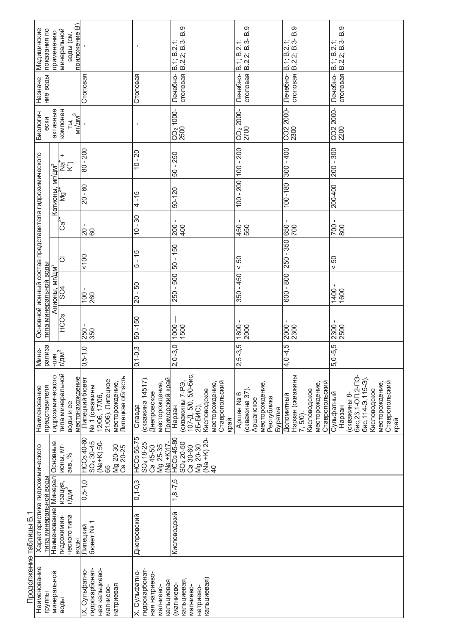| Продолжение таблицы Б.<br>Наименование | ↽                                         |                              |                                                                                                          |                                                                                                                                            |                             |                             |                                                                                |                    |                              |                           |                    |                                          |                      |                                                                      |
|----------------------------------------|-------------------------------------------|------------------------------|----------------------------------------------------------------------------------------------------------|--------------------------------------------------------------------------------------------------------------------------------------------|-----------------------------|-----------------------------|--------------------------------------------------------------------------------|--------------------|------------------------------|---------------------------|--------------------|------------------------------------------|----------------------|----------------------------------------------------------------------|
|                                        |                                           | типа минеральной водь        | Характеристика гидрохимического                                                                          | представителя<br>Наименование                                                                                                              | рализа<br>Мине-             |                             | Основной ионный состав представителя гидрохимического<br>типа минеральной воды |                    |                              |                           |                    | Биологич<br>ески                         | ние воды<br>Назначе  | Медицинские<br>показания по                                          |
|                                        |                                           | Наименование   Минерал       | Основные                                                                                                 | гидрохимического                                                                                                                           | <b>云</b><br>才               |                             | Анионы, мг/дм <sup>з</sup>                                                     |                    |                              | Катионы                   | мг/дм <sup>з</sup> | активные                                 |                      | применению                                                           |
| воды                                   | ческого типа<br>гидрохимии-               | изация,<br>г/дм <sup>3</sup> | <b>NOHbI, MI-</b><br>экв., $%$                                                                           | типа минеральной<br>местонахождение<br>воды и ее                                                                                           | $1r/\mu$ M $^3$             | HC <sub>O3</sub>            | SO4                                                                            | $\overline{\circ}$ | .<br>ون                      | ∑<br>⊠                    | +<br>_<br>≌∑       | компонен<br>$M/L/M^3$<br>ТЫ,             |                      | приложение В)<br>минеральной<br>воды (см.                            |
|                                        | <b>G</b> ober No <sub>1</sub><br>Липецкий | $0,5-1,0$                    | HCO <sub>3</sub> 40-60<br>(Na+K) 50-<br>SO <sub>4</sub> 30-45<br>Mg 20-30<br>Ca 20-25<br>65              | Липецкая область<br>Липецкий бювет<br>21/06). Липецкое<br>месторождение,<br>№ 1 (скважины<br>12/06, 17/06,                                 | $0,5-1,0$                   | 250 -<br>350                | $100 -$<br>260                                                                 | 100                | $\frac{20}{60}$              | $20 - 60$                 | $80 - 200$         |                                          | Столовая             |                                                                      |
|                                        | Днепровский                               | $0, 1 - 0, 3$                | HCO <sub>3</sub> 55-75<br>SO <sub>4</sub> 18-25<br>$(Na + K)17$<br>Mg 25-35<br>Ca 45-50                  | (скважина 14517)<br>Приморский край<br>месторождение,<br>Днепровское<br>Славда                                                             | $1 - 0,3$<br>$\overline{C}$ | $50 - 150$                  | $-50$<br>$\overline{c}$                                                        | $-15$<br>5         | $10 - 30$                    | $-15$<br>4                | $10 - 20$          |                                          | Столовая             |                                                                      |
|                                        | Кисловодский                              | $1,8 - 7,5$                  | HCO <sub>3</sub> 45-80<br>(Na +K) 20-<br>SO <sub>4</sub> 20-50<br>Mg 20-30<br>Ca 30-60<br>$\overline{4}$ | 107-Д, 5/0, 5/0-бис,<br>(скважины 7-РЭ,<br>Ставропольский<br>месторождение,<br>Кисловодское<br>25-5VC).<br>Нарзан<br>край                  | $-3,0$<br>2,0               | 1000<br>1500                | $-500 -$<br>250                                                                | $-150$<br>50       | 200-<br>400                  | 50-120                    | $-250$<br>50       | $\frac{\text{CO}_2 + 1000}{\text{2500}}$ | столовая<br>Лечебно- | တ<br>$\dot{\Xi}$<br>B.2.2; B.3-<br>B.1; B.2.1;                       |
|                                        |                                           |                              |                                                                                                          | месторождение,<br>(скважина 37)<br>Apman Nº 6<br>Республика<br>Аршанское<br>Бурятия                                                        | -3,5<br>2,5                 | $\mathbf I$<br>1800<br>2000 | $350 - 450$                                                                    | 50                 | $\mathbf I$<br>450<br>550    | $100 - 200$   $100 - 200$ |                    | CO <sub>2</sub> 2000-<br>2700            | Лечебно-<br>столовая | တ<br>മ<br>$\begin{array}{c} B.1; B.2.1; \\ B.2.2; B.3-1 \end{array}$ |
|                                        |                                           |                              |                                                                                                          | Нарзан (скважины<br>Ставропольский<br>месторождение,<br>Кисловодское<br>Доломитный<br>7, 5/0).                                             | $-4,5$<br>$\frac{4}{5}$     | $\mathbf I$<br>2000<br>2300 | $-800$<br>600                                                                  | 250 - 350          | 650 -<br>700                 | $100 - 180$               | $300 - 400$        | CO2 2000-<br> 2300                       | столовая<br>Лечебно- | B.9<br>B.2.2; B.3-<br>B.1; B.2.1;                                    |
|                                        |                                           |                              |                                                                                                          | бис,23,1-ОП,2-ПЭ-<br>бис, 114-Э, 115-Э)<br>Ставропольский<br>месторождение<br>Кисловодское<br>Сульфатный<br>(скважины 8-<br>Нарзан<br>край | -5,5<br>5,0                 | 2300<br>2500                | 1400<br>1600                                                                   | 50<br>V            | $\blacksquare$<br>700<br>800 | 200-400                   | $005 - 002$        | CO2 2000-<br>2200                        | столовая<br>Лечебно- | B.9<br>B.2.2; B.3-<br>B.1; B.2.                                      |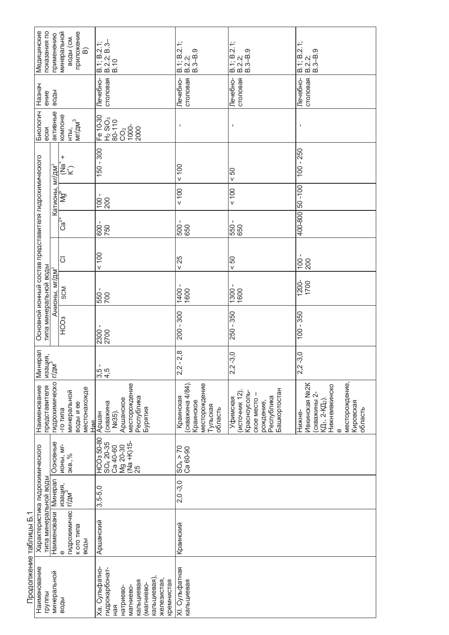|                        | Медицинские<br>показания по                                                                        | применению                  | приложение<br>минеральной<br>воды (см.<br>⋒                 | $\begin{array}{ c c }\n\hline\n8.1; B.2.1; \\ \hline\n8.2.2; B.3-\end{array}$<br>B.10                                                  | Νj<br>$\frac{1}{1}$<br>$\frac{1}{3}$<br>$\frac{3}{5}$<br>$\frac{1}{5}$<br>$\frac{1}{5}$<br>B.1; B. | B.1; B.2.1;<br>  B.2.2;<br>  B.3–B.9                                                               | $B.1$ ; $B.2.1$ ;<br>$B.2.2$ ;<br>$B.3 - B.9$                                                                    |  |  |
|------------------------|----------------------------------------------------------------------------------------------------|-----------------------------|-------------------------------------------------------------|----------------------------------------------------------------------------------------------------------------------------------------|----------------------------------------------------------------------------------------------------|----------------------------------------------------------------------------------------------------|------------------------------------------------------------------------------------------------------------------|--|--|
|                        | Назнач<br>ение                                                                                     | воды                        |                                                             | столовая<br>Лечебно-                                                                                                                   | столовая<br>Лечебно-                                                                               | Лечебно-<br>столовая                                                                               | столовая<br>Лечебно-                                                                                             |  |  |
|                        | Биологич<br>ески                                                                                   | активные                    | компоне<br>$M I / \mu M$ <sup>3</sup><br>НTЫ,               | Fe 10-30<br>H <sub>2</sub> SiO <sub>3</sub><br>80-110<br>$rac{1}{2}$<br>2000                                                           |                                                                                                    | $\blacksquare$                                                                                     | I.                                                                                                               |  |  |
|                        |                                                                                                    |                             | +<br>_a<br>E∑                                               | $150 - 300$                                                                                                                            | 001                                                                                                | 50 <sub>0</sub>                                                                                    | $-250$<br>$\overline{100}$                                                                                       |  |  |
|                        |                                                                                                    | Катионы, мг/дм <sup>з</sup> | ∱<br>Mg                                                     | $\frac{100}{200}$                                                                                                                      | 100                                                                                                | 100                                                                                                | 001-09 008-004                                                                                                   |  |  |
|                        |                                                                                                    |                             | *<br>೦೦                                                     | - 009<br>150                                                                                                                           | 500                                                                                                | 550 -<br>650                                                                                       |                                                                                                                  |  |  |
|                        |                                                                                                    |                             | $\overline{\circ}$                                          | 100                                                                                                                                    | < 25                                                                                               | 50 <sub>0</sub>                                                                                    | $100 -$<br>200                                                                                                   |  |  |
|                        |                                                                                                    | Анионы, мг/дм <sup>3</sup>  | <b>SCM</b>                                                  | 550 -<br>700                                                                                                                           | 1400<br>1600                                                                                       | $-0081$<br>$-0081$                                                                                 | 1200-<br>1700                                                                                                    |  |  |
|                        | Основной ионный состав представителя гидрохимического<br>типа минеральной воды                     |                             | HC <sub>O3</sub>                                            | 2300 -<br>2700                                                                                                                         | $-300$<br>200                                                                                      | 250 - 350                                                                                          | $-350$<br>$\overline{100}$                                                                                       |  |  |
|                        | Минерал<br>изация,<br>г/лм <sup>3</sup><br>г/дм<br>гидрохимическо<br>представителя<br>Наименование |                             |                                                             | 3.5<br>3.4.<br>3.4.                                                                                                                    | $-2,8$<br>2,2                                                                                      | $-3,0$<br>2 <sub>2</sub>                                                                           | $-3,0$<br>$\sqrt{2}$                                                                                             |  |  |
|                        |                                                                                                    |                             | местонахожде<br>минеральной<br>воды и ее<br>-го типа<br>Hue | месторождение<br>Республика<br>Аршанское<br>(скважина<br>Бурятия<br>Ne35).<br>Аршан                                                    | (скважина 4/84).<br>месторождение<br>Краинская<br>Краинское<br>Тульская<br>область                 | Башкортостан<br>Красноусоль-<br>(источник 12)<br>Республика<br>Уфимская<br>CKOE MECTO<br>рождение, | месторождение,<br>Ивкинская №2К<br>Нижнеивкинско<br>скважины 2-<br>КД1, 2-КД2)<br>Кировская<br>область<br>Нижне- |  |  |
|                        | Основные                                                                                           |                             | <b>MOHbI, MI-</b><br>экв., $%$                              | HCO3 50-80<br>$(Na + K)15$ -<br>SO <sub>4</sub> 20-35<br>Mg 20-30<br>Ca 40-60<br>25                                                    | $SO_4 > 70$<br>Ca 60-90                                                                            |                                                                                                    |                                                                                                                  |  |  |
|                        | Наименовани   Минерал                                                                              |                             | изация,<br> г/дм <sup>3</sup><br>$3,5-5,0$                  |                                                                                                                                        | $2,0 -3,0$                                                                                         |                                                                                                    |                                                                                                                  |  |  |
|                        | Характеристика гидрохимического<br>типа минеральной воды                                           |                             | гидрохимичес<br>к ого типа<br>воды<br>$\mathbf 0$           | Аршанский                                                                                                                              | Краинский                                                                                          |                                                                                                    |                                                                                                                  |  |  |
| Продолжение таблицы Б. | Наименование<br>минеральной<br>группы                                                              |                             | воды                                                        | <а. Сульфатно-<br>гидрокарбонат-<br>кальциевая)<br>железистая,<br>кремнистая<br>везинчие<br>магниево-<br>магниево-<br>натриево-<br>Яãн | ХІ. Сульфатная<br>кальциевая                                                                       |                                                                                                    |                                                                                                                  |  |  |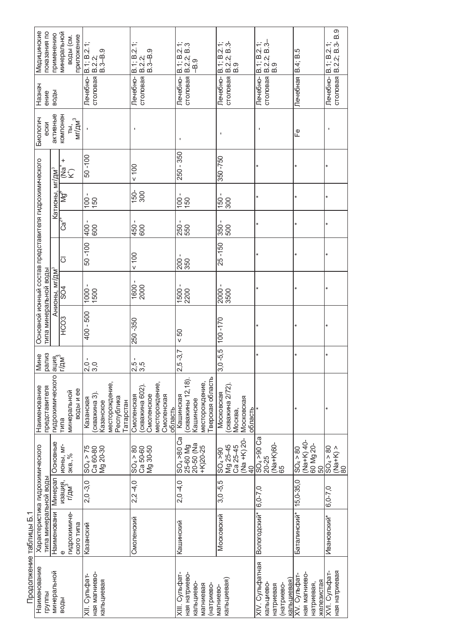|                         | показания по<br>Медицинские                                                    | применению                         | минеральной<br>приложение<br>воды (см. | B.1; B.2.1<br>B.2.2.9<br>B.3–B.9<br>B.3–B.9                                        | B.1; B.2.1;<br>တ<br>$\frac{1}{1}$<br>$\frac{1}{3}$<br>$\frac{3}{5}$                   | B.1; B.2.1;<br>B.2.2; B.3<br>$-8.9$                                              | B.1; B.2.1;<br>B.2.2; B.3-<br>B.9                                   | B.2.2; B.3-<br>B.9<br>B.1; B.2.1;                                       | B.4; B.5                                                  | B.2.2; B.3-B.9<br>$B.1$ ; $B.2.1$ ; |
|-------------------------|--------------------------------------------------------------------------------|------------------------------------|----------------------------------------|------------------------------------------------------------------------------------|---------------------------------------------------------------------------------------|----------------------------------------------------------------------------------|---------------------------------------------------------------------|-------------------------------------------------------------------------|-----------------------------------------------------------|-------------------------------------|
|                         | Назнач<br>ение                                                                 | воды                               |                                        | столовая<br>Печебно-                                                               | столовая<br>Лечебно-                                                                  | Лечебно-<br>столовая                                                             | столовая<br>Лечебно-                                                | Лечебно-<br>столовая                                                    | Лечебная                                                  | столовая<br>Лечебно-                |
|                         | Биологич<br>ески                                                               | активные                           | KOMIDHEH<br>$M r / \mu M^3$<br>TЫ,     |                                                                                    | $\mathbf{I}$                                                                          | $\mathbf I$                                                                      | J.                                                                  |                                                                         | டீ                                                        |                                     |
|                         |                                                                                | мг/дм <sup>з</sup>                 | +<br>a<br>S€                           | 50 - 100                                                                           | 001                                                                                   | 250 - 350                                                                        | 350-750                                                             |                                                                         | $\star$                                                   |                                     |
|                         |                                                                                | Катионы,                           | ğζ                                     | $\overline{00}$<br>150                                                             | $150-$<br>300                                                                         | $\mathbf I$<br>$\overline{00}$<br>150                                            | $\blacksquare$<br>150<br>300                                        |                                                                         | $\star$                                                   |                                     |
|                         |                                                                                |                                    | Ca <sup>~+</sup>                       | 400<br>600                                                                         | 450<br>600                                                                            | 250<br>550                                                                       | 350<br>500                                                          |                                                                         | $\star$                                                   |                                     |
|                         |                                                                                |                                    | ਠ                                      | 50-100                                                                             | 001                                                                                   | 200                                                                              | $25 - 150$                                                          |                                                                         |                                                           |                                     |
|                         |                                                                                | Анионы, мг/дм <sup>з</sup>         | SO4                                    | $-0001$<br>1500                                                                    | $\frac{1600}{2000}$                                                                   | 1500<br>2200                                                                     | 0092<br>10002                                                       |                                                                         |                                                           |                                     |
|                         | Основной ионный состав представителя гидрохимического<br>типа минеральной воды |                                    | HCO <sub>3</sub>                       | 400 - 500                                                                          | 250 - 350                                                                             | 50 <sub>0</sub>                                                                  | $100 - 170$                                                         |                                                                         |                                                           |                                     |
|                         | <b>Мине</b>                                                                    | рализ<br>ация<br>Г/дм <sup>3</sup> |                                        | $\frac{0}{3}$ .0                                                                   | 1<br>rù rù<br>പ് ന്                                                                   | $.5 - 3.7$<br>$\sim$                                                             | $-5,5$<br>က                                                         | ×                                                                       | ×                                                         | $\ast$                              |
|                         | представителя<br>Наименование                                                  | гидрохимического                   | воды и ее<br>минеральной<br>типа       | месторождение,<br>скважина 3)<br>Республика<br>Казанская<br>Казанское<br>Гатарстан | месторождение,<br>(скважина 602)<br>Смоленское<br>Смоленская<br>Смоленская<br>область | Тверская область<br>(скважины 12,18)<br>месторождение,<br>Кашинская<br>Кашинское | (скважина 2/72)<br>Московская<br>Московская<br>область<br>Москва,   |                                                                         | ×                                                         |                                     |
|                         |                                                                                | Основные                           | <b>MOHbI, MI-</b><br>экв., $%$         | $SO_4 > 75$<br>Ca 60-80<br>Mg 20-30                                                | $SO_4 > 80$<br>Ca 50-60<br>Mg 30-50                                                   | $SO_4 > 80$ $Ca$<br>20-50 (Na<br>25-60 Mg<br>$+K$ )<br>20-25                     | (Na +K) 20-<br>Mg 25-45<br>Ca 25-45<br>$SO_4 > 90$<br>$\frac{1}{4}$ | $SO_4 > 90$ $Ca$<br>(Na+K)60-<br>65<br>$20 - 25$                        | (Na+K) 40-<br>60 Mg 20-<br>50<br>$SO_4 > 80$              | $SO_4 > 80$<br>$(Ma+K) > 80$        |
|                         |                                                                                | Минерал                            | изация,<br>г/дм <sup>3,</sup>          | $2,0 -3,0$                                                                         | $2,2 -4,0$                                                                            | $2,0 -4,0$                                                                       | $3,0 -5,5$                                                          | $0.7 - 0.6$                                                             | $15,0-35,0$                                               | $6, 0 - 7, 0$                       |
|                         | Характеристика гидрохимического<br>типа минеральной воды                       | Наименовани                        | гидрохимиче-<br>ского типа             | Казанский                                                                          | Смоленский                                                                            | Кашинский                                                                        | Московский                                                          | Вологодский*                                                            | Баталинский*                                              | Ивановский*                         |
| Продолжение таблицы Б.1 | Наименование<br>группы                                                         | минеральной                        | воды                                   | ная магниево-<br>XII. Сульфат-<br>кальциевая                                       |                                                                                       | ХІІІ. Сульфат-<br>ная натриево-<br>кальциево-<br>магниевая<br>(натриево-         | кальциевая)<br>магниево-                                            | XIV. Сульфатная<br>кальциевая)<br>кальциево-<br>(натриево-<br>натриевая | ная магниево-<br>XV. Сульфат-<br>железистая<br>натриевая, | ная натриевая<br>XVI. Сульфат-      |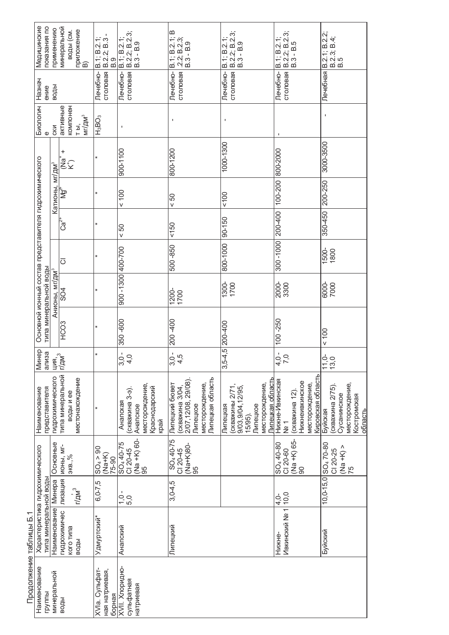|                        | Медицинские<br>показания по                                                    | применению                 | минеральной<br>приложение<br>воды (см.<br>์<br>อิ | $B.1$ ; $B.2.1$ ;<br>B.2.2; B.3<br>$\frac{8}{3}$ | B. 1; B. 2. 1;<br>  B. 2. 2; B. 2. 3;<br>  B. 3 - B. 9                            | B.1; B.2.1; B<br>$.2.2$ ; B.2.3;<br>$B.3 - B.9$                                                           | B.2.2; B.2.3;<br>B.3 - B.9<br>B.1; B.2.1;                                                                    | B.2.2; B.2.3;<br>B.3 - B.5<br>B.1; B.2.1;                                                                  | B.2.1; B.2.2;<br>B.2.3; B.4;<br>B.5                                                   |
|------------------------|--------------------------------------------------------------------------------|----------------------------|---------------------------------------------------|--------------------------------------------------|-----------------------------------------------------------------------------------|-----------------------------------------------------------------------------------------------------------|--------------------------------------------------------------------------------------------------------------|------------------------------------------------------------------------------------------------------------|---------------------------------------------------------------------------------------|
|                        | Назнач<br>ение                                                                 | воды                       |                                                   | столовая<br>Лечебно-                             | столовая<br>Лечебно-                                                              | Лечебно-<br>столовая                                                                                      | Лечебно-<br>столовая                                                                                         | столовая<br>Лечебно-                                                                                       | Лечебная                                                                              |
|                        | Биологич<br>$\omega$                                                           | CKM                        | компонен<br>активные<br>MT/AM <sup>3</sup><br>ТЫ, | H <sub>3</sub> BO <sub>3</sub>                   | $\mathbf I$                                                                       | $\mathbf{I}$                                                                                              | $\blacksquare$                                                                                               |                                                                                                            | ı                                                                                     |
|                        |                                                                                |                            | +<br>a<br>E∑                                      | $\ast$                                           | 900-1100                                                                          | 800-1200                                                                                                  | 1000-1300                                                                                                    | 800-2000                                                                                                   | 3000-3500                                                                             |
|                        |                                                                                |                            | Катионы, мг/дм $\frac{3}{10}$ (Na                 | $\ast$                                           | 100                                                                               | 50 <sub>0</sub>                                                                                           | 100                                                                                                          | 100-200                                                                                                    | 200-250                                                                               |
|                        |                                                                                |                            | $Ca2+$                                            | ¥                                                | 50 <sub>0</sub>                                                                   | 150                                                                                                       | $90 - 150$                                                                                                   | 200-400                                                                                                    | 350-450                                                                               |
|                        |                                                                                |                            | $\overline{\circ}$                                | $\ast$                                           |                                                                                   | 500-850                                                                                                   | 800-1000                                                                                                     | 300-1000                                                                                                   | 1500-<br>1800                                                                         |
|                        |                                                                                | Анионы, мг/дм <sup>з</sup> | SO4                                               | ¥                                                | 900 -1300 400-700                                                                 | 1200-<br>1700                                                                                             | 1300-<br>1700                                                                                                | 2000-<br>3300                                                                                              | 7000                                                                                  |
|                        | Основной ионный состав представителя гидрохимического<br>типа минеральной воды |                            | HCO <sub>3</sub>                                  | $\ast$                                           | 350-600                                                                           | 200-400                                                                                                   | $3,5-4,5$ 200-400                                                                                            | $100 - 250$                                                                                                | 001                                                                                   |
|                        | <b>Минер</b><br>ализа                                                          | ция,<br>Г/дм <sup>3</sup>  |                                                   | $\ast$                                           | $3,0 -$<br>4,0                                                                    | $3,0.5$<br>4,5                                                                                            |                                                                                                              | 4,0.7<br>$\tilde{C}$                                                                                       | o o<br><u>යි</u><br>$\overline{\mathbf{r}}$                                           |
|                        | представителя<br>Наименование                                                  | гидрохимического           | типа минеральной<br>местонахождение<br>воды и ее  |                                                  | месторождение,<br>Краснодарский<br>(скважина 3-е)<br>Анапская<br>Анапское<br>край | Пипецкая область<br>2/07,12/08, 29/08)<br>месторождение,<br>Липецкий бювет<br>(скважина 3/04,<br>Липецкое | Липецкая область<br>месторождение,<br>(скважины 2/71,<br>9/03,9/04,12/95,<br>Липецкое<br>Липецкая<br>15/95). | Кировская область<br>Нижне-Ивкинская<br>Нижнеивкинское<br>месторождение,<br>(скважина 12)<br>$\frac{1}{2}$ | месторождение,<br>(скважина 2/75)<br>Сусанинское<br>Костромская<br>область<br>Буйская |
|                        |                                                                                | Основные                   | <b>NOHbI, MI-</b><br>экв., $%$                    | $SO_4 > 90$<br>$(Ma+K)$<br>75-90                 | (Na +K) 60-<br>SO <sub>4</sub> 40-75<br>CI 20-45<br>မ်ာ                           | SO <sub>4</sub> 40-75<br>$(Na+K)80-$<br>$C120-45$<br>မ်ာ                                                  |                                                                                                              | (Na +K) 65-<br>90<br>SO <sub>4</sub> 40-80<br>CI 20-60                                                     | 10,0-15,0 SO <sub>4</sub> 70-80<br>$(Na +b)$<br>CI 20-25<br>75                        |
|                        |                                                                                |                            | пизация<br>$r/\mu$ $^3$                           | $6, 0 - 7, 5$                                    | J,<br>$7.0$<br>5.0                                                                | $3,0-4,5$                                                                                                 |                                                                                                              | 10,0<br>4.0                                                                                                |                                                                                       |
|                        | Характеристика гидрохимического<br>типа минеральной воды                       | Наименование   Минера      | гидрохимичес<br>кого типа<br>воды                 | Удмуртский*                                      | Анапский                                                                          | Липецкий                                                                                                  |                                                                                                              | Ивкинский № 1<br>Нижне-                                                                                    | Буйский                                                                               |
| Продолжение таблицы Б. | Наименование<br>группы                                                         | минеральной                | воды                                              | XVIa. Сульфат-<br>ная натриевая,<br>борная       | XVII. Хлоридно-<br>сульфатная<br>натриевая                                        |                                                                                                           |                                                                                                              |                                                                                                            |                                                                                       |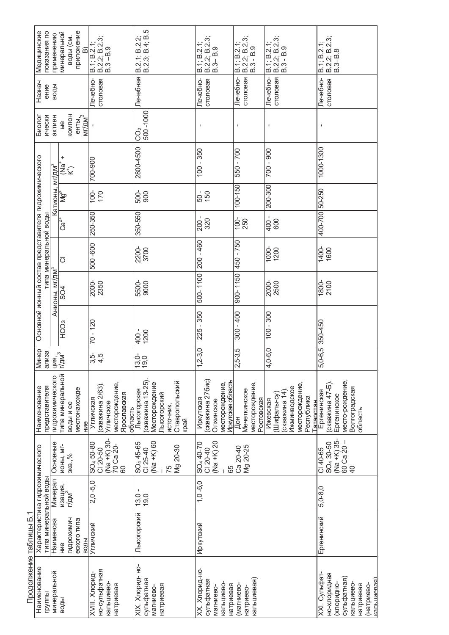|                        | показания по<br>Медицинские                                                    | применению                             | приложение<br>минеральной<br>воды (см.<br>⋒            | B.1; B.2.1;<br>  B.2.2; B.2.3;<br>  B.3 – B.9                                          | B.2.1; B.2.2;<br>B.2.3; B.4; B.5                                                                       | B.1; B.2.1;<br>B.2.2; B.2.3;<br>$B.3 - B.9$                                      | B.1; B.2.1;<br>  B.2.2; B.2.3;<br>  B.3 - B.9          | B.2.2; B.2.3;<br>B.3 - B.9<br>B.1; B.2.1;                                                            | B.2.2; B.2.3;<br>B.3-B.8<br>B.1; B.2.1;                                                                         |
|------------------------|--------------------------------------------------------------------------------|----------------------------------------|--------------------------------------------------------|----------------------------------------------------------------------------------------|--------------------------------------------------------------------------------------------------------|----------------------------------------------------------------------------------|--------------------------------------------------------|------------------------------------------------------------------------------------------------------|-----------------------------------------------------------------------------------------------------------------|
|                        | Назнач<br>ение                                                                 | воды                                   |                                                        | Печебно-<br>столовая                                                                   | Печебная                                                                                               | Лечебно-<br>столовая                                                             | столовая<br>Лечебно-                                   | столовая<br>Лечебно-                                                                                 | Лечебно-<br>столовая                                                                                            |
|                        | Биолог<br>ически                                                               | активн                                 | KOMNOH<br>енты,<br>мг/дм <sup>3</sup><br>$\frac{6}{5}$ |                                                                                        | 500-1000<br>Ĉ<br>O                                                                                     | J.                                                                               | $\mathbf{I}$                                           | $\blacksquare$                                                                                       | $\blacksquare$                                                                                                  |
|                        |                                                                                |                                        | $\ddot{}$<br>ั้≌<br>๊ัั≿                               | 700-900                                                                                | 2800-4500                                                                                              | $-350$<br>$\overline{00}$                                                        | 550 - 700                                              | 700 - 900                                                                                            | 1000-1300                                                                                                       |
|                        |                                                                                | Катионы, мг/дм <sup>3</sup>            | ≹∱                                                     | $100-$<br>170                                                                          | 500-<br>900                                                                                            | $\frac{50}{150}$                                                                 | 100-150                                                | 200-300                                                                                              |                                                                                                                 |
|                        |                                                                                |                                        | $\mathbb{C}\mathsf{a}^{2+}$                            | 250-350                                                                                | 350-550                                                                                                | 200 -                                                                            | $100 - 250$                                            | 400 -<br>600                                                                                         | 400-700 50-250                                                                                                  |
|                        | Основной ионный состав представителя гидрохимического<br>типа минеральной воды |                                        | $\overline{\circ}$                                     | 500-600                                                                                | $\frac{1}{3700}$                                                                                       | $200 - 460$                                                                      | 450 - 750                                              | 1000-<br>1200                                                                                        | $1400-$<br>1600                                                                                                 |
|                        |                                                                                | Анионы, мг/дм <sup>3</sup>             | SO <sub>4</sub>                                        | 2000-<br>2350                                                                          | 5500-<br>9000                                                                                          | 500-1100                                                                         | 900-1150                                               | 2000-<br>2500                                                                                        | 1800-<br>2100                                                                                                   |
|                        |                                                                                |                                        | HC <sub>C3</sub>                                       | $70 - 120$                                                                             | $400 -$<br>1200                                                                                        | $-350$<br>225                                                                    | $300 - 400$                                            | $100 - 300$                                                                                          | 350-450                                                                                                         |
|                        | <b>Минер</b><br>ализа                                                          | ция, <sub>3</sub><br>Г/дм <sup>3</sup> |                                                        | $3,5$<br>4,5                                                                           | ဝံ ဝ<br> ဂ္ဂိ ဝ                                                                                        | $1,2-3,0$                                                                        | $2,5-3,5$                                              | $4,0-6,0$                                                                                            | $5,0-6,5$                                                                                                       |
|                        | представителя<br>Наименование                                                  | гидрохимического                       | типа минеральной<br>местонахожде<br>воды и ее<br>ние   | месторождение,<br>(скважина 2/63).<br>Ярославская<br>Угличская<br>Угличское<br>область | (скважина 13-25)<br>Ставропольский<br>Месторождение<br>Лысогорская<br>Пысогорский<br>ИСТОЧНИК,<br>край | скважина 27бис)<br>Лркутская область<br>месторождение,<br>Иркутская<br>Олхинское | месторождение,<br>Мечеткинское<br>Ростовская<br>д<br>Д | месторождение,<br>Ижминводское<br>скважина 14)<br>(Шифалы-су)<br>Республика<br>Ижевская<br>Гатарстан | место-рождение,<br>скважина 47-Б).<br>Волгоградская<br>Ергенинская<br>Ергенинское<br>область                    |
|                        |                                                                                | Основные                               | <b>NOHbI, MI-</b><br>3KB.,%                            | (Na +K) 30-<br>SO <sub>4</sub> 50-80<br>70 Ca 20-<br>$C120-50$<br>8                    | $(Na + K)$ 60<br>SO <sub>4</sub> 45-65<br>Mg 20-30<br>CI 25-40<br>75                                   | $(Na + K)$ 20<br>SO <sub>4</sub> 40-70<br>$C120-40$<br>65                        | Mg 20-25<br>Ca 20-40                                   |                                                                                                      | (Na +K) 35-<br>$60$ Ca $20 -$<br>SO <sub>4</sub> 30-50<br>CI 40-65<br>$\overline{a}$                            |
|                        |                                                                                | Минерал                                | изация,<br>г/дм <sup>э</sup>                           | $2,0 -5,0$                                                                             | $13,0 -$<br>19,0                                                                                       | $1, 0 - 6, 0$                                                                    |                                                        |                                                                                                      | $5,0-8,0$                                                                                                       |
|                        | Характеристика гидрохимического<br>типа минеральной воды                       | Наименова                              | гидрохимич<br>еского типа<br>ВОДЫ<br>ние               | Угличский                                                                              | Лысогорский                                                                                            | Иркутский                                                                        |                                                        |                                                                                                      | Ергенинский                                                                                                     |
| Продолжение таблицы Б. | Наименование<br>группы                                                         | минеральной                            | воды                                                   | но-сульфатная<br>XVIII. Xnopu <sub>A</sub><br>кальциево-<br>натриевая                  | ХІХ. Хлорид- но-<br>сульфатная<br>натриевая<br>магниево-                                               | ХХ. Хлорид-но-<br>сульфатная<br>кальциево-<br>натриевая<br>магниево-             | кальциевая)<br>(магниево-<br>натриево-                 |                                                                                                      | ХХІ. Сульфат-<br>но-хлоридная<br>капышевая)<br>сульфатная<br>кальциево-<br>клоридно-<br>(натриево-<br>натриевая |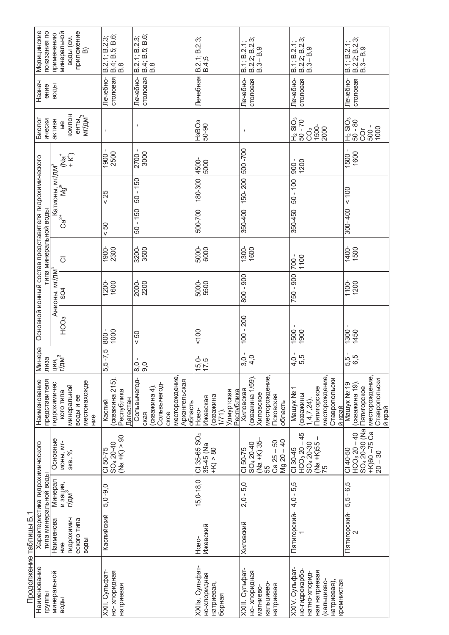|                       | показания по<br>Медицинские                              | применению                  | приложение<br>минеральной<br>воды (см.<br>$\widehat{\mathbf{B}}$ | B.2.1; B.2.3;<br>  B.4; B.5; B.6;<br>  B.8           | B.4; B.5; B.6;<br>B.8<br>B.2.1; B.2.3; |                              |                                         |         | B.2.1; B.2.3;<br>B.4;5                                                            | B.1; B.2.1;              | B.2.2; B.2.3;<br>$B.3 - B.9$                    |                                 | B.1; B.2.1;<br>B.2.2; B.2.3;<br>B.3– B.9                      |                                                           | B.1; B.2.1;<br>B.2.2; B.2.3;<br>B.3– B.9                 |                                           |
|-----------------------|----------------------------------------------------------|-----------------------------|------------------------------------------------------------------|------------------------------------------------------|----------------------------------------|------------------------------|-----------------------------------------|---------|-----------------------------------------------------------------------------------|--------------------------|-------------------------------------------------|---------------------------------|---------------------------------------------------------------|-----------------------------------------------------------|----------------------------------------------------------|-------------------------------------------|
|                       | Назнач<br>ение                                           | воды                        |                                                                  | столовая<br>Лечебно-                                 | столовая<br>Лечебно-                   |                              |                                         |         | Лечебная                                                                          | Лечебно-                 | столовая                                        |                                 | Лечебно-<br>столовая                                          |                                                           | Лечебно-<br>столовая                                     |                                           |
|                       | Биолог<br>ически                                         | активн                      | <b>KOMINOH</b><br>енты,<br>мг/дм <sup>3</sup><br>$\frac{6}{5}$   | $\mathbf I$                                          | $\mathbf{I}$                           |                              |                                         |         | H3BO3<br>50-90                                                                    | $\blacksquare$           |                                                 |                                 | H <sub>2</sub> SiO <sub>3</sub><br>50 - 70<br>CO <sub>2</sub> | 1500-<br>2000                                             | $0.8 - 0.9$<br>$^{10}$ SiO <sub>3</sub><br><b>COL</b>    | 1000<br>500 -                             |
|                       |                                                          |                             | -<br>+<br>+<br>īa<br>≧                                           | 1900 -<br>2500                                       | 2700 -<br>3000                         |                              |                                         |         | 4500-<br>5000                                                                     | 500-700                  |                                                 |                                 | $-006$<br>1200                                                |                                                           | 1500 -<br>1600                                           |                                           |
|                       |                                                          | Катионы, мг/дм <sup>з</sup> | ছৈ                                                               | < 25                                                 | $50 - 150$                             |                              |                                         |         | 180-300                                                                           | 150-200                  |                                                 |                                 | $50 - 100$                                                    |                                                           | 100                                                      |                                           |
|                       |                                                          |                             | $\operatorname{Ca}^{2+}$                                         | 50 <sub>0</sub>                                      | $50 - 150$                             |                              |                                         |         | 500-700                                                                           | 350-400                  |                                                 |                                 | 350-450                                                       |                                                           | 300-400                                                  |                                           |
|                       | типа минеральной воды                                    |                             | $ \overline{\circ} $                                             | 1900-<br>2300                                        | 3200-<br>3500                          |                              |                                         |         | 5000-<br>6000                                                                     | $\frac{1300}{ }$<br>1600 |                                                 |                                 | $-002$<br>1100                                                |                                                           | 1400-<br>1500                                            |                                           |
|                       |                                                          | Анионы, мг/дм <sup>з</sup>  | SO4                                                              | 1200-<br>1600                                        | 2000<br>2200                           |                              |                                         |         | 5000-<br>5500                                                                     | $800 - 900$              |                                                 |                                 | 750 - 900                                                     |                                                           | 1100-<br>1200                                            |                                           |
|                       | Основной ионный состав представителя гидрохимического    |                             | HCO <sub>3</sub>                                                 | 800-<br>1000                                         | $60 -$                                 |                              |                                         |         | 100                                                                               | $100 - 200$              |                                                 |                                 | 1500 -<br>1900                                                |                                                           | $1300 -$<br>1450                                         |                                           |
|                       | Минера<br>пиза                                           | ция.,<br>Г/дм <sup>3</sup>  |                                                                  | $-7,5$<br>ယ                                          | $-0.8$<br>$-0.8$                       |                              |                                         |         | 5,5<br>7,5<br>$\overline{\phantom{0}}$<br>$\overline{\phantom{0}}$                | $3,0 -$                  | 4,0                                             |                                 | $4,0 -$<br>5,5                                                |                                                           | 5,5 -<br>6,5                                             |                                           |
|                       | представителя<br>Наименование                            | гидрохимичес                | местонахожде<br>минеральной<br>кого типа<br>воды и ее<br>ние     | (скважина 215)<br>Республика<br>Дагестан<br>Каспий   | Сольвычегод-<br>ская                   | Сольвычегод-<br>(скважина 4) | месторождение,<br>Архангельская<br>ское | область | Удмуртская<br>Республика<br>(скважина<br>Ижевская<br>1/71).<br>Ho <sub>BO</sub> - | Хиловская                | месторождение,<br>(скважина 1/59).<br>Хиловское | Псковская<br>область            | Машук №<br>(скважины<br>$1,4,7,24$ ).                         | месторождение<br>Ставропольски<br>Пятигорское<br>й край   | Mauyk Nº 19<br>(скважина 19)<br>Пятигорское              | месторождение,<br>Ставропольски<br>й край |
|                       |                                                          | Основные                    | <b>NOHbI, MI-</b><br>экв., $%$                                   | $(Na + K) > 90$<br>SO <sub>4</sub> 20-40<br>CI 50-75 |                                        |                              |                                         |         | CI 35-65 SO <sub>4</sub><br>$35-45$ (Na<br>+K) > 80                               | $C150 - 75$              | (Na +K) 35-<br>SO <sub>4</sub> 20-40<br>55      | $Mg$ 20 $-40$<br>$Ca$ $25 - 50$ | $HCO3 20 - 45$<br>SO <sub>4</sub> 20-30<br>CI 30-45           | $\frac{(Na + K)55}{75}$                                   | SO <sub>4</sub> 20-30 (Na<br>$HCO3 20 - 40$<br>$C140-50$ | $+K$ )60 $-75$ Ca<br>$20 - 30$            |
|                       |                                                          | Минерал                     | и зация,<br>г/дм <sup>3</sup>                                    | 5,0 -9,0                                             |                                        |                              |                                         |         | $15,0-18,0$                                                                       | $2,0 - 5,0$              |                                                 |                                 | - 5,5<br>$\frac{4}{1}$                                        |                                                           | $5,5 - 6,5$                                              |                                           |
|                       | Характеристика гидрохимического<br>типа минеральной воды | Наименова                   | гидрохимич<br>еского типа<br>воды<br>HNe                         | Каспийский                                           |                                        |                              |                                         |         | <b>Ижевский</b><br>Ново-                                                          | Хиловский                |                                                 |                                 | Пятигорский-                                                  |                                                           | Пятигорский-                                             |                                           |
| Продолжение таблицы Б | Наименование<br>группы                                   | минеральной                 | воды                                                             | XXII. Сульфат-<br>но-хлоридная<br>натриевая          |                                        |                              |                                         |         | ХХІІа. Сульфат-<br>но-хлоридная<br>натриевая,<br>борная                           | ХХІІІ. Сульфат-          | но-хлоридная<br>кальциево<br>магниево-          | натриевая                       | XXIV. Сульфат-<br>но-гидрокарбо-<br>натно-хлорид-             | ная натриевая<br>(калыциево-<br>кремнистая<br>натриевая), |                                                          |                                           |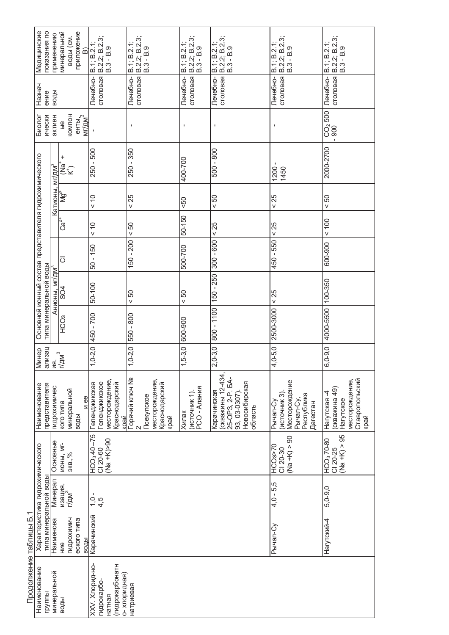|                        | Медицинские<br>показания по                                                    | применению                  | приложение<br>минеральной<br>воды (см.<br>$\widehat{\mathbf{B}}$ | B.2.2; B.2.3;<br>B.1; B.2.1;<br>$B.3 - B.9$                                 | $\begin{array}{ l } \n\boxed{B.1; B.2.1;} \n\end{array}$<br>B.2.2; B.2.3;<br>$B.3 - B.9$ | B.1; B.2.1;<br>B.2.2; B.2.3;<br>$B.3 - B.9$ | B.1; B.2.1;<br>  B.2.2; B.2.3;<br>  B.3 - B.9                                                     | столовая B.2.2; B.2.3;<br>B.3 - B.9<br>B.1; B.2.1;                              | B.2.2; B.2.3;<br>B.3 - B.9<br>B.1; B.2.1;                                              |
|------------------------|--------------------------------------------------------------------------------|-----------------------------|------------------------------------------------------------------|-----------------------------------------------------------------------------|------------------------------------------------------------------------------------------|---------------------------------------------|---------------------------------------------------------------------------------------------------|---------------------------------------------------------------------------------|----------------------------------------------------------------------------------------|
|                        | Назнач<br>ение                                                                 | воды                        |                                                                  | столовая<br>Лечебно-                                                        | столовая<br>Лечебно-                                                                     | столовая<br>Лечебно-                        | столовая<br>Лечебно-                                                                              | Лечебно-                                                                        | столовая<br>Лечебно-                                                                   |
|                        | ически<br>Биолог                                                               | активн                      | <b>KOMIDH</b><br>енты,<br>мг/дм <sup>3</sup><br>$rac{6}{4}$      |                                                                             | $\mathbf{I}$                                                                             | $\blacksquare$                              | $\blacksquare$                                                                                    | $\blacksquare$                                                                  | $\frac{1}{1000}$                                                                       |
|                        |                                                                                |                             | ביב)<br>⊇ב                                                       | 250 - 500                                                                   | $-350$<br>250                                                                            | 400-700                                     | $-800$<br>500                                                                                     | $1200 -$<br>1450                                                                | 2000-2700                                                                              |
|                        |                                                                                | Катионы, мг/дм <sup>з</sup> | ξ                                                                | $\frac{0}{5}$                                                               | < 25                                                                                     | 50 <sub>o</sub>                             | 50 <sub>0</sub>                                                                                   | < 25                                                                            | $< 50$                                                                                 |
|                        |                                                                                |                             | $C\overline{a}^{z+}$                                             | $\frac{0}{x}$                                                               | 50 <sub>0</sub>                                                                          | 50-150                                      | < 25                                                                                              | < 25                                                                            | 100                                                                                    |
|                        |                                                                                |                             | $\overline{\circ}$                                               | $50 - 150$                                                                  | 150 - 200                                                                                | 500-700                                     | $300 - 600$                                                                                       | 450 - 550                                                                       | 600-900                                                                                |
|                        |                                                                                | Анионы, мг/дм <sup>3</sup>  | SO4                                                              | 50-100                                                                      | 50                                                                                       | 50                                          | $-250$<br>150                                                                                     | < 25                                                                            | 100-350                                                                                |
|                        | Основной ионный состав представителя гидрохимического<br>типа минеральной воды |                             | HCO <sub>3</sub>                                                 | 450 - 700                                                                   | 550 - 800                                                                                | 600-900                                     | $800 - 1100$                                                                                      | 2500-3000                                                                       | 4000-5500                                                                              |
|                        | ализац<br><b>Минер</b><br>ИЯ.                                                  |                             | $\sqrt{77}M^{3}$                                                 | $1,0-2,0$                                                                   | $1,0-2,0$                                                                                | $1,5-3,0$                                   | $2,0-3,0$                                                                                         | $4,0-5,0$                                                                       | $6,0-9,0$                                                                              |
|                        | представителя<br>Наименование                                                  | гидрохимичес                | минеральной<br>N ee<br>кого типа<br>воды                         | месторождение,<br>еленджикское<br>Геленджикская<br>Краснодарский<br>Kpaň    | Горячий ключ №<br>2<br>месторождение,<br>Краснодарский<br>Псекупское<br>край             | PCO - AnaHNR<br>(источник 1)<br>Хилак       | (скважины 12-434,<br>25-OP3, 2-P, EA-<br>93, 03-0307).<br>Новосибирская<br>Карачинская<br>область | Месторождение<br>(источник 3)<br>Республика<br>Рычал-Су<br>Рычал-Су<br>Дагестан | Ставропольский<br>месторождение,<br>(скважина 49)<br>Нагутская -4<br>Нагутское<br>қрай |
|                        |                                                                                | Основные                    | <b>NOHbI, MI-</b><br>экв., $%$                                   | $HCO3$ 40 -75<br>$(Na + N)$ - 90<br>$C120-60$                               |                                                                                          |                                             |                                                                                                   | $(Na + K) > 90$<br>HCO3>70<br>$C120-30$                                         | $(Na + K) > 95$<br>HCO <sub>3</sub> 70-80<br>CI 20-25                                  |
|                        |                                                                                | Минерал                     | изация,<br>г/дм <sup>3</sup>                                     | $\frac{1}{0}$ in $\frac{1}{2}$                                              |                                                                                          |                                             |                                                                                                   | $4,0 - 5,5$                                                                     | $5.0 - 9.0$                                                                            |
| ↽                      | Характеристика гидрохимического<br>типа минеральной воды                       | Наименова                   | гидрохимич<br>еского типа<br>воды<br>HNe                         | Карачинский                                                                 |                                                                                          |                                             |                                                                                                   | Рычал-Су                                                                        | Нагутский-4                                                                            |
| Продолжение таблицы Б. | Наименование<br>группы                                                         | минеральной                 | воды                                                             | (гидрокарбонатн<br>XXV. Хлорид-но-<br>о-хлоридная)<br>гидрокарбо-<br>натная | натриевая                                                                                |                                             |                                                                                                   |                                                                                 |                                                                                        |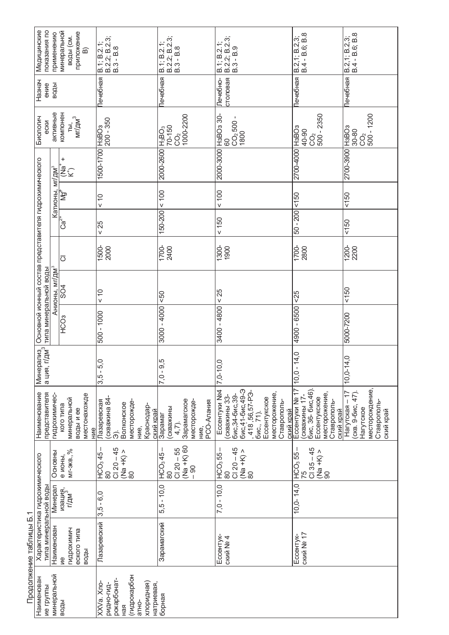|                       | Медицинские<br>показания по                                                    | применению                 | минеральной<br>приложение<br>воды (см.<br>$\widehat{\mathbf{D}}$              | B.1; B.2.1;<br>  B.2.2; B.2.3;<br>  B.3 - B.8                                                                | B.1; B.2.1;<br>  B.2.2; B.2.3;<br>  B.3 - B.8                                     | B.1; B.2.1;<br>  B.2.2; B.2.3;<br>  B.3 - B.9                                                                                                                       | B.4 - B.6; B.8<br>B.2, 1; B.2, 3;                                                                                | B.4 - B.6; B.8<br>B.2,1; B.2,3;                                                                  |
|-----------------------|--------------------------------------------------------------------------------|----------------------------|-------------------------------------------------------------------------------|--------------------------------------------------------------------------------------------------------------|-----------------------------------------------------------------------------------|---------------------------------------------------------------------------------------------------------------------------------------------------------------------|------------------------------------------------------------------------------------------------------------------|--------------------------------------------------------------------------------------------------|
|                       | Назнач<br>ение                                                                 | воды                       |                                                                               | Течебная                                                                                                     | Печебная                                                                          | столовая<br>Печебно-                                                                                                                                                | Течебная                                                                                                         | Печебная                                                                                         |
|                       | Биологич<br>ески                                                               | активные                   | компонен<br>ты,<br>мг/дм <sup>3</sup>                                         | H3BO3<br>200 - 350                                                                                           | 1000-2200<br>70-150<br>$H_3BO_3$<br>C <sub>2</sub>                                | H3BO <sub>3</sub> 30-<br>$CO2$ 500 - 1800<br>8                                                                                                                      | 500 - 2350<br>H <sub>3</sub> BO <sub>3</sub><br>40-90<br>$\mathbf{C}^{\mathbf{Q}}$                               | $500 - 1200$<br>H <sub>3</sub> BO <sub>3</sub><br>$30 - 80$<br>C <sub>2</sub>                    |
|                       |                                                                                |                            | +<br>−ek)<br>K                                                                | 1500-1700                                                                                                    | 2000-2600                                                                         | 2000-3000                                                                                                                                                           | 2700-4000                                                                                                        | 2700-3900                                                                                        |
|                       |                                                                                |                            | — Катионы, мг/дм <sup>з</sup><br>Са <sup>2+</sup> │   Мg <sup>≉  </sup> │ (Na | $\widetilde{\phantom{a}}$<br>V                                                                               | 100                                                                               | 100                                                                                                                                                                 | 150                                                                                                              | 150                                                                                              |
|                       |                                                                                |                            |                                                                               | 25<br>V                                                                                                      | 150-200                                                                           | $< 150$                                                                                                                                                             | $50 - 200$                                                                                                       | 150                                                                                              |
|                       |                                                                                |                            | $\overline{\circ}$                                                            | 1500-<br>2000                                                                                                | 1700-<br>2400                                                                     | 1300-                                                                                                                                                               | 1700-<br>2800                                                                                                    | 1200-<br>2200                                                                                    |
|                       |                                                                                | Анионы, мг/дм <sup>з</sup> | <b>ROS</b>                                                                    | $\stackrel{\circ}{\cdot}$<br>$\vee$                                                                          | 50                                                                                | 25<br>$\vee$                                                                                                                                                        | 55                                                                                                               | 150                                                                                              |
|                       | Основной ионный состав представителя гидрохимического<br>типа минеральной воды |                            | HCO <sub>3</sub>                                                              | 500 - 1000                                                                                                   | 3000 - 4000                                                                       | 3400 - 4800                                                                                                                                                         | 4900 - 6500                                                                                                      | 5000-7200                                                                                        |
|                       | Минерализ<br>  а ция, г/дм <sup>3</sup><br> -                                  |                            |                                                                               | $3,5 - 5,0$                                                                                                  | $7,0 - 9,5$                                                                       | 7,0-10,0                                                                                                                                                            | 14,0<br>10, 0                                                                                                    | 14,0<br>$10, 0 - 1$                                                                              |
|                       | представителя<br>Наименование                                                  | гидрохимичес-              | местонахожде<br>минеральной<br>кого типа<br>воды и ее<br>НИе                  | скважина 84<br>Пазаревская<br>месторожде-<br>Волконское<br>Краснодар-<br>ский край<br>HVe,<br>$\hat{\sigma}$ | Зарамагское<br>месторожде-<br>PCO-AnaHVR<br>(скважины<br>Зарамаг<br>4,7).<br>HVe, | бис,41-бис,49-Э<br>, 418 ,56,57-РЭ-<br>бис., 71).<br>Ессентуки №4<br>месторожение,<br>бис, 34-бис, 39-<br>(скважины 33-<br>Ессентукское<br>Ставрополь-<br>ский край | Ессентуки № 17<br>бис, 36- бис, 46)<br>месторожение,<br>Ессентукское<br>(скважины 17<br>Ставрополь-<br>ский край | месторождение,<br>$Haryrckaa - 17$<br>(скв. 9-бис, 47).<br>Ставрополь-<br>Нагутское<br>ский край |
|                       |                                                                                | Основны                    | $MT-3KB., %$<br>е ионы,                                                       | $C120 - 45$<br>(Na +K) ><br>HCO <sub>3</sub> 45<br>80<br>$\infty$                                            | (Na +K) 60<br>$Cl$ 20 $-55$<br>HCO <sub>3</sub> 45<br>$-90$<br>80                 | $C120 - 45$<br>(Na +K) ><br>HCO <sub>3</sub> 55<br>8<br>80                                                                                                          | $C135 - 45$<br>$\frac{(Na + K)}{90}$<br>HCO <sub>3</sub> 55                                                      |                                                                                                  |
|                       |                                                                                | <b>Минерал</b>             | изация,<br>г/дм <sup>3</sup>                                                  | $-6.0$<br>3,5                                                                                                | $5, 5 - 10, 0$                                                                    | $7,0 - 10,0$                                                                                                                                                        | $10, 0 - 14, 0$                                                                                                  |                                                                                                  |
| Продолжение таблицы Б | Характеристика гидрохимического<br>типа минеральной воды                       | Наименован                 | гидрохимич<br>еского типа<br>воды<br>Μe                                       | Лазаревский                                                                                                  | Зарамагский                                                                       | Ессентук-<br>CKNN Nº 4                                                                                                                                              | CKNŇ Nº 17<br>Ессентук-                                                                                          |                                                                                                  |
|                       | Наименован<br>ие группы                                                        | минеральной                | воды                                                                          | (гидрокарбон<br>рокарбонат-<br>хлоридная)<br>натриевая,<br>XXVa. Xno-<br>ридно-гид-<br>атно-<br>ЯЯ<br>Ран    | борная                                                                            |                                                                                                                                                                     |                                                                                                                  |                                                                                                  |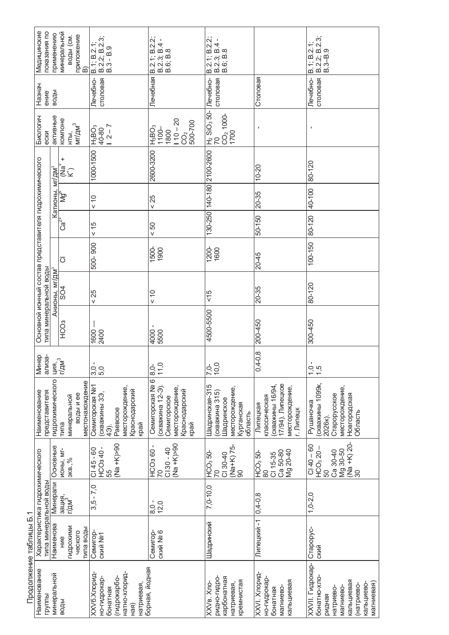|                        | показания по<br>Медицинские                                                    | применению                           | минеральной<br>приложение<br>В)<br>воды (см.        | B.2.2; B.2.3;<br>B.3 - B.9<br>B.1; B.2.1;                                                                            | B.2.1; B.2.2;<br>$B.2.3$ ; $B.4 - B.6$ ; $B.8$                                               | B.2.1; B.2.2;<br>B.2.3; B.4 -<br>B.6; B.8                                                 |                                                                                                 | B.2.2; B.2.3;<br>B.3–B.9<br>B.1; B.2.1                                                                                      |
|------------------------|--------------------------------------------------------------------------------|--------------------------------------|-----------------------------------------------------|----------------------------------------------------------------------------------------------------------------------|----------------------------------------------------------------------------------------------|-------------------------------------------------------------------------------------------|-------------------------------------------------------------------------------------------------|-----------------------------------------------------------------------------------------------------------------------------|
|                        | Назнач<br>ение                                                                 | воды                                 |                                                     | столовая<br>Лечебно-                                                                                                 | Лечебная                                                                                     | столовая<br>Лечебно-                                                                      | Столовая                                                                                        | столовая<br>Лечебно-                                                                                                        |
|                        | Биологич<br>ески                                                               | активные                             | компоне<br>MT/AM <sup>3</sup><br>$\overline{\Xi}$   | $12 - 7$<br>$\overline{\text{GBB}}$<br>40-80                                                                         | $110 - 20$<br>500-700<br>$H_3$ BO <sub>3</sub><br>$1100 -$<br>1800<br>CO <sub>2</sub>        | $\frac{ H_2 \overline{SIO_3 S0} }{70}$<br>CO <sub>2</sub> 1000-<br>1700                   | $\mathbf I$                                                                                     | $\blacksquare$                                                                                                              |
|                        |                                                                                |                                      | $+\frac{1}{2}$                                      | 1000-1500                                                                                                            | 2600-3200                                                                                    | 130-250 140-180 2100-2600                                                                 | $10 - 20$                                                                                       | 80-120                                                                                                                      |
|                        |                                                                                | Катион <u>ы, мг/</u> дм <sup>з</sup> | ≹∱                                                  | $\frac{0}{5}$                                                                                                        | < 25                                                                                         |                                                                                           | 20-35                                                                                           | 40-100                                                                                                                      |
|                        |                                                                                |                                      | $Ca2+$                                              | 15                                                                                                                   | 50 <sub>0</sub>                                                                              |                                                                                           | 50-150                                                                                          | 80-120                                                                                                                      |
|                        |                                                                                |                                      | $\overline{O}$                                      | 500-900                                                                                                              | 1500-<br>1900                                                                                | 1200-<br>1600                                                                             | $20 - 45$                                                                                       | $100 - 150$                                                                                                                 |
|                        |                                                                                | Анионы, мг/дм <sup>3</sup>           | <b>SO4</b>                                          | < 25                                                                                                                 | $\frac{0}{x}$                                                                                | $rac{6}{5}$                                                                               | 20-35                                                                                           | 80-120                                                                                                                      |
|                        | Основной ионный состав представителя гидрохимического<br>типа минеральной воды |                                      | HC <sub>3</sub>                                     | $1600 -$<br>2400                                                                                                     | 4000<br>5500                                                                                 | 4500-5500                                                                                 | 200-450                                                                                         | 300-450                                                                                                                     |
|                        | Минер<br>ализа-                                                                | ция,<br>г/дм <sup>3</sup>            |                                                     | 3,0.5                                                                                                                | $\overline{C}$<br>ð<br>$\breve{\circ}$<br>$\leftarrow$                                       | 7,0,0<br>10,0                                                                             | $0,4-0,8$<br>P                                                                                  | $1,5$<br>$1,5$                                                                                                              |
|                        | представителя<br>Наименование                                                  | гидрохимического                     | местонахождение<br>воды и ее<br>минеральной<br>типа | <b>Ceмигорская Ng1</b><br>месторождение,<br>Краснодарский<br>(скважины 3Э,<br>Раевское<br>край<br>$\widehat{\Theta}$ | Семигорская № 6<br>(скважина 12-Э)<br>месторождение,<br>Краснодарский<br>Семигорское<br>қрай | Шадринская-315<br>месторождение,<br>(скважина 315)<br>Шадринское<br>Курганская<br>область | 17/94). Липецкое<br>(скважины 16/94,<br>месторождение,<br>классическая<br>Липецкая<br>г. Липецк | (скважины 1099к,<br>месторождение,<br>Старорусское<br>Новгородская<br>Рушаночка<br>Область<br>2026K).                       |
|                        |                                                                                | Основные                             | <b>NOHbI, MI-</b><br>$3KB.,\%$                      | $(Na + N)$ >90<br>HCO <sub>3</sub> 40-<br>$C145 - 60$<br>55                                                          | $O6<\left(\lambda + \epsilon\right)$<br>$C130 - 40$<br>$\frac{1100360}{70}$                  | $\frac{(Na+K)}{90}$ 75-<br>$\frac{1100}{70}$ 50-<br>$C130-40$                             | Ca 50-80<br>Mg 20-40<br>HCO <sub>3</sub> 50<br>CI 15-35<br>80                                   | $\frac{\sqrt{4a + K}}{30}$ 20-<br>$C140 - 60$<br>$HCO3 20 -$<br>Mg 30-50<br>Ca 30-40<br>50                                  |
|                        |                                                                                | Минерали                             | зация,<br>г/дм <sup>3</sup>                         | $-7,0$<br>3,5                                                                                                        | $8,0 -$<br>12,0                                                                              | $7,0-10,0$                                                                                | $0,4-0,8$                                                                                       | $1, 0-2, 0$                                                                                                                 |
| Продолжение таблицы Б. | Характеристика гидрохимического<br>типа минеральной воды                       | Наименова                            | гидрохими<br>типа воды<br>ческого<br>HNe            | Семигор-<br>CKMÄ Nº1                                                                                                 | ский № 6<br>Семигор-                                                                         | Шадринский                                                                                | Липецкий -1                                                                                     | Crapopyc-<br>СКИЙ                                                                                                           |
|                        | Наименование<br>группы                                                         | минеральной                          | воды                                                | натно-хлорид-<br>XXV6.Xnopид-<br>но-гидрокар-<br>(гидрокарбо-<br>натриевая,<br>бонатная<br>ная)                      | борная, йодная                                                                               | ридно-гидро-<br>карбонатная<br>кремнистая<br>XXV <sub>в</sub> . Хло-<br>натриевая,        | XXVI. Хлорид-<br>но-гидрокар-<br>кальциевая<br>магниево-<br>бонатная                            | ХХVІІ. Гидрокар-<br>бонатно-хло-<br>кальциевая<br>магниевая)<br>кальциево-<br>(натриево-<br>магниево-<br>натриево<br>ридная |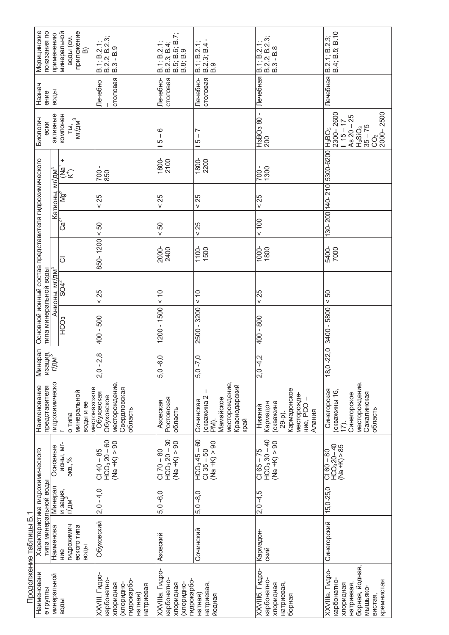|                        | Медицинские<br>показания по                                                    | применению                   | приложение<br>минеральной<br>воды (см.<br>$\widehat{\mathbf{m}}$ | $B.1$ ; $B.2.1$ ;<br>$B.2.3$ ; $B.2.3$ ;<br>$B.3 - B.9$                                         | $B.2.3; B.4;$<br>$B.5; B.6; B.7;$<br>$B.8; B.9$<br>B.1; B.2.1;          | $\begin{array}{c}  \  \  \, 8.1;  \  \  \, 8.2.3;  \  \, 8.4 \\  \  \, 8.9 \end{array}$  | B.2.2; B.2.3;<br>B.3 - B.8<br>B.1; B.2.1;                                                     | B.2.1; B.2.3;<br>B.4; B.5; B.10                                                                                   |
|------------------------|--------------------------------------------------------------------------------|------------------------------|------------------------------------------------------------------|-------------------------------------------------------------------------------------------------|-------------------------------------------------------------------------|------------------------------------------------------------------------------------------|-----------------------------------------------------------------------------------------------|-------------------------------------------------------------------------------------------------------------------|
|                        | Назнач<br>ение                                                                 | воды                         |                                                                  | столовая<br>Печебно                                                                             | Лечебно-<br>столовая                                                    | Лечебно-<br>столовая                                                                     | Лечебная                                                                                      | Печебная                                                                                                          |
|                        | Биологич<br>ески                                                               | активные                     | компонен<br>$M r / \mu^3$<br>ТЫ,                                 |                                                                                                 | ဖ<br>$\overline{\phantom{a}}$<br>5                                      | Ľ<br>J.<br>5                                                                             | 002<br>- 08 cOBFH                                                                             | 2000-2500<br>$2300 - 2600$<br>1 15 - 17<br>As $20 - 25$<br>$H_2$ SiO <sub>3</sub><br>35 – 75<br>C <sub>2</sub>    |
|                        |                                                                                |                              | $\ddot{}$<br>׆֧֩֞֬֟֩֩׆                                           | 700<br>850                                                                                      | 1800-<br>2100                                                           | 1800-<br>2200                                                                            | 700 -<br>1300                                                                                 | 30-200 140-210 5300-6200 H <sub>3</sub> BO <sub>3</sub>                                                           |
|                        |                                                                                | Катионы, мг/дм <sup>з</sup>  | ह्र                                                              | 25<br>V                                                                                         | 25<br>V                                                                 | 25<br>V                                                                                  | 25<br>V                                                                                       |                                                                                                                   |
|                        |                                                                                |                              | $Ca^{Z+}$                                                        | $< 50$                                                                                          | 50<br>V                                                                 | 25<br>V                                                                                  | 001                                                                                           |                                                                                                                   |
|                        |                                                                                |                              | $\overline{\circ}$                                               | 850-1200                                                                                        | 2000-<br>2400                                                           | 1100-<br>1500                                                                            | 1000-<br>1800                                                                                 | 5400-<br>7000                                                                                                     |
|                        |                                                                                |                              | Анионы, мг/дм <sup>з</sup><br>  SO4 <sup>2</sup>                 | 25<br>V                                                                                         | $\frac{0}{x}$                                                           | $\frac{0}{1}$<br>V                                                                       | 25<br>v                                                                                       | 50<br>V                                                                                                           |
|                        | Основной ионный состав представителя гидрохимического<br>типа минеральной воды |                              | HC <sub>O3</sub>                                                 | 400 - 500                                                                                       | $1200 - 1500$                                                           | $-3200$<br>2500                                                                          | 400 - 800                                                                                     | 3400 - 5800                                                                                                       |
|                        | Минерал                                                                        | изация,<br>г/дм <sup>3</sup> |                                                                  | 2,8<br>$2,0-$                                                                                   | $5,0 - 6,0$                                                             | $\tilde{\mathcal{C}}$<br>$5,0 - 7$                                                       | Ņ<br>$2,0 -4$                                                                                 | 22,0<br>$18,0$ .                                                                                                  |
|                        | представителя<br>Наименование                                                  | гидрохимическо               | минеральной<br>местонахожл<br>воды и ее<br>о типа                | месторождение,<br>Свердловская<br>Обуховская<br>Обуховское<br>область                           | Ростовская<br>Азовская<br>область                                       | месторождение,<br>Краснодарский<br>(скважина 2<br>Мамайское<br>Сочинская<br>край<br>PM). | Кармадонское<br>месторожде-<br>скважина<br>Кармадон<br>HVe, PCO<br>Нижний<br>Алания<br>29-p). | месторождение,<br>Синегорская<br>(скважины 16,<br>Сахалинская<br>Синегорское<br>область<br>(17)                   |
|                        |                                                                                | Основные                     | <b>NOHbI, MI-</b><br>$3KB.,\%$                                   | $HCO3 20 - 60$<br>$(Na + K) > 90$<br>$C140 - 85$                                                | $HCO3 20 - 30$<br>$(Na + K) > 90$<br>$C170 - 80$                        | $HCO3 45 - 60$<br>$(Na + K) > 90$<br>$C135 - 50$                                         | $HCO3 30 - 40$<br>$(Na + K) > 90$<br>$C165 - 75$                                              | HCO <sub>3</sub> 20-40<br>$(Na + K) > 85$<br>$08 - 99$ IQ                                                         |
|                        |                                                                                | Минерал                      | и зация,<br>г/дм <sup>3</sup>                                    | $2,0 - 4,0$                                                                                     | $5,0 - 6,0$                                                             | $5.0 - 8.0$                                                                              | $2,0 -4,5$                                                                                    | $15,0 - 25,0$                                                                                                     |
| Продолжение таблицы Б. | Характеристика гидрохимического<br>типа минеральной воды                       | Наименова                    | гидрохимич<br>еского типа<br>воды<br>ние                         | Обуховский                                                                                      | Азовский                                                                | Сочинский                                                                                | Кармадон-<br>СКИЙ                                                                             | Синегорский                                                                                                       |
|                        | Наименовани<br>е группы                                                        | минеральной                  | воды                                                             | ХХVІІІ. Гидро-<br>карбонатно-<br>гидрокарбо-<br>кендидогих<br>сидидоги)<br>натриевая<br>натная) | ХХVІІІа. Гидро-<br>гидрокарбо-<br>карбонатно-<br>сидидоги)<br>кыдидогих | натриевая,<br>натная)<br>йодная                                                          | ХХVІІІб. Гидро-<br>карбонатно-<br>натриевая,<br>кыдидогих<br>борная                           | борная, йодная,<br>ХХVІІІв. Гидро-<br>карбонатно-<br>кремнистая<br>натриевая,<br>кыдидогих<br>МЫШЬЯКО-<br>вистая, |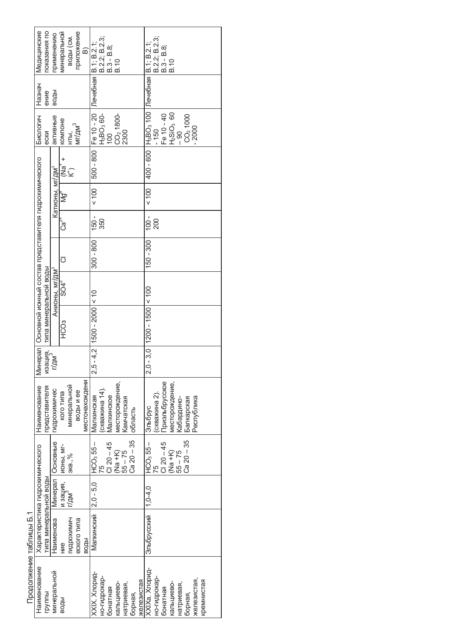|                         | Медицинские                                                     | показания по                 | применению                  | минеральной        | воды (см.                  | приложение  | $\widehat{\mathbf{B}}$ | Лечебная В.1; В.2.1;           | B.2.2; B.2.3;                      | B.3 - B.8;    | B.10                          |            |              |            |                                                                            | B.2.2; B.2.3; | $B.3 - B.8$ ;  | B.10                          |            |                      |             |            |
|-------------------------|-----------------------------------------------------------------|------------------------------|-----------------------------|--------------------|----------------------------|-------------|------------------------|--------------------------------|------------------------------------|---------------|-------------------------------|------------|--------------|------------|----------------------------------------------------------------------------|---------------|----------------|-------------------------------|------------|----------------------|-------------|------------|
|                         | Назнач                                                          | ение                         | воды                        |                    |                            |             |                        |                                |                                    |               |                               |            |              |            |                                                                            |               |                |                               |            |                      |             |            |
|                         | Биологич                                                        | ески                         | активные                    | KOMNOHe            | нты,<br>мг/дм <sup>3</sup> |             |                        | 500 - 800 Fe 10 - 20           | H <sub>3</sub> BO <sub>3</sub> 60- | 100           | CO <sub>2</sub> 1800-<br>2300 |            |              |            | 400 - 600   Н <sub>3</sub> ВО <sub>3</sub> 100   Лечебная   В. 1; В. 2. 1; | $-150$        | Fe 10 - 40     | $\frac{ H_2SIO_3 \t60}{ -90}$ |            | CO <sub>2</sub> 1000 |             |            |
|                         |                                                                 |                              |                             | $\ddot{}$          | ั้≊<br>≃ี                  |             |                        |                                |                                    |               |                               |            |              |            |                                                                            |               |                |                               |            |                      |             |            |
|                         |                                                                 |                              | Катионы, мг/дм <sup>3</sup> | ৡ                  |                            |             |                        | 001 >                          |                                    |               |                               |            |              |            | 001 >                                                                      |               |                |                               |            |                      |             |            |
|                         |                                                                 |                              |                             | ت<br>Ca            |                            |             |                        | 150 -                          | 350                                |               |                               |            |              |            | $-001$                                                                     | 200           |                |                               |            |                      |             |            |
|                         |                                                                 |                              |                             | $\overline{\circ}$ |                            |             |                        | 300 - 800                      |                                    |               |                               |            |              |            | 150 - 300                                                                  |               |                |                               |            |                      |             |            |
|                         |                                                                 |                              | Анионы, мг/дм <sup>3</sup>  | $SO4^2$            |                            |             |                        |                                |                                    |               |                               |            |              |            |                                                                            |               |                |                               |            |                      |             |            |
|                         | Минерал   Основной ионный состав представителя гидрохимического | типа минеральной воды        |                             | CO3                |                            |             |                        | $-4.2$   1500 $-2000$   $< 10$ |                                    |               |                               |            |              |            | $-3.0$   1200 $-1500$   < 100                                              |               |                |                               |            |                      |             |            |
|                         |                                                                 | изация,<br>г/дм <sup>3</sup> |                             |                    |                            |             |                        | 2,5                            |                                    |               |                               |            |              |            | 2,0                                                                        |               |                |                               |            |                      |             |            |
|                         | Наименование                                                    | представителя                | гидрохимичес                | кого типа          | минеральной                | воды и ее   | местонахождени         | Малкинская                     | скважина 14).                      | Малкинское    | месторождение,                | Камчатская | область      |            | Эльбрус                                                                    | (скважина 2). | Приэльбрусское | лесторождение,                | Кабардино- | Балкарская           | Республика  |            |
|                         |                                                                 |                              |                             | <b>NOHbI, MI-</b>  | 3KB., %                    |             |                        | $HCO355-$                      |                                    | $Cl$ 20 $-45$ | (Na +K)                       | $55 - 75$  | $Ca 20 - 35$ |            | HCO <sub>3</sub> 55 –                                                      |               | $Cl$ 20 $-45$  | (Na +K)                       | $55 - 75$  | $Ca 20 - 35$         |             |            |
|                         |                                                                 |                              | Минерал   Основные          | и зация,           | г/дм <sup>э</sup>          |             |                        |                                |                                    |               |                               |            |              |            |                                                                            |               |                |                               |            |                      |             |            |
|                         | Характеристика гидрохимического                                 | гипа минеральной воды        | Наименова                   | НИе                | гидрохимич                 | еского типа | воды                   | Малкинский 2,0 - 5,0           |                                    |               |                               |            |              |            | Эльбрусский  1,0-4,0                                                       |               |                |                               |            |                      |             |            |
| Продолжение таблицы Б.1 | Наименование                                                    | группы                       | минеральной                 | воды               |                            |             |                        | XXIX. Xnopид-                  | но-гидрокар-                       | бонатная      | кальциево-                    | натриевая, | борная,      | железистая | XXIXa. Xлорид-                                                             | но-гидрокар-  | бонатная       | кальциево-                    | натриевая, | борная,              | железистая, | кремнистая |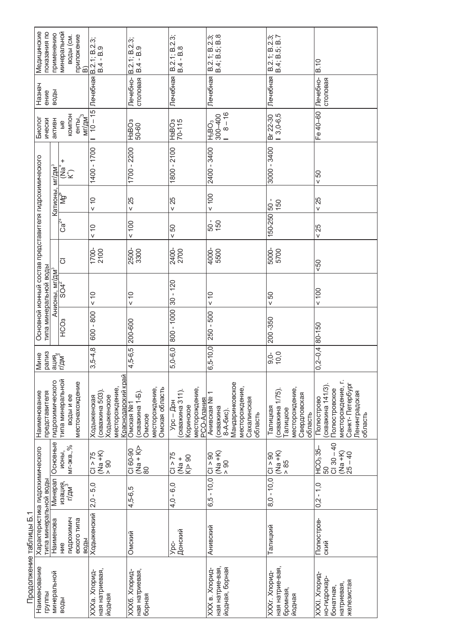|                        | Медицинские<br>показания по                                                    | применению                    | минеральной<br>приложение<br> B)<br>воды (см.                | Лечебная В.2.1; В.2.3;<br>B.4 - B.9                                                         | B.2.1; B.2.3;<br>B.4 - B.9                                                  | B.2.1; B.2.3;<br>$B.4 - B.8$                                                | B.2.1; B.2.3;<br>B.4; B.5; B.8                                                                                  | B.2.1; B.2.3;<br>B.4; B.5; B.7                                                               | B.10                                                                                                                |
|------------------------|--------------------------------------------------------------------------------|-------------------------------|--------------------------------------------------------------|---------------------------------------------------------------------------------------------|-----------------------------------------------------------------------------|-----------------------------------------------------------------------------|-----------------------------------------------------------------------------------------------------------------|----------------------------------------------------------------------------------------------|---------------------------------------------------------------------------------------------------------------------|
|                        | Назнач<br>ение                                                                 | воды                          |                                                              |                                                                                             | столовая<br>Лечебно-                                                        | Лечебная                                                                    | Лечебная                                                                                                        | Лечебная                                                                                     | Лечебно-<br>столовая                                                                                                |
|                        | Биолог<br>ически                                                               | активн                        | KOMNOH<br>енты,<br><u>мг/дм<sup>3</sup></u><br>$\frac{1}{2}$ | $\overline{10} - 15$                                                                        | H3BO <sub>3</sub><br>50-60                                                  | H3BO3<br>70-115                                                             | $8 - 16$<br>H <sub>3</sub> BO <sub>3</sub><br>300–400                                                           | Br 22-30<br>  3,0-6,5                                                                        | Fe 40-60                                                                                                            |
|                        |                                                                                |                               | +<br>_a<br>E∑                                                | 1400 - 1700                                                                                 | 1700 - 2200                                                                 | $1800 - 2100$                                                               | 2400 - 3400                                                                                                     | 3000 - 3400                                                                                  | 50                                                                                                                  |
|                        |                                                                                | Катионы, мг/дм <sup>з</sup>   | Μ₫                                                           | < 10                                                                                        | < 25                                                                        | < 25                                                                        | 100                                                                                                             | $-09$<br>150                                                                                 | < 25                                                                                                                |
|                        |                                                                                |                               | $\mathbb{C}^{\mathsf{a}^{\mathsf{z}^\mathsf{t}}}$            | 10                                                                                          | 100                                                                         | 50                                                                          | $\frac{50}{150}$                                                                                                | 150-250                                                                                      | < 25                                                                                                                |
|                        | Основной ионный состав представителя гидрохимического<br>типа минеральной воды |                               | $\overline{\circ}$                                           | 1700-<br>2100                                                                               | 2500-<br>3300                                                               | 2400-<br>2700                                                               | 4000-<br>5500                                                                                                   | 5000-<br>5700                                                                                | $\overline{50}$                                                                                                     |
|                        |                                                                                | Анионы, мг/дм <sup>3</sup>    | $SO4^2$                                                      | $\frac{0}{5}$                                                                               | $\frac{0}{x}$                                                               | $30 - 120$                                                                  | < 10                                                                                                            | 50                                                                                           | 100                                                                                                                 |
|                        |                                                                                |                               | HC <sub>O3</sub>                                             | $600 - 800$                                                                                 | 200-600                                                                     | 800 - 1000                                                                  | $250 - 500$                                                                                                     | $200 - 350$                                                                                  |                                                                                                                     |
|                        | <b>Мине</b>                                                                    | рализ<br>ация,<br>щия,<br>/ДМ |                                                              | $3,5-4,8$                                                                                   | $4,5-6,5$                                                                   | $5,0-6,0$                                                                   | $5 - 10,0$<br>ဖ                                                                                                 | 9,0<br>9,0<br>9,0                                                                            | $-0.4$ 80-150                                                                                                       |
|                        | представителя<br>Наименование                                                  | гидрохимического              | типа минеральной<br>местонахождение<br>воды и ее             | <u>Краснодарский край</u><br>месторождение,<br>(скважина 503)<br>Ходыженское<br>Ходыженская | месторождение,<br>Омская область<br>(скважина 1-Б).<br>OMCKaR No1<br>Омское | месторождение,<br>(скважина 311).<br>PCO-AnaHMR<br>Урс $-$ Дон<br>Коринское | Мандаринковское<br>месторождение,<br>Анивская Nº<br>Сахалинская<br>скважина<br>8-A-6 <sub>NC</sub> )<br>область | месторождение,<br>(скважина 1/75).<br>Свердловская<br>Талицкая<br><b>Галицкое</b><br>область | месторождение, г.<br>Санкт-Петербург<br>(скважина 141/3)<br>Полюстровское<br>Ленинградская<br>Полюстрово<br>область |
|                        |                                                                                | Основные                      | ионы,<br>мг-экв.,%                                           | $(M+6M)$<br>Cl > 75<br>00 <sub>0</sub>                                                      | $(N + k)$<br>CI 60-90<br>8                                                  | Cl > 75<br>$K$ > 90<br>$+$ 6N)                                              | $(M+6N)$<br>Cl > 90<br>06<                                                                                      | $(M+6N)$<br>C1 > 90<br>$\frac{85}{6}$                                                        | $C130 - 40$<br>HCO335-<br>$(M + K)$<br>$ 25 - 40$<br>50                                                             |
|                        |                                                                                | <b>Минерал</b>                | изация,<br>г/дм <sup>3</sup>                                 | $2,0 - 5,0$                                                                                 | $4,5-6,5$                                                                   | $4,0 - 6,0$                                                                 | $6, 5 - 10, 0$                                                                                                  | $8,0 - 10,0$                                                                                 | $0, 2 - 1, 0$                                                                                                       |
|                        | Характеристика гидрохимического<br>типа минеральной воды                       | Наименова                     | гидрохимич<br>еского типа<br>воды<br>ние                     | Ходыженский                                                                                 | <b>Омский</b>                                                               | Донский<br>Урс-                                                             | <b>Анивский</b>                                                                                                 | Талицкий                                                                                     | Полюстров-<br>СКИЙ                                                                                                  |
| Продолжение таблицы Б. | Наименование<br>группы                                                         | минеральной                   | воды                                                         | ная натриевая,<br>ХХХа. Хлорид-<br>йодная                                                   | ная натриевая,<br>ХХХб. Хлорид-<br>борная                                   |                                                                             | ная натрие-вая,<br>йодная, борная<br>ХХХ в. Хлорид-                                                             | ная натрие-вая,<br>ХХХг. Хлорид-<br>бромная,<br>йодная                                       | XXXI. Xnopu <sub>H</sub><br>но-гидрокар-<br>железистая<br>натриевая<br>бонатная,                                    |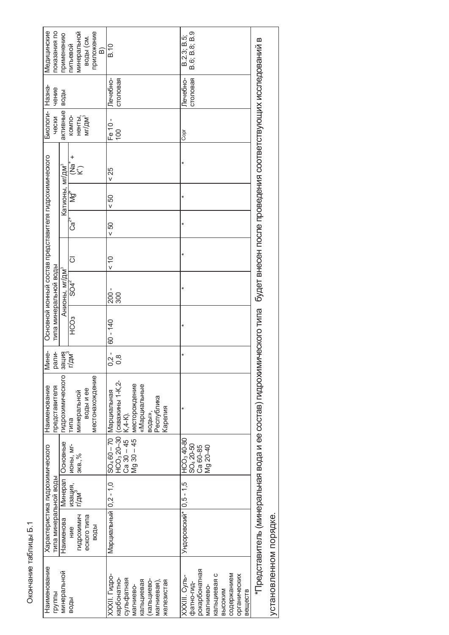| Медицинские<br>показания по                              | приложение<br>минеральной<br>применению<br>воды (см.<br>питьевой<br>$\widehat{\mathbf{p}}$ | B.10                                                                                                                                                               | B.6; B.8; B.9<br>B.2.3; B.5;                                                                                                                       |                                                                                                                                   |
|----------------------------------------------------------|--------------------------------------------------------------------------------------------|--------------------------------------------------------------------------------------------------------------------------------------------------------------------|----------------------------------------------------------------------------------------------------------------------------------------------------|-----------------------------------------------------------------------------------------------------------------------------------|
| чение                                                    | воды                                                                                       | Печебно-<br>столовая                                                                                                                                               | Печебно-<br>столовая                                                                                                                               |                                                                                                                                   |
| Биологи- Назна-<br>чески                                 | активные<br>мг/дм <sup>3</sup><br>KOMITO-<br>ненты,                                        | Fe 10 -<br>100                                                                                                                                                     | Copr                                                                                                                                               |                                                                                                                                   |
|                                                          | +<br>׆֧֓֟֜֩֞׆                                                                              | < 25                                                                                                                                                               | ¥                                                                                                                                                  |                                                                                                                                   |
|                                                          | Катионы, мг/дм <sup>3</sup><br>≹∱                                                          | 50 <sub>0</sub>                                                                                                                                                    | ¥                                                                                                                                                  |                                                                                                                                   |
|                                                          | ′ັ∙<br>Cອີ                                                                                 | 50                                                                                                                                                                 | ¥                                                                                                                                                  |                                                                                                                                   |
|                                                          | $\overline{\circ}$                                                                         | $\frac{0}{x}$                                                                                                                                                      | ¥                                                                                                                                                  |                                                                                                                                   |
| типа минеральной воды                                    | Анионы, мг/дм <sup>3</sup><br>$SO4^2$                                                      | $200 -$<br>300                                                                                                                                                     | ×                                                                                                                                                  |                                                                                                                                   |
| Основной ионный состав представителя гидрохимического    | <b>CO3</b>                                                                                 | $60 - 140$                                                                                                                                                         | ¥                                                                                                                                                  |                                                                                                                                   |
| <b>Мине-</b><br>рали-                                    | г/дм <sup>э</sup><br><b>Burles</b>                                                         | $0,2 -$<br>0,8                                                                                                                                                     | $\ast$                                                                                                                                             |                                                                                                                                   |
| Наименование<br>представителя                            | <b>ГИДРОХИМИЧЕСКОГО</b><br>местонахождение<br>воды и ее<br>минеральной<br>типа             | НСО <sub>3</sub> 20-30   (скважины 1-К,2-<br>месторождение<br>«Марциальные<br>SO <sub>4</sub> 60 - 70   Марциальная<br>Республика<br>Карелия<br>воды»,<br>K, 4-K). |                                                                                                                                                    | *Представитель (минеральная вода и ее состав) пидрохимического типа сбудет внесен после проведения соответствующих исследований в |
|                                                          | Основные<br><b>NOHbI, MI-</b><br>9KB., 96                                                  | $Mg30 - 45$<br>$Ca$ 30 $-45$                                                                                                                                       | HCO <sub>3</sub> 40-80<br>SO <sub>4</sub> 20-50<br>Ca 60-85<br>Mg 20-40                                                                            |                                                                                                                                   |
|                                                          | Минерал<br>изация,<br>г/дм`                                                                |                                                                                                                                                                    |                                                                                                                                                    |                                                                                                                                   |
| Характеристика гидрохимического<br>типа минеральной воды | <b>ГИДРОХИМИЧ</b><br>еского типа<br>Наименова<br>воды<br>HNe                               | Марциальный 0,2 - 1,0                                                                                                                                              | Ундоровский* 0,5 - 1,5                                                                                                                             |                                                                                                                                   |
| Наименование<br>группы                                   | минеральной<br>воды                                                                        | XXXII. Гидро-<br>сульфатная<br>карбонатно-<br>(кальциево-<br>кальциевая<br>железистая<br>магниевая),<br>магниево-                                                  | рокарбонатная<br>содержанием<br>кальциевая с<br>органических<br>XXXIII. Cynb-<br>фатно-гид-<br>магниево-<br><b>B</b> bICOK <sub>M</sub><br>вешеств | установленном порядке.                                                                                                            |

Окончание таблицы Б.1 Окончание таблицы Б.1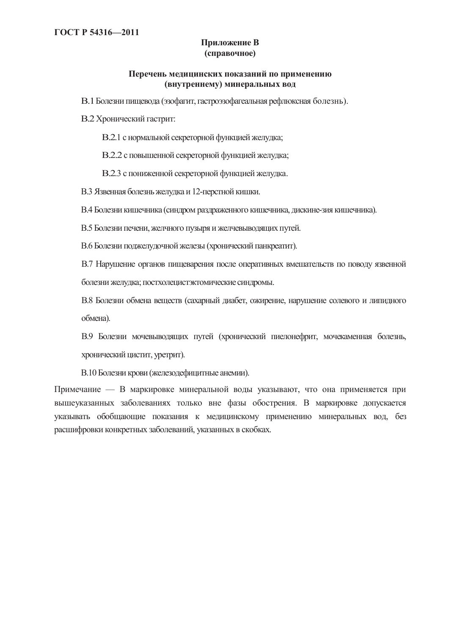### Приложение В (справочное)

### Перечень медицинских показаний по применению **(ɜɧɭɬɪɟɧɧɟɦɭ) ɦɢɧɟɪɚɥɶɧɵɯ ɜɨɞ**

В.1 Болезни пищевода (эзофагит, гастроэзофагеальная рефлюксная болезнь).

В.2 Хронический гастрит:

В.2.1 с нормальной секреторной функцией желудка;

В.2.2 с повышенной секреторной функцией желудка;

В.2.3 с пониженной секреторной функцией желудка.

В.3 Язвенная болезнь желудка и 12-перстной кишки.

В.4 Болезни кишечника (синдром раздраженного кишечника, дискине-зия кишечника).

В.5 Болезни печени, желчного пузыря и желчевыводящих путей.

В.6 Болезни поджелудочной железы (хронический панкреатит).

В.7 Нарушение органов пищеварения после оперативных вмешательств по поводу язвенной болезни желудка; постхолецистэктомические синдромы.

В.8 Болезни обмена веществ (сахарный диабет, ожирение, нарушение солевого и липидного обмена).

В.9 Болезни мочевыводящих путей (хронический пиелонефрит, мочекаменная болезнь, хронический цистит, уретрит).

В.10 Болезни крови (железодефицитные анемии).

Примечание — В маркировке минеральной воды указывают, что она применяется при вышеуказанных заболеваниях только вне фазы обострения. В маркировке допускается указывать обобщающие показания к медицинскому применению минеральных вод, без расшифровки конкретных заболеваний, указанных в скобках.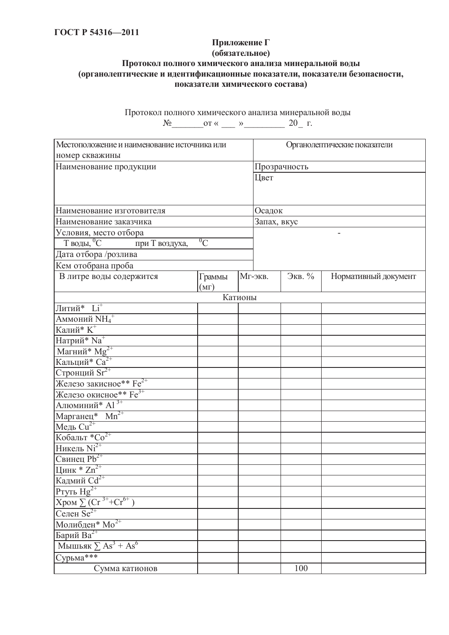### Приложение Г  $($ обязательное) Протокол полного химического анализа минеральной воды **(органолептические и идентификационные показатели, показатели безопасности,** показатели химического состава)

Протокол полного химического анализа минеральной воды

 $N_2$  or «  $\_\_$  »  $\_\_$  20  $\_\_$ r.

| Местоположение и наименование источника или                          |         |         |              | Органолептические показатели |                      |  |  |
|----------------------------------------------------------------------|---------|---------|--------------|------------------------------|----------------------|--|--|
| номер скважины                                                       |         |         |              |                              |                      |  |  |
| Наименование продукции                                               |         |         | Прозрачность |                              |                      |  |  |
|                                                                      |         |         | Цвет         |                              |                      |  |  |
|                                                                      |         |         |              |                              |                      |  |  |
|                                                                      |         |         |              |                              |                      |  |  |
| Наименование изготовителя                                            |         |         |              | Осадок                       |                      |  |  |
| Наименование заказчика                                               |         |         | Запах, вкус  |                              |                      |  |  |
| Условия, место отбора                                                |         |         |              |                              | ٠                    |  |  |
| $\overline{T}$ воды, ${}^0C$<br>при Т воздуха,                       | ${}^0C$ |         |              |                              |                      |  |  |
| Дата отбора /розлива                                                 |         |         |              |                              |                      |  |  |
| Кем отобрана проба                                                   |         |         |              |                              |                      |  |  |
| В литре воды содержится                                              | Граммы  |         | Мг-экв.      | Экв. %                       | Нормативный документ |  |  |
|                                                                      | (MF)    |         |              |                              |                      |  |  |
|                                                                      |         | Катионы |              |                              |                      |  |  |
| Литий* Li <sup>+</sup>                                               |         |         |              |                              |                      |  |  |
| Аммоний $\mathrm{NH_4}^+$                                            |         |         |              |                              |                      |  |  |
| Калий* $\overline{K}$ <sup>+</sup>                                   |         |         |              |                              |                      |  |  |
| Натрий* Na <sup>+</sup>                                              |         |         |              |                              |                      |  |  |
| Магний* $Mg^{2+}$                                                    |         |         |              |                              |                      |  |  |
| Кальций* $Ca^{2+}$                                                   |         |         |              |                              |                      |  |  |
| Стронций $\text{Sr}^{2+}$                                            |         |         |              |                              |                      |  |  |
| Железо закисное** $Fe^{2+}$                                          |         |         |              |                              |                      |  |  |
| Железо окисное <sup>**</sup> $Fe^{3+}$<br>Алюминий* Аl <sup>3+</sup> |         |         |              |                              |                      |  |  |
|                                                                      |         |         |              |                              |                      |  |  |
| Марганец* $Mn^{2+}$                                                  |         |         |              |                              |                      |  |  |
| Медь $Cu2+$                                                          |         |         |              |                              |                      |  |  |
| Кобальт *Со <sup>2+</sup>                                            |         |         |              |                              |                      |  |  |
| Никель $Ni2+$                                                        |         |         |              |                              |                      |  |  |
| Свинец $Pb^{2+}$                                                     |         |         |              |                              |                      |  |  |
| Цинк * $Zn^{2+}$                                                     |         |         |              |                              |                      |  |  |
| Кадмий Cd <sup>2+</sup>                                              |         |         |              |                              |                      |  |  |
| Ртуть $Hg^{2+}$                                                      |         |         |              |                              |                      |  |  |
| $X$ ром $\sum$ (Cr <sup>3+</sup> +Cr <sup>6+</sup>                   |         |         |              |                              |                      |  |  |
| Селен $\text{Se}^{2+}$                                               |         |         |              |                              |                      |  |  |
| Молибден <sup>*</sup> Мо <sup>2+</sup><br>Барий Ва <sup>2+</sup>     |         |         |              |                              |                      |  |  |
|                                                                      |         |         |              |                              |                      |  |  |
| Мышьяк $\sum As^3 + As^6$                                            |         |         |              |                              |                      |  |  |
| Сурьма***                                                            |         |         |              |                              |                      |  |  |
| Сумма катионов                                                       |         |         |              | 100                          |                      |  |  |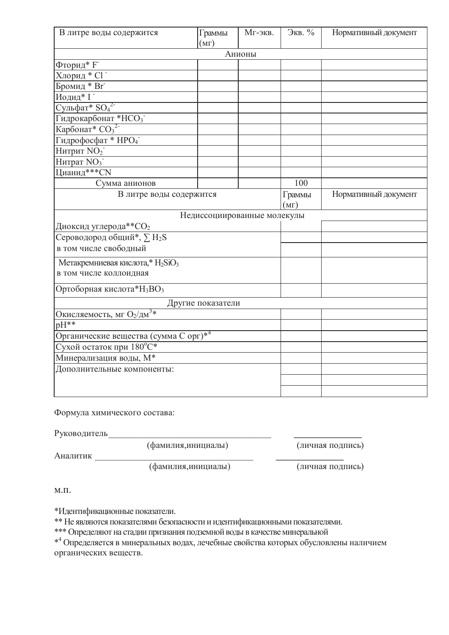| В литре воды содержится                                  | Граммы<br>(MF)    | Мг-экв.                     | Экв. %               | Нормативный документ |
|----------------------------------------------------------|-------------------|-----------------------------|----------------------|----------------------|
|                                                          |                   | Анионы                      |                      |                      |
| Фторид* $F^-$                                            |                   |                             |                      |                      |
| Хлорид * С1 -                                            |                   |                             |                      |                      |
| Бромид * Br <sup>-</sup>                                 |                   |                             |                      |                      |
| Иодид* І-                                                |                   |                             |                      |                      |
| Сульфат* $SO_4^2$                                        |                   |                             |                      |                      |
| Гидрокарбонат *НСО3                                      |                   |                             |                      |                      |
| Карбонат* $CO_3^2$                                       |                   |                             |                      |                      |
| Гидрофосфат * НРО4                                       |                   |                             |                      |                      |
| Нитрит NO <sub>2</sub>                                   |                   |                             |                      |                      |
| Нитрат NO <sub>3</sub>                                   |                   |                             |                      |                      |
| Цианид***СN                                              |                   |                             |                      |                      |
| Сумма анионов                                            |                   |                             | 100                  |                      |
| В литре воды содержится                                  |                   | Граммы                      | Нормативный документ |                      |
|                                                          |                   |                             | (MF)                 |                      |
|                                                          |                   | Недиссоциированные молекулы |                      |                      |
| Диоксид углерода**СО2                                    |                   |                             |                      |                      |
| Сероводород общий*, ∑Н2S                                 |                   |                             |                      |                      |
| в том числе свободный                                    |                   |                             |                      |                      |
| Метакремниевая кислота,* H <sub>2</sub> SiO <sub>3</sub> |                   |                             |                      |                      |
| в том числе коллоидная                                   |                   |                             |                      |                      |
| Ортоборная кислота*Н <sub>3</sub> ВО <sub>3</sub>        |                   |                             |                      |                      |
|                                                          | Другие показатели |                             |                      |                      |
| Окисляемость, мг О2/дм <sup>3*</sup>                     |                   |                             |                      |                      |
| $pH**$                                                   |                   |                             |                      |                      |
| Органические вещества (сумма С орг)* <sup>4</sup>        |                   |                             |                      |                      |
| Сухой остаток при 180°С*                                 |                   |                             |                      |                      |
| Минерализация воды, $\overline{M^*}$                     |                   |                             |                      |                      |
| Дополнительные компоненты:                               |                   |                             |                      |                      |
|                                                          |                   |                             |                      |                      |
|                                                          |                   |                             |                      |                      |

Формула химического состава:

Руководитель

(фамилия,инициалы) (личная подпись)

Ⱥɧɚɥɢɬɢɤ \_\_\_\_\_\_\_\_\_\_\_\_\_\_\_\_\_\_\_\_\_\_\_\_\_\_\_\_\_\_\_\_\_\_\_ **\_\_\_\_\_\_\_\_\_\_\_\_\_\_\_**

(фамилия,инициалы) (личная подпись)

 $M.\Pi.$ 

\*Идентификационные показатели.

\*\* Не являются показателями безопасности и идентификационными показателями.

\*\*\* Определяют на стадии признания подземной воды в качестве минеральной

 $*^4$ Определяется в минеральных водах, лечебные свойства которых обусловлены наличием органических веществ.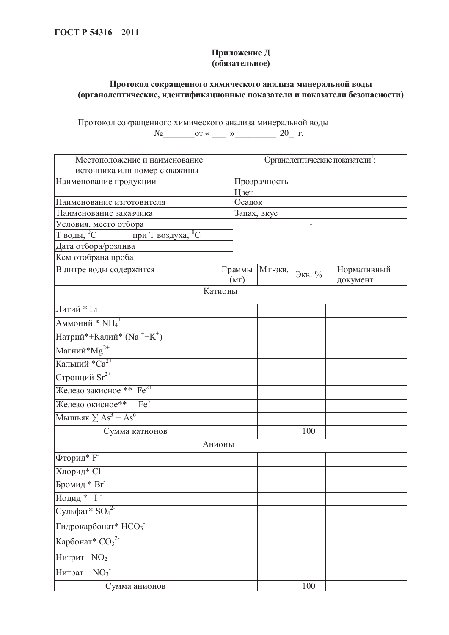### Приложение Д  $\overrightarrow{6}$ **изательное**)

### Протокол сокращенного химического анализа минеральной воды **(органолептические, идентификационные показатели и показатели безопасности)**

Протокол сокращенного химического анализа минеральной воды  $N_2$  or  $\ll$   $\gg$   $20$  F.

| Местоположение и наименование                                 |                | Органолептические показатели <sup>1</sup> : |        |                         |  |  |  |
|---------------------------------------------------------------|----------------|---------------------------------------------|--------|-------------------------|--|--|--|
| источника или номер скважины                                  |                |                                             |        |                         |  |  |  |
| Наименование продукции                                        |                | Прозрачность                                |        |                         |  |  |  |
|                                                               | Цвет           |                                             |        |                         |  |  |  |
| Наименование изготовителя                                     | Осадок         |                                             |        |                         |  |  |  |
| Наименование заказчика                                        |                | Запах, вкус                                 |        |                         |  |  |  |
| Условия, место отбора                                         |                |                                             |        |                         |  |  |  |
| $T$ воды, $\overline{{}^0C}$<br>при Т воздуха, <sup>0</sup> С |                |                                             |        |                         |  |  |  |
| Дата отбора/розлива                                           |                |                                             |        |                         |  |  |  |
| Кем отобрана проба                                            |                |                                             |        |                         |  |  |  |
| В литре воды содержится                                       | Граммы<br>(MF) | Мг-экв.                                     | Экв. % | Нормативный<br>документ |  |  |  |
|                                                               | Катионы        |                                             |        |                         |  |  |  |
| Литий * $Li$ <sup>+</sup>                                     |                |                                             |        |                         |  |  |  |
| Аммоний * NH <sub>4</sub> +                                   |                |                                             |        |                         |  |  |  |
| Натрий*+Калий* (Na ++K+)                                      |                |                                             |        |                         |  |  |  |
| Магний $^*$ М $g^{2+}$                                        |                |                                             |        |                         |  |  |  |
| Кальций $*Ca^{2+}$                                            |                |                                             |        |                         |  |  |  |
| Стронций Sr <sup>2+</sup>                                     |                |                                             |        |                         |  |  |  |
| Железо закисное ** Fe <sup>2+</sup>                           |                |                                             |        |                         |  |  |  |
| Железо окисное** $Fe^{3+}$                                    |                |                                             |        |                         |  |  |  |
| Мышьяк $\sum As^3 + As^6$                                     |                |                                             |        |                         |  |  |  |
| Сумма катионов                                                |                |                                             | 100    |                         |  |  |  |
|                                                               | Анионы         |                                             |        |                         |  |  |  |
| Фторид* F                                                     |                |                                             |        |                         |  |  |  |
| Хлорид* С1                                                    |                |                                             |        |                         |  |  |  |
| Бромид * Br <sup>-</sup>                                      |                |                                             |        |                         |  |  |  |
| Иодид * І                                                     |                |                                             |        |                         |  |  |  |
| Сульфат* SO <sub>4</sub> <sup>2-</sup>                        |                |                                             |        |                         |  |  |  |
| Гидрокарбонат* НСО3                                           |                |                                             |        |                         |  |  |  |
| Карбонат* $CO32$                                              |                |                                             |        |                         |  |  |  |
| Нитрит NO <sub>2</sub> -                                      |                |                                             |        |                         |  |  |  |
| NO <sub>3</sub><br>Нитрат                                     |                |                                             |        |                         |  |  |  |
| Сумма анионов                                                 |                |                                             | 100    |                         |  |  |  |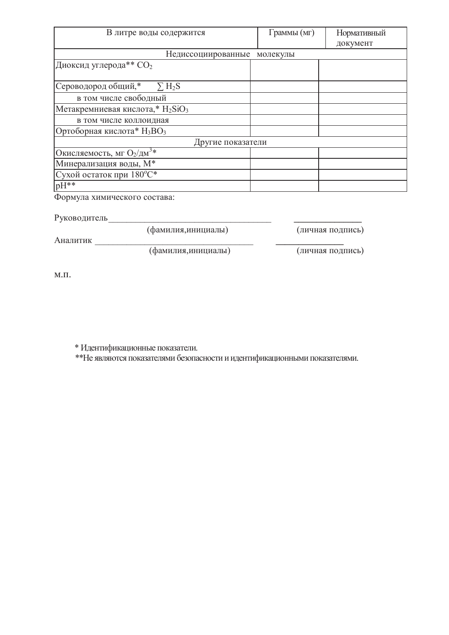| В литре воды содержится                                  | Граммы (мг) | Нормативный |
|----------------------------------------------------------|-------------|-------------|
|                                                          |             | документ    |
| Недиссоциированные                                       | молекулы    |             |
| Диоксид углерода** СО2                                   |             |             |
| Сероводород общий,*<br>$\Sigma H_2S$                     |             |             |
| в том числе свободный                                    |             |             |
| Метакремниевая кислота,* H <sub>2</sub> SiO <sub>3</sub> |             |             |
| в том числе коллоидная                                   |             |             |
| Ортоборная кислота* $H_3BO_3$                            |             |             |
| Другие показатели                                        |             |             |
| Окисляемость, мг $O_2/\text{AM}^3*$                      |             |             |
| Минерализация воды, М*                                   |             |             |
| Сухой остаток при 180°С*                                 |             |             |
| $pH^{**}$                                                |             |             |

Формула химического состава:

Руководитель

(фамилия,инициалы) (личная подпись)

Ⱥɧɚɥɢɬɢɤ \_\_\_\_\_\_\_\_\_\_\_\_\_\_\_\_\_\_\_\_\_\_\_\_\_\_\_\_\_\_\_\_\_\_\_ **\_\_\_\_\_\_\_\_\_\_\_\_\_\_\_**

(фамилия, инициалы) (личная подпись)

 $M.\Pi.$ 

\* Идентификационные показатели.

\*\* Не являются показателями безопасности и идентификационными показателями.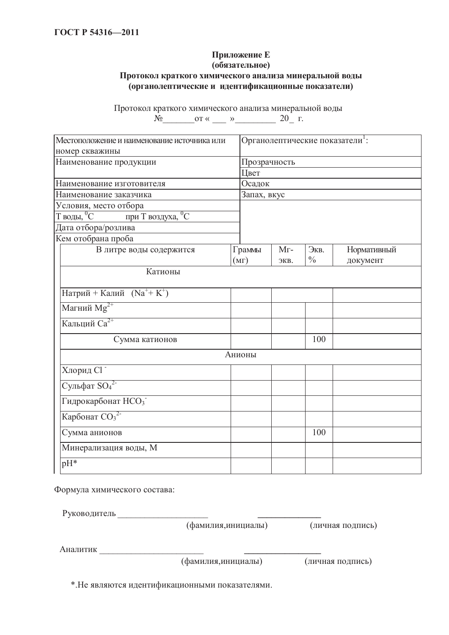# Приложение Е

### **(обязательное)**

### Протокол краткого химического анализа минеральной воды **(органолептические и идентификационные показатели)**

Протокол краткого химического анализа минеральной воды  $N_2 \qquad \qquad \text{or } \kappa \qquad \qquad \rightarrow \qquad \qquad 20 \qquad \Gamma.$ 

| Местоположение и наименование источника или                                   |              | Органолептические показатели <sup>1</sup> : |               |             |  |  |
|-------------------------------------------------------------------------------|--------------|---------------------------------------------|---------------|-------------|--|--|
| номер скважины                                                                |              |                                             |               |             |  |  |
| Наименование продукции                                                        | Прозрачность |                                             |               |             |  |  |
|                                                                               | Цвет         |                                             |               |             |  |  |
| Наименование изготовителя                                                     | Осадок       |                                             |               |             |  |  |
| Наименование заказчика                                                        | Запах, вкус  |                                             |               |             |  |  |
| Условия, место отбора                                                         |              |                                             |               |             |  |  |
| $\overline{\mathrm{T}}$ воды, $^0\mathrm{C}$<br>при Т воздуха, <sup>0</sup> С |              |                                             |               |             |  |  |
| Дата отбора/розлива                                                           |              |                                             |               |             |  |  |
| Кем отобрана проба                                                            |              |                                             |               |             |  |  |
| В литре воды содержится                                                       | Граммы       | $Mr-$                                       | Экв.          | Нормативный |  |  |
|                                                                               | (MF)         | ЭКВ.                                        | $\frac{0}{0}$ | документ    |  |  |
| Катионы                                                                       |              |                                             |               |             |  |  |
|                                                                               |              |                                             |               |             |  |  |
| Натрий + Калий $(Na^{+} + K^{+})$                                             |              |                                             |               |             |  |  |
| Магний М $g^{2+}$                                                             |              |                                             |               |             |  |  |
| Кальций Са <sup>2+</sup>                                                      |              |                                             |               |             |  |  |
| Сумма катионов                                                                |              |                                             | 100           |             |  |  |
|                                                                               | Анионы       |                                             |               |             |  |  |
| Хлорид С1                                                                     |              |                                             |               |             |  |  |
| $\overline{\text{Сульфат } SO_4^2}$                                           |              |                                             |               |             |  |  |
| Гидрокарбонат НСО3                                                            |              |                                             |               |             |  |  |
| Карбонат $CO32$                                                               |              |                                             |               |             |  |  |
| Сумма анионов                                                                 |              |                                             | 100           |             |  |  |
| Минерализация воды, М                                                         |              |                                             |               |             |  |  |
| $pH^*$                                                                        |              |                                             |               |             |  |  |

Формула химического состава:

Ɋɭɤɨɜɨɞɢɬɟɥɶ \_\_\_\_\_\_\_\_\_\_\_\_\_\_\_\_\_\_\_\_ **\_\_\_\_\_\_\_\_\_\_\_\_\_\_**

(фамилия,инициалы) (личная подпись)

Аналитик

(фамилия,инициалы) (личная подпись)

\*. Не являются идентификационными показателями.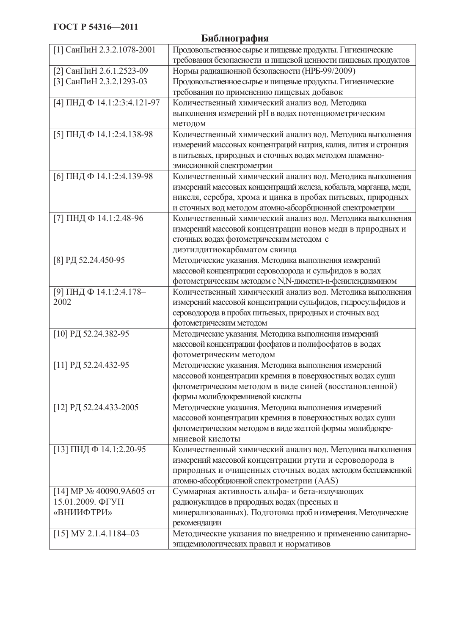# **Библиография** [1] СанПиН 2.3.2.1078-2001 │ Продовольственное сырье и пищевые продукты. Гигиенические требования безопасности и пищевой ценности пищевых продуктов

| [2] СанПиН 2.6.1.2523-09                          | Нормы радиационной безопасности (НРБ-99/2009)                     |
|---------------------------------------------------|-------------------------------------------------------------------|
| [3] СанПиН 2.3.2.1293-03                          | Продовольственное сырье и пищевые продукты. Гигиенические         |
|                                                   | требования по применению пищевых добавок                          |
| [4] ПНД Ф 14.1:2:3:4.121-97                       | Количественный химический анализ вод. Методика                    |
|                                                   | выполнения измерений рН в водах потенциометрическим               |
|                                                   | методом                                                           |
| [5] ПНД Ф 14.1:2:4.138-98                         | Количественный химический анализ вод. Методика выполнения         |
|                                                   | измерений массовых концентраций натрия, калия, лития и стронция   |
|                                                   | в питьевых, природных и сточных водах методом пламенно-           |
|                                                   | эмиссионной спектрометрии                                         |
| [6] ПНД Ф 14.1:2:4.139-98                         | Количественный химический анализ вод. Методика выполнения         |
|                                                   | измерений массовых концентраций железа, кобальта, марганца, меди, |
|                                                   | никеля, серебра, хрома и цинка в пробах питьевых, природных       |
|                                                   | и сточных вод методом атомно-абсорбционной спектрометрии          |
| [7] ПНДФ 14.1:2.48-96                             | Количественный химический анализ вод. Методика выполнения         |
|                                                   | измерений массовой концентрации ионов меди в природных и          |
|                                                   | сточных водах фотометрическим методом с                           |
|                                                   | диэтилдитиокарбаматом свинца                                      |
| [8] РД 52.24.450-95                               | Методические указания. Методика выполнения измерений              |
|                                                   | массовой концентрации сероводорода и сульфидов в водах            |
|                                                   | фотометрическим методом с N,N-диметил-n-фенилендиамином           |
| [9] ПНД Ф 14.1:2:4.178-                           | Количественный химический анализ вод. Методика выполнения         |
| 2002                                              | измерений массовой концентрации сульфидов, гидросульфидов и       |
|                                                   | сероводорода в пробах питьевых, природных и сточных вод           |
|                                                   | фотометрическим методом                                           |
| [10] РД 52.24.382-95                              | Методические указания. Методика выполнения измерений              |
|                                                   | массовой концентрации фосфатов и полифосфатов в водах             |
|                                                   | фотометрическим методом                                           |
| [11] РД 52.24.432-95                              | Методические указания. Методика выполнения измерений              |
|                                                   | массовой концентрации кремния в поверхностных водах суши          |
|                                                   | фотометрическим методом в виде синей (восстановленной)            |
|                                                   | формы молибдокремниевой кислоты                                   |
| [12] РД 52.24.433-2005                            | Методические указания. Методика выполнения измерений              |
|                                                   | массовой концентрации кремния в поверхностных водах суши          |
|                                                   | фотометрическим методом в виде желтой формы молибдокре-           |
|                                                   | мниевой кислоты                                                   |
| [13] ПНДФ 14.1:2.20-95                            | Количественный химический анализ вод. Методика выполнения         |
|                                                   | измерений массовой концентрации ртути и сероводорода в            |
|                                                   | природных и очищенных сточных водах методом беспламенной          |
|                                                   | атомно-абсорбционной спектрометрии (AAS)                          |
| [14] MP $\mathcal{N}$ <sup>0</sup> 40090.9A605 or | Суммарная активность альфа- и бета-излучающих                     |
| 15.01.2009. ФГУП                                  | радионуклидов в природных водах (пресных и                        |
| «ВНИИФТРИ»                                        | минерализованных). Подготовка проб и измерения. Методические      |
|                                                   | рекомендации                                                      |
| $[15]$ MY 2.1.4.1184-03                           | Методические указания по внедрению и применению санитарно-        |
|                                                   | эпидемиологических правил и нормативов                            |
|                                                   |                                                                   |